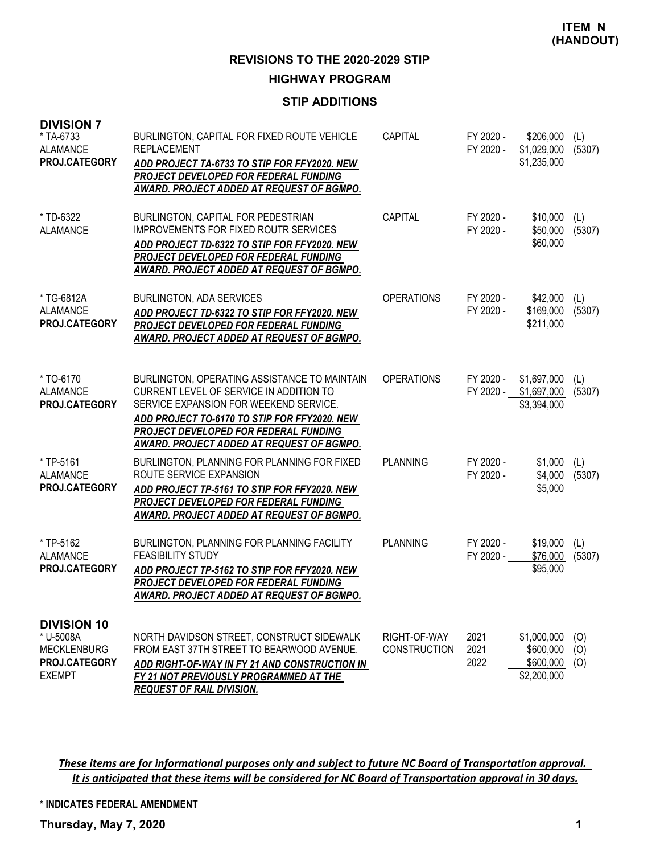#### **HIGHWAY PROGRAM**

## **STIP ADDITIONS**

| <b>DIVISION 7</b><br>* TA-6733<br><b>ALAMANCE</b><br>PROJ.CATEGORY                      | BURLINGTON, CAPITAL FOR FIXED ROUTE VEHICLE<br><b>REPLACEMENT</b><br>ADD PROJECT TA-6733 TO STIP FOR FFY2020. NEW<br>PROJECT DEVELOPED FOR FEDERAL FUNDING<br>AWARD. PROJECT ADDED AT REQUEST OF BGMPO.                                                                 | <b>CAPITAL</b>                      | FY 2020 -<br>FY 2020 - | \$206,000<br>\$1,029,000<br>\$1,235,000              | (L)<br>(5307)     |
|-----------------------------------------------------------------------------------------|-------------------------------------------------------------------------------------------------------------------------------------------------------------------------------------------------------------------------------------------------------------------------|-------------------------------------|------------------------|------------------------------------------------------|-------------------|
| * TD-6322<br><b>ALAMANCE</b>                                                            | BURLINGTON, CAPITAL FOR PEDESTRIAN<br>IMPROVEMENTS FOR FIXED ROUTR SERVICES<br>ADD PROJECT TD-6322 TO STIP FOR FFY2020, NEW<br>PROJECT DEVELOPED FOR FEDERAL FUNDING<br>AWARD. PROJECT ADDED AT REQUEST OF BGMPO.                                                       | CAPITAL                             | FY 2020 -<br>FY 2020 - | \$10,000<br>\$50,000<br>\$60,000                     | (L)<br>(5307)     |
| * TG-6812A<br>ALAMANCE<br>PROJ.CATEGORY                                                 | BURLINGTON, ADA SERVICES<br>ADD PROJECT TD-6322 TO STIP FOR FFY2020. NEW<br>PROJECT DEVELOPED FOR FEDERAL FUNDING<br>AWARD. PROJECT ADDED AT REQUEST OF BGMPO.                                                                                                          | <b>OPERATIONS</b>                   | FY 2020 -<br>FY 2020 - | \$42,000<br>\$169,000<br>\$211,000                   | (L)<br>(5307)     |
| * TO-6170<br><b>ALAMANCE</b><br>PROJ.CATEGORY                                           | BURLINGTON, OPERATING ASSISTANCE TO MAINTAIN<br>CURRENT LEVEL OF SERVICE IN ADDITION TO<br>SERVICE EXPANSION FOR WEEKEND SERVICE.<br>ADD PROJECT TO-6170 TO STIP FOR FFY2020. NEW<br>PROJECT DEVELOPED FOR FEDERAL FUNDING<br>AWARD. PROJECT ADDED AT REQUEST OF BGMPO. | <b>OPERATIONS</b>                   | FY 2020 -<br>FY 2020 - | \$1,697,000<br>\$1,697,000<br>\$3,394,000            | (L)<br>(5307)     |
| * TP-5161<br><b>ALAMANCE</b><br>PROJ.CATEGORY                                           | BURLINGTON, PLANNING FOR PLANNING FOR FIXED<br>ROUTE SERVICE EXPANSION<br>ADD PROJECT TP-5161 TO STIP FOR FFY2020. NEW<br>PROJECT DEVELOPED FOR FEDERAL FUNDING<br><u>AWARD. PROJECT ADDED AT REQUEST OF BGMPO.</u>                                                     | <b>PLANNING</b>                     | FY 2020 -<br>FY 2020 - | \$1,000<br>\$4,000<br>\$5,000                        | (L)<br>(5307)     |
| * TP-5162<br>ALAMANCE<br><b>PROJ.CATEGORY</b>                                           | BURLINGTON, PLANNING FOR PLANNING FACILITY<br><b>FEASIBILITY STUDY</b><br>ADD PROJECT TP-5162 TO STIP FOR FFY2020. NEW<br>PROJECT DEVELOPED FOR FEDERAL FUNDING<br>AWARD. PROJECT ADDED AT REQUEST OF BGMPO.                                                            | <b>PLANNING</b>                     | FY 2020 -<br>FY 2020 - | \$19,000<br>\$76,000<br>\$95,000                     | (L)<br>(5307)     |
| <b>DIVISION 10</b><br>* U-5008A<br><b>MECKLENBURG</b><br>PROJ.CATEGORY<br><b>EXEMPT</b> | NORTH DAVIDSON STREET, CONSTRUCT SIDEWALK<br>FROM EAST 37TH STREET TO BEARWOOD AVENUE.<br>ADD RIGHT-OF-WAY IN FY 21 AND CONSTRUCTION IN<br>FY 21 NOT PREVIOUSLY PROGRAMMED AT THE<br><b>REQUEST OF RAIL DIVISION.</b>                                                   | RIGHT-OF-WAY<br><b>CONSTRUCTION</b> | 2021<br>2021<br>2022   | \$1,000,000<br>\$600,000<br>\$600,000<br>\$2,200,000 | (O)<br>(O)<br>(O) |

These items are for informational purposes only and subject to future NC Board of Transportation approval. It is anticipated that these items will be considered for NC Board of Transportation approval in 30 days.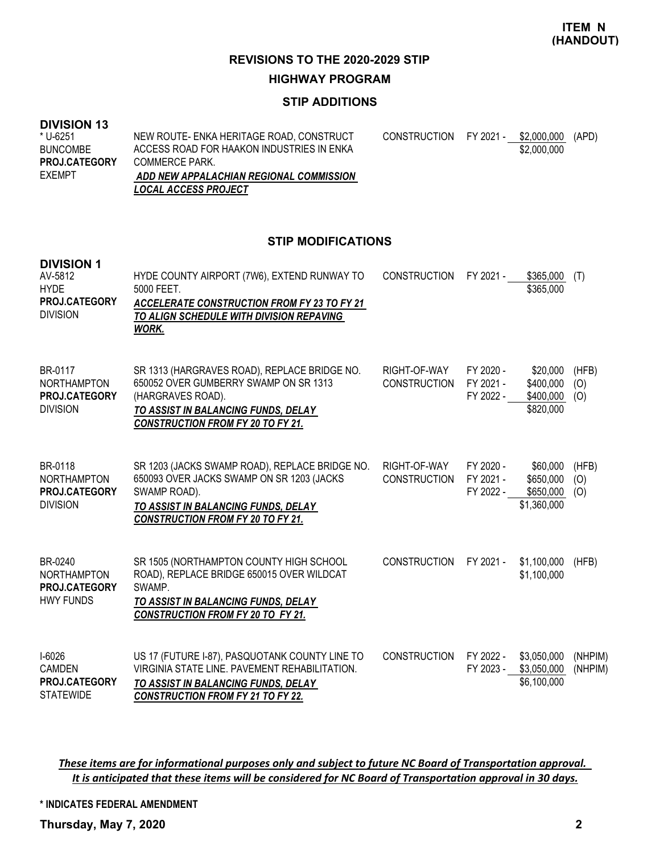#### **HIGHWAY PROGRAM**

## **STIP ADDITIONS**

#### **DIVISION 13**

| * U-6251             | NEW ROUTE- ENKA HERITAGE ROAD, CONSTRUCT  | CONSTRUCTION FY 2021 - | \$2,000,000 (APD) |  |
|----------------------|-------------------------------------------|------------------------|-------------------|--|
| <b>BUNCOMBE</b>      | ACCESS ROAD FOR HAAKON INDUSTRIES IN ENKA |                        | \$2,000,000       |  |
| <b>PROJ.CATEGORY</b> | COMMERCE PARK.                            |                        |                   |  |
| EXEMPT               | ADD NEW APPALACHIAN REGIONAL COMMISSION   |                        |                   |  |
|                      | <b>LOCAL ACCESS PROJECT</b>               |                        |                   |  |

#### **STIP MODIFICATIONS**

| <b>DIVISION 1</b><br>AV-5812<br><b>HYDE</b><br>PROJ.CATEGORY<br><b>DIVISION</b> | HYDE COUNTY AIRPORT (7W6), EXTEND RUNWAY TO<br>5000 FEET.<br>ACCELERATE CONSTRUCTION FROM FY 23 TO FY 21<br>TO ALIGN SCHEDULE WITH DIVISION REPAVING<br>WORK.                                  | <b>CONSTRUCTION</b>                 | FY 2021 -                           | \$365,000<br>\$365,000                            | (T)                 |
|---------------------------------------------------------------------------------|------------------------------------------------------------------------------------------------------------------------------------------------------------------------------------------------|-------------------------------------|-------------------------------------|---------------------------------------------------|---------------------|
| BR-0117<br><b>NORTHAMPTON</b><br><b>PROJ.CATEGORY</b><br><b>DIVISION</b>        | SR 1313 (HARGRAVES ROAD), REPLACE BRIDGE NO.<br>650052 OVER GUMBERRY SWAMP ON SR 1313<br>(HARGRAVES ROAD).<br>TO ASSIST IN BALANCING FUNDS, DELAY<br><b>CONSTRUCTION FROM FY 20 TO FY 21.</b>  | RIGHT-OF-WAY<br><b>CONSTRUCTION</b> | FY 2020 -<br>FY 2021 -<br>FY 2022 - | \$20,000<br>\$400,000<br>\$400,000<br>\$820,000   | (HFB)<br>(O)<br>(0) |
| BR-0118<br><b>NORTHAMPTON</b><br><b>PROJ.CATEGORY</b><br><b>DIVISION</b>        | SR 1203 (JACKS SWAMP ROAD), REPLACE BRIDGE NO.<br>650093 OVER JACKS SWAMP ON SR 1203 (JACKS<br>SWAMP ROAD).<br>TO ASSIST IN BALANCING FUNDS, DELAY<br><b>CONSTRUCTION FROM FY 20 TO FY 21.</b> | RIGHT-OF-WAY<br><b>CONSTRUCTION</b> | FY 2020 -<br>FY 2021 -<br>FY 2022 - | \$60,000<br>\$650,000<br>\$650,000<br>\$1,360,000 | (HFB)<br>(O)<br>(O) |
| BR-0240<br><b>NORTHAMPTON</b><br>PROJ.CATEGORY<br><b>HWY FUNDS</b>              | SR 1505 (NORTHAMPTON COUNTY HIGH SCHOOL<br>ROAD), REPLACE BRIDGE 650015 OVER WILDCAT<br>SWAMP.<br>TO ASSIST IN BALANCING FUNDS, DELAY<br><b>CONSTRUCTION FROM FY 20 TO FY 21.</b>              | <b>CONSTRUCTION</b>                 | FY 2021 -                           | \$1,100,000<br>\$1,100,000                        | (HFB)               |
| $I-6026$<br><b>CAMDEN</b><br>PROJ.CATEGORY<br><b>STATEWIDE</b>                  | US 17 (FUTURE I-87), PASQUOTANK COUNTY LINE TO<br>VIRGINIA STATE LINE, PAVEMENT REHABILITATION.<br>TO ASSIST IN BALANCING FUNDS, DELAY<br><b>CONSTRUCTION FROM FY 21 TO FY 22.</b>             | <b>CONSTRUCTION</b>                 | FY 2022 -<br>FY 2023 -              | \$3,050,000<br>\$3,050,000<br>\$6,100,000         | (NHPIM)<br>(NHPIM)  |

These items are for informational purposes only and subject to future NC Board of Transportation approval. It is anticipated that these items will be considered for NC Board of Transportation approval in 30 days.

**\* INDICATES FEDERAL AMENDMENT**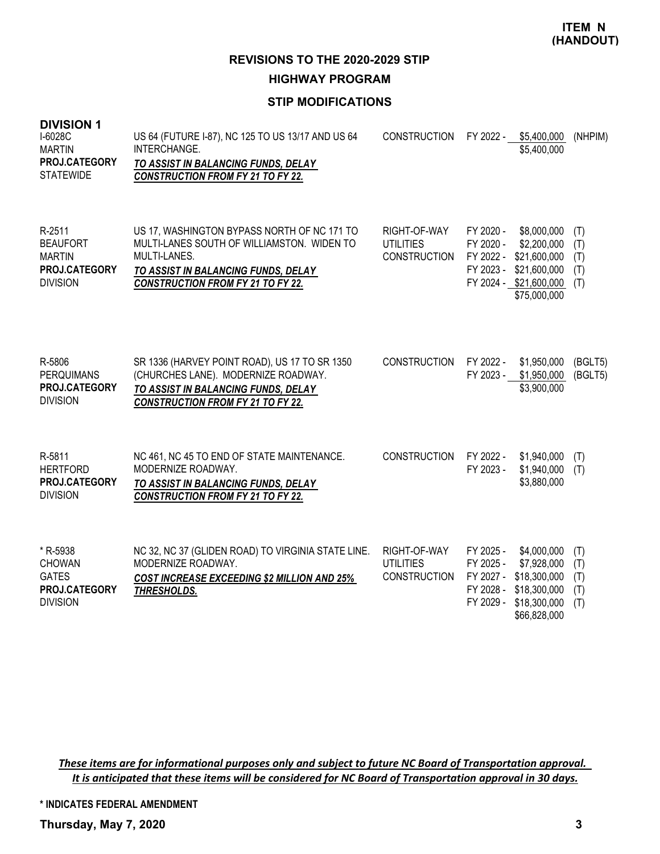**HIGHWAY PROGRAM**

# **STIP MODIFICATIONS**

| <b>DIVISION 1</b><br>I-6028C<br><b>MARTIN</b><br>PROJ.CATEGORY<br><b>STATEWIDE</b> | US 64 (FUTURE I-87), NC 125 TO US 13/17 AND US 64<br>INTERCHANGE.<br>TO ASSIST IN BALANCING FUNDS, DELAY<br><b>CONSTRUCTION FROM FY 21 TO FY 22.</b>                                         | <b>CONSTRUCTION</b>                                     | FY 2022 -                                                     | \$5,400,000<br>\$5,400,000                                                                           | (NHPIM)                         |
|------------------------------------------------------------------------------------|----------------------------------------------------------------------------------------------------------------------------------------------------------------------------------------------|---------------------------------------------------------|---------------------------------------------------------------|------------------------------------------------------------------------------------------------------|---------------------------------|
| R-2511<br><b>BEAUFORT</b><br><b>MARTIN</b><br>PROJ.CATEGORY<br><b>DIVISION</b>     | US 17, WASHINGTON BYPASS NORTH OF NC 171 TO<br>MULTI-LANES SOUTH OF WILLIAMSTON. WIDEN TO<br>MULTI-LANES.<br>TO ASSIST IN BALANCING FUNDS, DELAY<br><b>CONSTRUCTION FROM FY 21 TO FY 22.</b> | RIGHT-OF-WAY<br><b>UTILITIES</b><br><b>CONSTRUCTION</b> | FY 2020 -<br>FY 2020 -<br>FY 2022 -<br>FY 2023 -              | \$8,000,000<br>\$2,200,000<br>\$21,600,000<br>\$21,600,000<br>FY 2024 - \$21,600,000<br>\$75,000,000 | (T)<br>(T)<br>(T)<br>(T)<br>(T) |
| R-5806<br><b>PERQUIMANS</b><br>PROJ.CATEGORY<br><b>DIVISION</b>                    | SR 1336 (HARVEY POINT ROAD), US 17 TO SR 1350<br>(CHURCHES LANE). MODERNIZE ROADWAY.<br>TO ASSIST IN BALANCING FUNDS, DELAY<br><b>CONSTRUCTION FROM FY 21 TO FY 22.</b>                      | <b>CONSTRUCTION</b>                                     | FY 2022 -<br>FY 2023 -                                        | \$1,950,000<br>\$1,950,000<br>\$3,900,000                                                            | (BGLT5)<br>(BGLT5)              |
| R-5811<br><b>HERTFORD</b><br>PROJ.CATEGORY<br><b>DIVISION</b>                      | NC 461, NC 45 TO END OF STATE MAINTENANCE.<br>MODERNIZE ROADWAY.<br>TO ASSIST IN BALANCING FUNDS, DELAY<br><b>CONSTRUCTION FROM FY 21 TO FY 22.</b>                                          | <b>CONSTRUCTION</b>                                     | FY 2022 -<br>FY 2023 -                                        | \$1,940,000<br>\$1,940,000<br>\$3,880,000                                                            | (T)<br>(T)                      |
| * R-5938<br>CHOWAN<br><b>GATES</b><br>PROJ.CATEGORY<br><b>DIVISION</b>             | NC 32, NC 37 (GLIDEN ROAD) TO VIRGINIA STATE LINE.<br>MODERNIZE ROADWAY.<br><b>COST INCREASE EXCEEDING \$2 MILLION AND 25%</b><br><b>THRESHOLDS.</b>                                         | RIGHT-OF-WAY<br><b>UTILITIES</b><br><b>CONSTRUCTION</b> | FY 2025 -<br>FY 2025 -<br>FY 2027 -<br>FY 2028 -<br>FY 2029 - | \$4,000,000<br>\$7,928,000<br>\$18,300,000<br>\$18,300,000<br>\$18,300,000<br>\$66,828,000           | (T)<br>(T)<br>(T)<br>(T)<br>(T) |

These items are for informational purposes only and subject to future NC Board of Transportation approval. It is anticipated that these items will be considered for NC Board of Transportation approval in 30 days.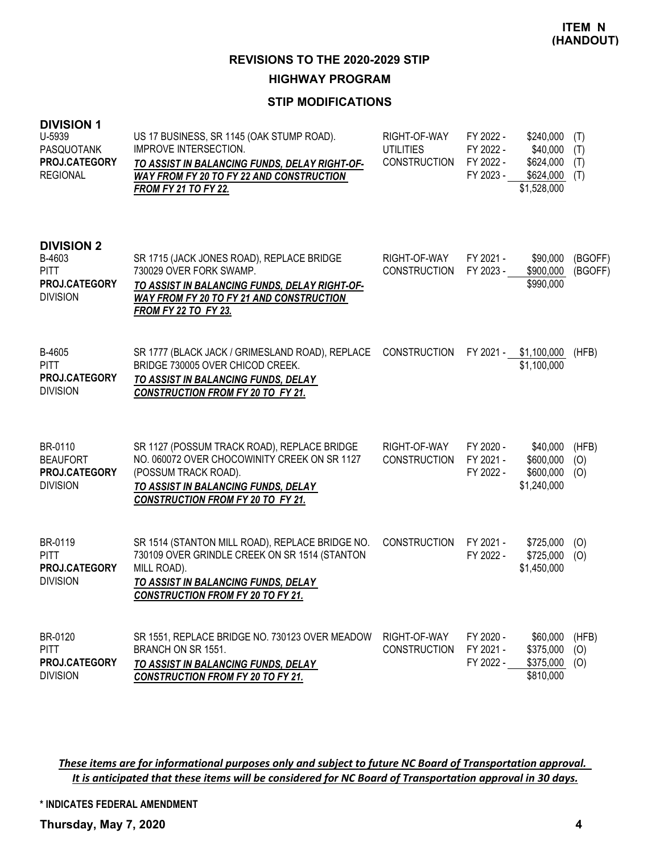# **HIGHWAY PROGRAM**

## **STIP MODIFICATIONS**

| <b>DIVISION 1</b><br>U-5939<br><b>PASQUOTANK</b><br>PROJ.CATEGORY<br><b>REGIONAL</b>  | US 17 BUSINESS, SR 1145 (OAK STUMP ROAD).<br><b>IMPROVE INTERSECTION.</b><br>TO ASSIST IN BALANCING FUNDS, DELAY RIGHT-OF-<br>WAY FROM FY 20 TO FY 22 AND CONSTRUCTION<br><b>FROM FY 21 TO FY 22.</b>  | RIGHT-OF-WAY<br>UTILITIES<br><b>CONSTRUCTION</b> | FY 2022 -<br>FY 2022 -<br>FY 2022 -<br>FY 2023 - | \$240,000<br>\$40,000<br>\$624,000<br>\$624,000<br>\$1,528,000 | (T)<br>(T)<br>(T)<br>(T) |
|---------------------------------------------------------------------------------------|--------------------------------------------------------------------------------------------------------------------------------------------------------------------------------------------------------|--------------------------------------------------|--------------------------------------------------|----------------------------------------------------------------|--------------------------|
| <b>DIVISION 2</b><br>B-4603<br><b>PITT</b><br><b>PROJ.CATEGORY</b><br><b>DIVISION</b> | SR 1715 (JACK JONES ROAD), REPLACE BRIDGE<br>730029 OVER FORK SWAMP.<br>TO ASSIST IN BALANCING FUNDS, DELAY RIGHT-OF-<br>WAY FROM FY 20 TO FY 21 AND CONSTRUCTION<br><b>FROM FY 22 TO FY 23.</b>       | RIGHT-OF-WAY<br><b>CONSTRUCTION</b>              | FY 2021 -<br>FY 2023 -                           | \$90,000<br>\$900,000<br>\$990,000                             | (BGOFF)<br>(BGOFF)       |
| B-4605<br>PITT<br>PROJ.CATEGORY<br><b>DIVISION</b>                                    | SR 1777 (BLACK JACK / GRIMESLAND ROAD), REPLACE<br>BRIDGE 730005 OVER CHICOD CREEK.<br>TO ASSIST IN BALANCING FUNDS, DELAY<br><b>CONSTRUCTION FROM FY 20 TO FY 21.</b>                                 | CONSTRUCTION                                     | FY 2021 -                                        | \$1,100,000<br>\$1,100,000                                     | (HFB)                    |
| BR-0110<br><b>BEAUFORT</b><br>PROJ.CATEGORY<br><b>DIVISION</b>                        | SR 1127 (POSSUM TRACK ROAD), REPLACE BRIDGE<br>NO. 060072 OVER CHOCOWINITY CREEK ON SR 1127<br>(POSSUM TRACK ROAD).<br>TO ASSIST IN BALANCING FUNDS, DELAY<br><b>CONSTRUCTION FROM FY 20 TO FY 21.</b> | RIGHT-OF-WAY<br><b>CONSTRUCTION</b>              | FY 2020 -<br>FY 2021 -<br>FY 2022 -              | \$40,000<br>\$600,000<br>\$600,000<br>\$1,240,000              | (HFB)<br>(0)<br>(O)      |
| BR-0119<br><b>PITT</b><br>PROJ.CATEGORY<br><b>DIVISION</b>                            | SR 1514 (STANTON MILL ROAD), REPLACE BRIDGE NO.<br>730109 OVER GRINDLE CREEK ON SR 1514 (STANTON<br>MILL ROAD).<br>TO ASSIST IN BALANCING FUNDS, DELAY<br><b>CONSTRUCTION FROM FY 20 TO FY 21.</b>     | <b>CONSTRUCTION</b>                              | FY 2021 -<br>FY 2022 -                           | \$725,000<br>\$725,000<br>\$1,450,000                          | (O)<br>(O)               |
| BR-0120<br>PITT<br>PROJ.CATEGORY<br><b>DIVISION</b>                                   | SR 1551, REPLACE BRIDGE NO. 730123 OVER MEADOW<br>BRANCH ON SR 1551.<br>TO ASSIST IN BALANCING FUNDS, DELAY<br><b>CONSTRUCTION FROM FY 20 TO FY 21.</b>                                                | RIGHT-OF-WAY<br><b>CONSTRUCTION</b>              | FY 2020 -<br>FY 2021 -<br>FY 2022 -              | \$60,000<br>\$375,000<br>\$375,000<br>\$810,000                | (HFB)<br>(O)<br>(O)      |

These items are for informational purposes only and subject to future NC Board of Transportation approval. It is anticipated that these items will be considered for NC Board of Transportation approval in 30 days.

**\* INDICATES FEDERAL AMENDMENT**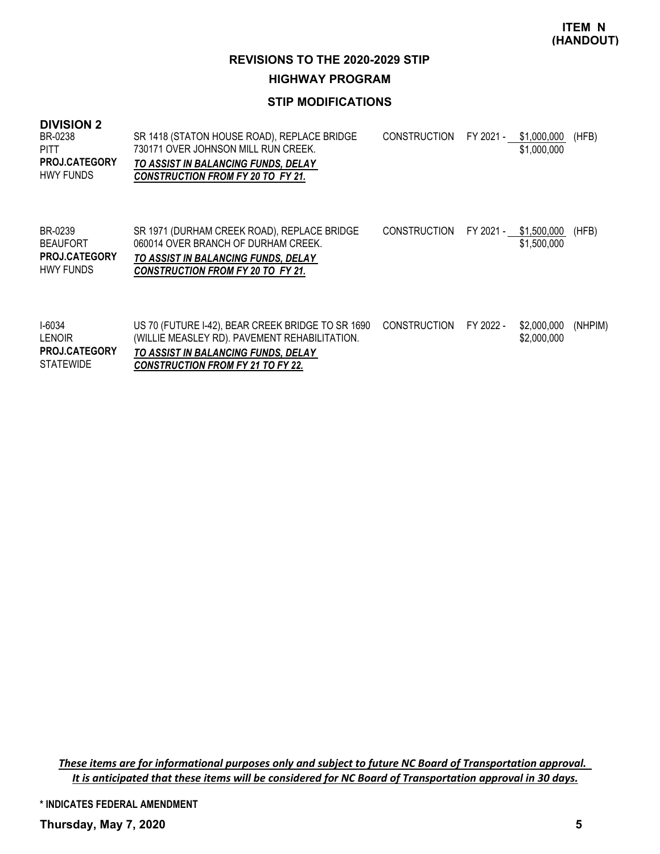\$1,500,000

# **REVISIONS TO THE 2020-2029 STIP**

## **HIGHWAY PROGRAM**

## **STIP MODIFICATIONS**

#### **DIVISION 2**

| BR-0238<br><b>PITT</b><br><b>PROJ.CATEGORY</b><br>HWY FUNDS | SR 1418 (STATON HOUSE ROAD), REPLACE BRIDGE<br>730171 OVER JOHNSON MILL RUN CREEK.<br>TO ASSIST IN BALANCING FUNDS, DELAY<br><b>CONSTRUCTION FROM FY 20 TO FY 21.</b> | CONSTRUCTION FY 2021 - \$1,000,000 | \$1,000,000 | (HFB) |
|-------------------------------------------------------------|-----------------------------------------------------------------------------------------------------------------------------------------------------------------------|------------------------------------|-------------|-------|
| BR-0239                                                     | SR 1971 (DURHAM CREEK ROAD), REPLACE BRIDGE                                                                                                                           | CONSTRUCTION FY 2021 - \$1,500,000 |             | (HFB) |

060014 OVER BRANCH OF DURHAM CREEK. BEAUFORT *TO ASSIST IN BALANCING FUNDS, DELAY CONSTRUCTION FROM FY 20 TO FY 21.* HWY FUNDS **PROJ.CATEGORY**

| <b>I-6034</b><br><b>LENOIR</b>           | US 70 (FUTURE 1-42), BEAR CREEK BRIDGE TO SR 1690 CONSTRUCTION FY 2022 -<br>(WILLIE MEASLEY RD). PAVEMENT REHABILITATION. |  | \$2.000.000 (NHPIM)<br>\$2,000,000 |  |
|------------------------------------------|---------------------------------------------------------------------------------------------------------------------------|--|------------------------------------|--|
| <b>PROJ.CATEGORY</b><br><b>STATEWIDE</b> | TO ASSIST IN BALANCING FUNDS, DELAY<br><b>CONSTRUCTION FROM FY 21 TO FY 22.</b>                                           |  |                                    |  |

These items are for informational purposes only and subject to future NC Board of Transportation approval. It is anticipated that these items will be considered for NC Board of Transportation approval in 30 days.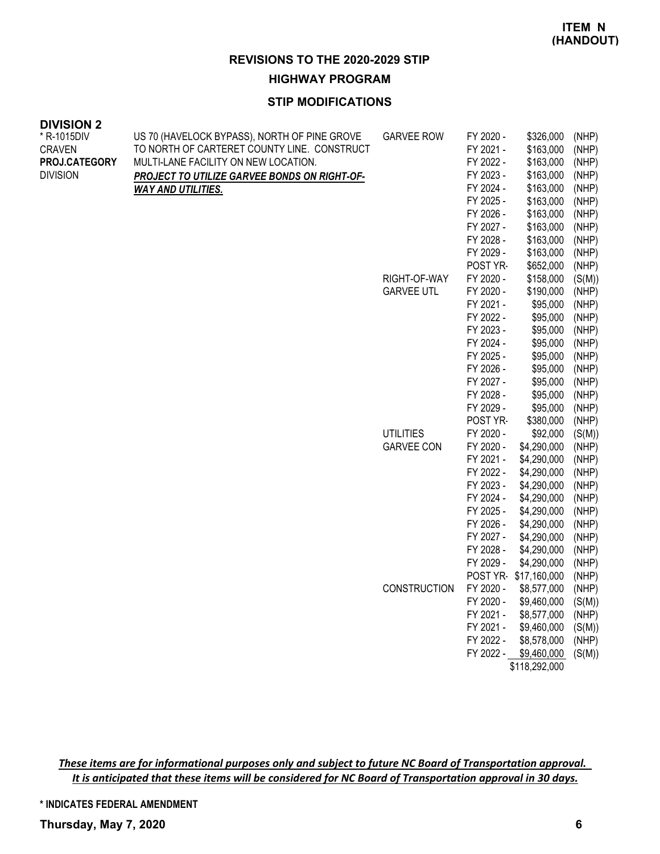#### **HIGHWAY PROGRAM**

#### **STIP MODIFICATIONS**

| <b>DIVISION 2</b> |                                                     |                     |           |              |        |
|-------------------|-----------------------------------------------------|---------------------|-----------|--------------|--------|
| * R-1015DIV       | US 70 (HAVELOCK BYPASS), NORTH OF PINE GROVE        | <b>GARVEE ROW</b>   | FY 2020 - | \$326,000    | (NHP)  |
| <b>CRAVEN</b>     | TO NORTH OF CARTERET COUNTY LINE. CONSTRUCT         |                     | FY 2021 - | \$163,000    | (NHP)  |
| PROJ.CATEGORY     | MULTI-LANE FACILITY ON NEW LOCATION.                |                     | FY 2022 - | \$163,000    | (NHP)  |
| <b>DIVISION</b>   | <b>PROJECT TO UTILIZE GARVEE BONDS ON RIGHT-OF-</b> |                     | FY 2023 - | \$163,000    | (NHP)  |
|                   | <b>WAY AND UTILITIES.</b>                           |                     | FY 2024 - | \$163,000    | (NHP)  |
|                   |                                                     |                     | FY 2025 - | \$163,000    | (NHP)  |
|                   |                                                     |                     | FY 2026 - | \$163,000    | (NHP)  |
|                   |                                                     |                     | FY 2027 - | \$163,000    | (NHP)  |
|                   |                                                     |                     | FY 2028 - | \$163,000    | (NHP)  |
|                   |                                                     |                     | FY 2029 - | \$163,000    | (NHP)  |
|                   |                                                     |                     | POST YR-  | \$652,000    | (NHP)  |
|                   |                                                     | RIGHT-OF-WAY        | FY 2020 - | \$158,000    | (S(M)) |
|                   |                                                     | <b>GARVEE UTL</b>   | FY 2020 - | \$190,000    | (NHP)  |
|                   |                                                     |                     | FY 2021 - | \$95,000     | (NHP)  |
|                   |                                                     |                     | FY 2022 - | \$95,000     | (NHP)  |
|                   |                                                     |                     | FY 2023 - | \$95,000     | (NHP)  |
|                   |                                                     |                     | FY 2024 - | \$95,000     | (NHP)  |
|                   |                                                     |                     | FY 2025 - | \$95,000     | (NHP)  |
|                   |                                                     |                     | FY 2026 - | \$95,000     | (NHP)  |
|                   |                                                     |                     | FY 2027 - | \$95,000     | (NHP)  |
|                   |                                                     |                     | FY 2028 - | \$95,000     | (NHP)  |
|                   |                                                     |                     | FY 2029 - | \$95,000     | (NHP)  |
|                   |                                                     |                     | POST YR-  | \$380,000    | (NHP)  |
|                   |                                                     | <b>UTILITIES</b>    | FY 2020 - | \$92,000     | (S(M)) |
|                   |                                                     | <b>GARVEE CON</b>   | FY 2020 - | \$4,290,000  | (NHP)  |
|                   |                                                     |                     | FY 2021 - | \$4,290,000  | (NHP)  |
|                   |                                                     |                     | FY 2022 - | \$4,290,000  | (NHP)  |
|                   |                                                     |                     | FY 2023 - | \$4,290,000  | (NHP)  |
|                   |                                                     |                     | FY 2024 - | \$4,290,000  | (NHP)  |
|                   |                                                     |                     | FY 2025 - | \$4,290,000  | (NHP)  |
|                   |                                                     |                     | FY 2026 - | \$4,290,000  | (NHP)  |
|                   |                                                     |                     | FY 2027 - | \$4,290,000  | (NHP)  |
|                   |                                                     |                     | FY 2028 - | \$4,290,000  | (NHP)  |
|                   |                                                     |                     | FY 2029 - | \$4,290,000  | (NHP)  |
|                   |                                                     |                     | POST YR-  | \$17,160,000 | (NHP)  |
|                   |                                                     | <b>CONSTRUCTION</b> | FY 2020 - | \$8,577,000  | (NHP)  |
|                   |                                                     |                     | FY 2020 - | \$9,460,000  | (S(M)) |
|                   |                                                     |                     | FY 2021 - | \$8,577,000  | (NHP)  |
|                   |                                                     |                     | FY 2021 - | \$9,460,000  | (S(M)) |
|                   |                                                     |                     | FY 2022 - | \$8,578,000  | (NHP)  |
|                   |                                                     |                     | FY 2022 - | \$9,460,000  | (S(M)) |

\$118,292,000

These items are for informational purposes only and subject to future NC Board of Transportation approval. It is anticipated that these items will be considered for NC Board of Transportation approval in 30 days.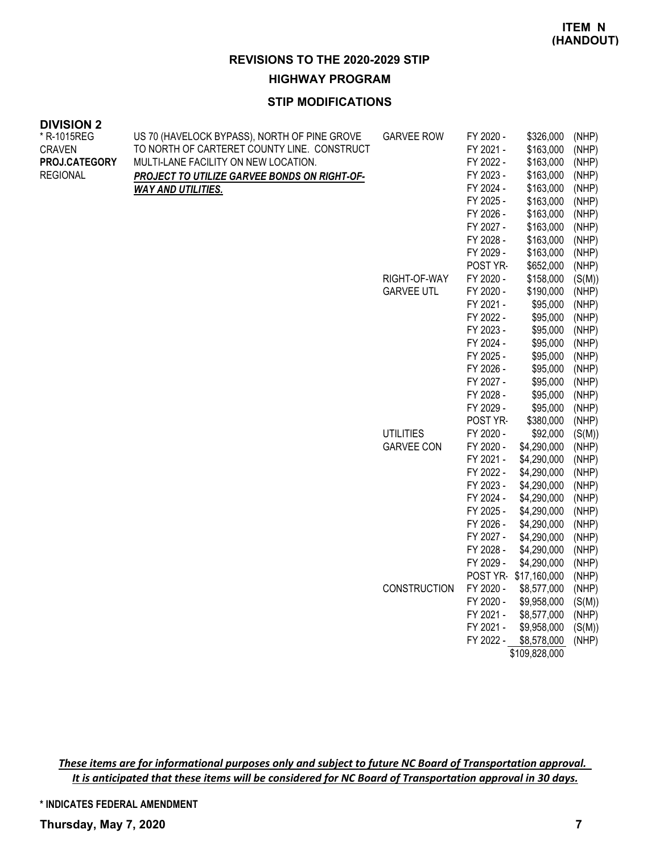#### **HIGHWAY PROGRAM**

#### **STIP MODIFICATIONS**

| <b>DIVISION 2</b> |                                                     |                   |           |              |        |
|-------------------|-----------------------------------------------------|-------------------|-----------|--------------|--------|
| * R-1015REG       | US 70 (HAVELOCK BYPASS), NORTH OF PINE GROVE        | <b>GARVEE ROW</b> | FY 2020 - | \$326,000    | (NHP)  |
| <b>CRAVEN</b>     | TO NORTH OF CARTERET COUNTY LINE. CONSTRUCT         |                   | FY 2021 - | \$163,000    | (NHP)  |
| PROJ.CATEGORY     | MULTI-LANE FACILITY ON NEW LOCATION.                |                   | FY 2022 - | \$163,000    | (NHP)  |
| <b>REGIONAL</b>   | <b>PROJECT TO UTILIZE GARVEE BONDS ON RIGHT-OF-</b> |                   | FY 2023 - | \$163,000    | (NHP)  |
|                   | <b>WAY AND UTILITIES.</b>                           |                   | FY 2024 - | \$163,000    | (NHP)  |
|                   |                                                     |                   | FY 2025 - | \$163,000    | (NHP)  |
|                   |                                                     |                   | FY 2026 - | \$163,000    | (NHP)  |
|                   |                                                     |                   | FY 2027 - | \$163,000    | (NHP)  |
|                   |                                                     |                   | FY 2028 - | \$163,000    | (NHP)  |
|                   |                                                     |                   | FY 2029 - | \$163,000    | (NHP)  |
|                   |                                                     |                   | POST YR-  | \$652,000    | (NHP)  |
|                   |                                                     | RIGHT-OF-WAY      | FY 2020 - | \$158,000    | (S(M)) |
|                   |                                                     | <b>GARVEE UTL</b> | FY 2020 - | \$190,000    | (NHP)  |
|                   |                                                     |                   | FY 2021 - | \$95,000     | (NHP)  |
|                   |                                                     |                   | FY 2022 - | \$95,000     | (NHP)  |
|                   |                                                     |                   | FY 2023 - | \$95,000     | (NHP)  |
|                   |                                                     |                   | FY 2024 - | \$95,000     | (NHP)  |
|                   |                                                     |                   | FY 2025 - | \$95,000     | (NHP)  |
|                   |                                                     |                   | FY 2026 - | \$95,000     | (NHP)  |
|                   |                                                     |                   | FY 2027 - | \$95,000     | (NHP)  |
|                   |                                                     |                   | FY 2028 - | \$95,000     | (NHP)  |
|                   |                                                     |                   | FY 2029 - | \$95,000     | (NHP)  |
|                   |                                                     |                   | POST YR-  | \$380,000    | (NHP)  |
|                   |                                                     | <b>UTILITIES</b>  | FY 2020 - | \$92,000     | (S(M)) |
|                   |                                                     | <b>GARVEE CON</b> | FY 2020 - | \$4,290,000  | (NHP)  |
|                   |                                                     |                   | FY 2021 - | \$4,290,000  | (NHP)  |
|                   |                                                     |                   | FY 2022 - | \$4,290,000  | (NHP)  |
|                   |                                                     |                   | FY 2023 - | \$4,290,000  | (NHP)  |
|                   |                                                     |                   | FY 2024 - | \$4,290,000  | (NHP)  |
|                   |                                                     |                   | FY 2025 - | \$4,290,000  | (NHP)  |
|                   |                                                     |                   | FY 2026 - | \$4,290,000  | (NHP)  |
|                   |                                                     |                   | FY 2027 - | \$4,290,000  | (NHP)  |
|                   |                                                     |                   | FY 2028 - | \$4,290,000  | (NHP)  |
|                   |                                                     |                   | FY 2029 - | \$4,290,000  | (NHP)  |
|                   |                                                     |                   | POST YR-  | \$17,160,000 | (NHP)  |
|                   |                                                     | CONSTRUCTION      | FY 2020 - | \$8,577,000  | (NHP)  |
|                   |                                                     |                   | FY 2020 - | \$9,958,000  | (S(M)) |
|                   |                                                     |                   | FY 2021 - | \$8,577,000  | (NHP)  |
|                   |                                                     |                   | FY 2021 - | \$9,958,000  | (S(M)) |
|                   |                                                     |                   | FY 2022 - | \$8,578,000  | (NHP)  |

\$109,828,000

These items are for informational purposes only and subject to future NC Board of Transportation approval. It is anticipated that these items will be considered for NC Board of Transportation approval in 30 days.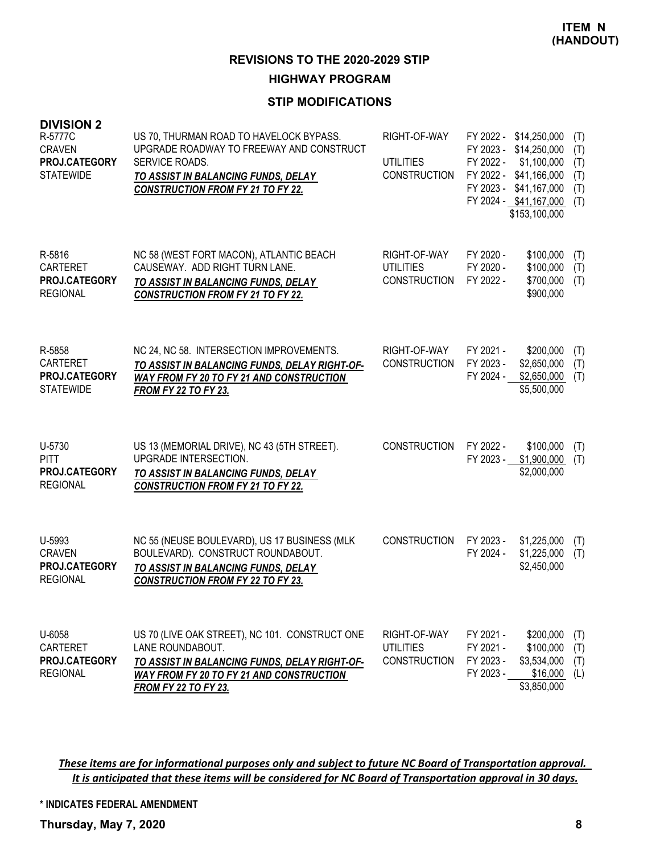# **HIGHWAY PROGRAM**

## **STIP MODIFICATIONS**

| <b>DIVISION 2</b><br>R-5777C<br><b>CRAVEN</b><br>PROJ.CATEGORY<br><b>STATEWIDE</b> | US 70, THURMAN ROAD TO HAVELOCK BYPASS.<br>UPGRADE ROADWAY TO FREEWAY AND CONSTRUCT<br>SERVICE ROADS.<br>TO ASSIST IN BALANCING FUNDS, DELAY<br><b>CONSTRUCTION FROM FY 21 TO FY 22.</b>              | RIGHT-OF-WAY<br><b>UTILITIES</b><br><b>CONSTRUCTION</b> | FY 2022 -<br>FY 2023 -<br>FY 2022 -<br>FY 2022 -<br>FY 2023 - | \$14,250,000<br>\$14,250,000<br>\$1,100,000<br>\$41,166,000<br>\$41,167,000<br>FY 2024 - \$41,167,000<br>\$153,100,000 | (T)<br>(T)<br>(T)<br>(T)<br>(T)<br>(T) |
|------------------------------------------------------------------------------------|-------------------------------------------------------------------------------------------------------------------------------------------------------------------------------------------------------|---------------------------------------------------------|---------------------------------------------------------------|------------------------------------------------------------------------------------------------------------------------|----------------------------------------|
| R-5816<br><b>CARTERET</b><br>PROJ.CATEGORY<br><b>REGIONAL</b>                      | NC 58 (WEST FORT MACON), ATLANTIC BEACH<br>CAUSEWAY. ADD RIGHT TURN LANE.<br>TO ASSIST IN BALANCING FUNDS, DELAY<br><b>CONSTRUCTION FROM FY 21 TO FY 22.</b>                                          | RIGHT-OF-WAY<br><b>UTILITIES</b><br><b>CONSTRUCTION</b> | FY 2020 -<br>FY 2020 -<br>FY 2022 -                           | \$100,000<br>\$100,000<br>\$700,000<br>\$900,000                                                                       | (T)<br>(T)<br>(T)                      |
| R-5858<br>CARTERET<br>PROJ.CATEGORY<br><b>STATEWIDE</b>                            | NC 24, NC 58. INTERSECTION IMPROVEMENTS.<br>TO ASSIST IN BALANCING FUNDS, DELAY RIGHT-OF-<br><b>WAY FROM FY 20 TO FY 21 AND CONSTRUCTION</b><br><b>FROM FY 22 TO FY 23.</b>                           | RIGHT-OF-WAY<br><b>CONSTRUCTION</b>                     | FY 2021 -<br>FY 2023 -<br>FY 2024 -                           | \$200,000<br>\$2,650,000<br>\$2,650,000<br>\$5,500,000                                                                 | (T)<br>(T)<br>(T)                      |
| U-5730<br><b>PITT</b><br>PROJ.CATEGORY<br><b>REGIONAL</b>                          | US 13 (MEMORIAL DRIVE), NC 43 (5TH STREET).<br>UPGRADE INTERSECTION.<br><b>TO ASSIST IN BALANCING FUNDS, DELAY</b><br><b>CONSTRUCTION FROM FY 21 TO FY 22.</b>                                        | <b>CONSTRUCTION</b>                                     | FY 2022 -<br>FY 2023 -                                        | \$100,000<br>\$1,900,000<br>\$2,000,000                                                                                | (T)<br>(T)                             |
| U-5993<br><b>CRAVEN</b><br>PROJ.CATEGORY<br><b>REGIONAL</b>                        | NC 55 (NEUSE BOULEVARD), US 17 BUSINESS (MLK<br>BOULEVARD). CONSTRUCT ROUNDABOUT.<br>TO ASSIST IN BALANCING FUNDS, DELAY<br><b>CONSTRUCTION FROM FY 22 TO FY 23.</b>                                  | <b>CONSTRUCTION</b>                                     | FY 2023 -<br>FY 2024 -                                        | \$1,225,000<br>\$1,225,000<br>\$2,450,000                                                                              | (T)<br>(T)                             |
| U-6058<br>CARTERET<br>PROJ.CATEGORY<br><b>REGIONAL</b>                             | US 70 (LIVE OAK STREET), NC 101. CONSTRUCT ONE<br>LANE ROUNDABOUT.<br>TO ASSIST IN BALANCING FUNDS, DELAY RIGHT-OF-<br><b>WAY FROM FY 20 TO FY 21 AND CONSTRUCTION</b><br><b>FROM FY 22 TO FY 23.</b> | RIGHT-OF-WAY<br><b>UTILITIES</b><br><b>CONSTRUCTION</b> | FY 2021 -<br>FY 2021 -<br>FY 2023 -<br>FY 2023 -              | \$200,000<br>\$100,000<br>\$3,534,000<br>\$16,000<br>\$3,850,000                                                       | (T)<br>(T)<br>(T)<br>(L)               |

These items are for informational purposes only and subject to future NC Board of Transportation approval. It is anticipated that these items will be considered for NC Board of Transportation approval in 30 days.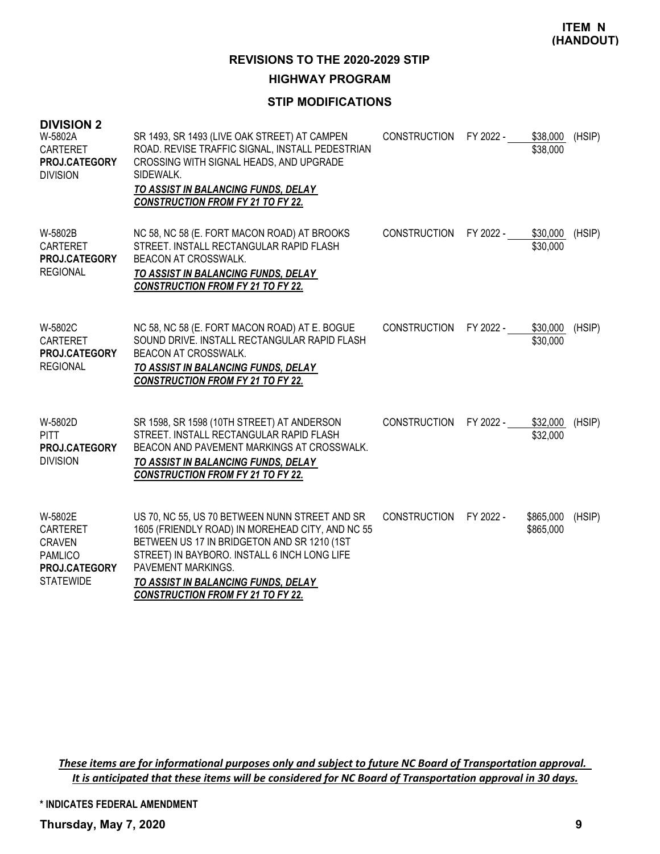# **HIGHWAY PROGRAM**

## **STIP MODIFICATIONS**

| <b>DIVISION 2</b><br>W-5802A<br>CARTERET<br>PROJ.CATEGORY<br><b>DIVISION</b>                       | SR 1493, SR 1493 (LIVE OAK STREET) AT CAMPEN<br>ROAD. REVISE TRAFFIC SIGNAL, INSTALL PEDESTRIAN<br>CROSSING WITH SIGNAL HEADS, AND UPGRADE<br>SIDEWALK.<br>TO ASSIST IN BALANCING FUNDS, DELAY<br><b>CONSTRUCTION FROM FY 21 TO FY 22.</b>                                                                 | <b>CONSTRUCTION</b> | FY 2022 - | \$38,000<br>\$38,000   | (HSIP) |
|----------------------------------------------------------------------------------------------------|------------------------------------------------------------------------------------------------------------------------------------------------------------------------------------------------------------------------------------------------------------------------------------------------------------|---------------------|-----------|------------------------|--------|
| W-5802B<br>CARTERET<br>PROJ.CATEGORY<br><b>REGIONAL</b>                                            | NC 58, NC 58 (E. FORT MACON ROAD) AT BROOKS<br>STREET. INSTALL RECTANGULAR RAPID FLASH<br>BEACON AT CROSSWALK.<br>TO ASSIST IN BALANCING FUNDS, DELAY<br><b>CONSTRUCTION FROM FY 21 TO FY 22.</b>                                                                                                          | <b>CONSTRUCTION</b> | FY 2022 - | \$30,000<br>\$30,000   | (HSIP) |
| W-5802C<br><b>CARTERET</b><br>PROJ.CATEGORY<br><b>REGIONAL</b>                                     | NC 58, NC 58 (E. FORT MACON ROAD) AT E. BOGUE<br>SOUND DRIVE. INSTALL RECTANGULAR RAPID FLASH<br>BEACON AT CROSSWALK.<br>TO ASSIST IN BALANCING FUNDS, DELAY<br><b>CONSTRUCTION FROM FY 21 TO FY 22.</b>                                                                                                   | <b>CONSTRUCTION</b> | FY 2022 - | \$30,000<br>\$30,000   | (HSIP) |
| W-5802D<br><b>PITT</b><br>PROJ.CATEGORY<br><b>DIVISION</b>                                         | SR 1598, SR 1598 (10TH STREET) AT ANDERSON<br>STREET. INSTALL RECTANGULAR RAPID FLASH<br>BEACON AND PAVEMENT MARKINGS AT CROSSWALK.<br>TO ASSIST IN BALANCING FUNDS, DELAY<br><b>CONSTRUCTION FROM FY 21 TO FY 22.</b>                                                                                     | <b>CONSTRUCTION</b> | FY 2022 - | \$32,000<br>\$32,000   | (HSIP) |
| W-5802E<br><b>CARTERET</b><br><b>CRAVEN</b><br><b>PAMLICO</b><br>PROJ.CATEGORY<br><b>STATEWIDE</b> | US 70, NC 55, US 70 BETWEEN NUNN STREET AND SR<br>1605 (FRIENDLY ROAD) IN MOREHEAD CITY, AND NC 55<br>BETWEEN US 17 IN BRIDGETON AND SR 1210 (1ST<br>STREET) IN BAYBORO. INSTALL 6 INCH LONG LIFE<br>PAVEMENT MARKINGS.<br>TO ASSIST IN BALANCING FUNDS, DELAY<br><b>CONSTRUCTION FROM FY 21 TO FY 22.</b> | <b>CONSTRUCTION</b> | FY 2022 - | \$865,000<br>\$865,000 | (HSIP) |

These items are for informational purposes only and subject to future NC Board of Transportation approval. It is anticipated that these items will be considered for NC Board of Transportation approval in 30 days.

**\* INDICATES FEDERAL AMENDMENT**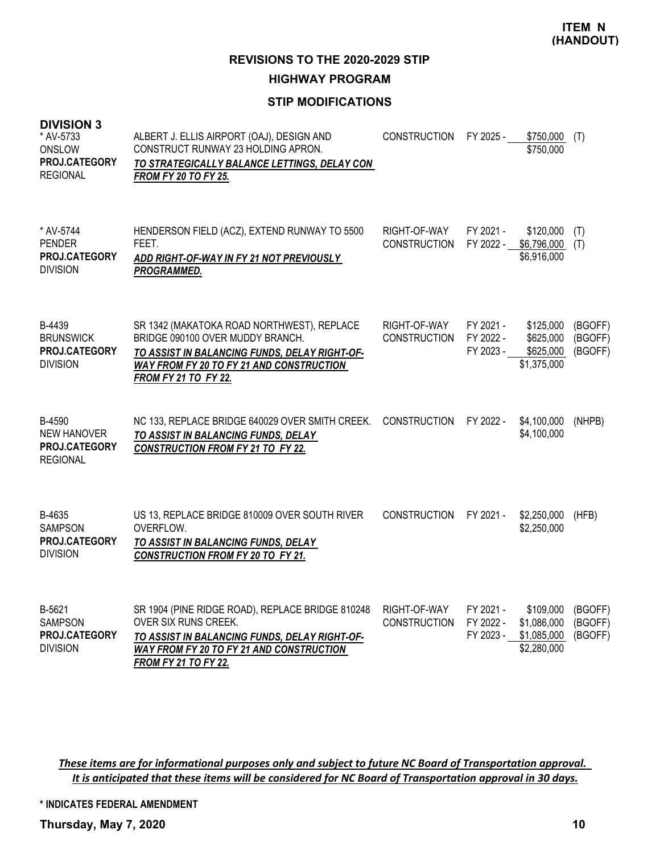**REVISIONS TO THE 2020-2029 STIP**

**HIGHWAY PROGRAM**

# **STIP MODIFICATIONS**

| <b>DIVISION 3</b><br>* AV-5733<br>ONSLOW<br>PROJ.CATEGORY<br><b>REGIONAL</b> | ALBERT J. ELLIS AIRPORT (OAJ), DESIGN AND<br>CONSTRUCT RUNWAY 23 HOLDING APRON.<br>TO STRATEGICALLY BALANCE LETTINGS, DELAY CON<br><b>FROM FY 20 TO FY 25.</b>                                              | <b>CONSTRUCTION</b>                 | FY 2025 -                           | \$750,000<br>\$750,000                                 | (T)                           |
|------------------------------------------------------------------------------|-------------------------------------------------------------------------------------------------------------------------------------------------------------------------------------------------------------|-------------------------------------|-------------------------------------|--------------------------------------------------------|-------------------------------|
| * AV-5744<br><b>PENDER</b><br>PROJ.CATEGORY<br><b>DIVISION</b>               | HENDERSON FIELD (ACZ), EXTEND RUNWAY TO 5500<br>FEET.<br>ADD RIGHT-OF-WAY IN FY 21 NOT PREVIOUSLY<br>PROGRAMMED.                                                                                            | RIGHT-OF-WAY<br><b>CONSTRUCTION</b> | FY 2021 -<br>FY 2022 -              | \$120,000<br>\$6,796,000<br>\$6,916,000                | (T)<br>(T)                    |
| B-4439<br><b>BRUNSWICK</b><br>PROJ.CATEGORY<br><b>DIVISION</b>               | SR 1342 (MAKATOKA ROAD NORTHWEST), REPLACE<br>BRIDGE 090100 OVER MUDDY BRANCH.<br>TO ASSIST IN BALANCING FUNDS, DELAY RIGHT-OF-<br>WAY FROM FY 20 TO FY 21 AND CONSTRUCTION<br><b>FROM FY 21 TO FY 22.</b>  | RIGHT-OF-WAY<br><b>CONSTRUCTION</b> | FY 2021 -<br>FY 2022 -<br>FY 2023 - | \$125,000<br>\$625,000<br>\$625,000<br>\$1,375,000     | (BGOFF)<br>(BGOFF)<br>(BGOFF) |
| B-4590<br><b>NEW HANOVER</b><br>PROJ.CATEGORY<br><b>REGIONAL</b>             | NC 133, REPLACE BRIDGE 640029 OVER SMITH CREEK.<br>TO ASSIST IN BALANCING FUNDS, DELAY<br><b>CONSTRUCTION FROM FY 21 TO FY 22.</b>                                                                          | <b>CONSTRUCTION</b>                 | FY 2022 -                           | \$4,100,000<br>\$4,100,000                             | (NHPB)                        |
| B-4635<br><b>SAMPSON</b><br>PROJ.CATEGORY<br><b>DIVISION</b>                 | US 13, REPLACE BRIDGE 810009 OVER SOUTH RIVER<br>OVERFLOW.<br>TO ASSIST IN BALANCING FUNDS, DELAY<br><b>CONSTRUCTION FROM FY 20 TO FY 21.</b>                                                               | <b>CONSTRUCTION</b>                 | FY 2021 -                           | \$2,250,000<br>\$2,250,000                             | (HFB)                         |
| B-5621<br><b>SAMPSON</b><br>PROJ.CATEGORY<br><b>DIVISION</b>                 | SR 1904 (PINE RIDGE ROAD), REPLACE BRIDGE 810248<br>OVER SIX RUNS CREEK.<br>TO ASSIST IN BALANCING FUNDS, DELAY RIGHT-OF-<br><b>WAY FROM FY 20 TO FY 21 AND CONSTRUCTION</b><br><b>FROM FY 21 TO FY 22.</b> | RIGHT-OF-WAY<br><b>CONSTRUCTION</b> | FY 2021 -<br>FY 2022 -<br>FY 2023 - | \$109,000<br>\$1,086,000<br>\$1,085,000<br>\$2,280,000 | (BGOFF)<br>(BGOFF)<br>(BGOFF) |

These items are for informational purposes only and subject to future NC Board of Transportation approval. It is anticipated that these items will be considered for NC Board of Transportation approval in 30 days.

**\* INDICATES FEDERAL AMENDMENT**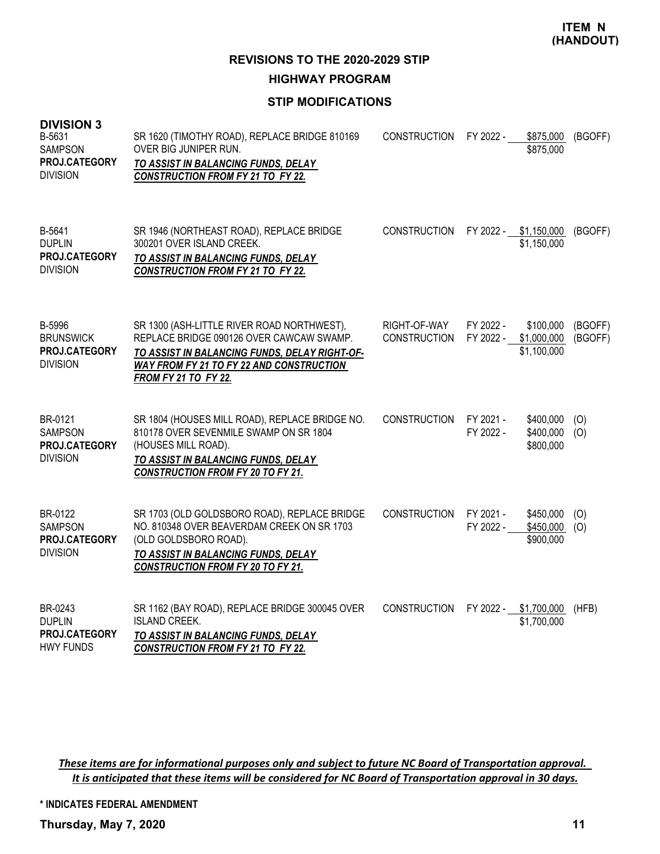**REVISIONS TO THE 2020-2029 STIP**

**HIGHWAY PROGRAM**

# **STIP MODIFICATIONS**

| <b>DIVISION 3</b><br>B-5631<br>SAMPSON<br>PROJ.CATEGORY<br><b>DIVISION</b> | SR 1620 (TIMOTHY ROAD), REPLACE BRIDGE 810169<br>OVER BIG JUNIPER RUN.<br>TO ASSIST IN BALANCING FUNDS, DELAY<br><b>CONSTRUCTION FROM FY 21 TO FY 22.</b>                                                          | <b>CONSTRUCTION</b>                 | FY 2022 -              | \$875,000<br>\$875,000                  | (BGOFF)            |
|----------------------------------------------------------------------------|--------------------------------------------------------------------------------------------------------------------------------------------------------------------------------------------------------------------|-------------------------------------|------------------------|-----------------------------------------|--------------------|
| B-5641<br><b>DUPLIN</b><br>PROJ.CATEGORY<br><b>DIVISION</b>                | SR 1946 (NORTHEAST ROAD), REPLACE BRIDGE<br>300201 OVER ISLAND CREEK.<br>TO ASSIST IN BALANCING FUNDS, DELAY<br><b>CONSTRUCTION FROM FY 21 TO FY 22.</b>                                                           | <b>CONSTRUCTION</b>                 |                        | FY 2022 - \$1,150,000<br>\$1,150,000    | (BGOFF)            |
| B-5996<br><b>BRUNSWICK</b><br>PROJ.CATEGORY<br><b>DIVISION</b>             | SR 1300 (ASH-LITTLE RIVER ROAD NORTHWEST),<br>REPLACE BRIDGE 090126 OVER CAWCAW SWAMP.<br>TO ASSIST IN BALANCING FUNDS, DELAY RIGHT-OF-<br>WAY FROM FY 21 TO FY 22 AND CONSTRUCTION<br><b>FROM FY 21 TO FY 22.</b> | RIGHT-OF-WAY<br><b>CONSTRUCTION</b> | FY 2022 -<br>FY 2022 - | \$100,000<br>\$1,000,000<br>\$1,100,000 | (BGOFF)<br>(BGOFF) |
| BR-0121<br><b>SAMPSON</b><br>PROJ.CATEGORY<br><b>DIVISION</b>              | SR 1804 (HOUSES MILL ROAD), REPLACE BRIDGE NO.<br>810178 OVER SEVENMILE SWAMP ON SR 1804<br>(HOUSES MILL ROAD).<br>TO ASSIST IN BALANCING FUNDS, DELAY<br><b>CONSTRUCTION FROM FY 20 TO FY 21.</b>                 | <b>CONSTRUCTION</b>                 | FY 2021 -<br>FY 2022 - | \$400,000<br>\$400,000<br>\$800,000     | (0)<br>(0)         |
| BR-0122<br><b>SAMPSON</b><br>PROJ.CATEGORY<br><b>DIVISION</b>              | SR 1703 (OLD GOLDSBORO ROAD), REPLACE BRIDGE<br>NO. 810348 OVER BEAVERDAM CREEK ON SR 1703<br>(OLD GOLDSBORO ROAD).<br>TO ASSIST IN BALANCING FUNDS, DELAY<br><b>CONSTRUCTION FROM FY 20 TO FY 21.</b>             | <b>CONSTRUCTION</b>                 | FY 2021 -<br>FY 2022 - | \$450,000<br>\$450,000<br>\$900,000     | (O)<br>(O)         |
| BR-0243<br><b>DUPLIN</b><br>PROJ.CATEGORY<br><b>HWY FUNDS</b>              | SR 1162 (BAY ROAD), REPLACE BRIDGE 300045 OVER<br><b>ISLAND CREEK.</b><br>TO ASSIST IN BALANCING FUNDS, DELAY<br><b>CONSTRUCTION FROM FY 21 TO FY 22.</b>                                                          | <b>CONSTRUCTION</b>                 | FY 2022 -              | \$1,700,000<br>\$1,700,000              | (HFB)              |

These items are for informational purposes only and subject to future NC Board of Transportation approval. It is anticipated that these items will be considered for NC Board of Transportation approval in 30 days.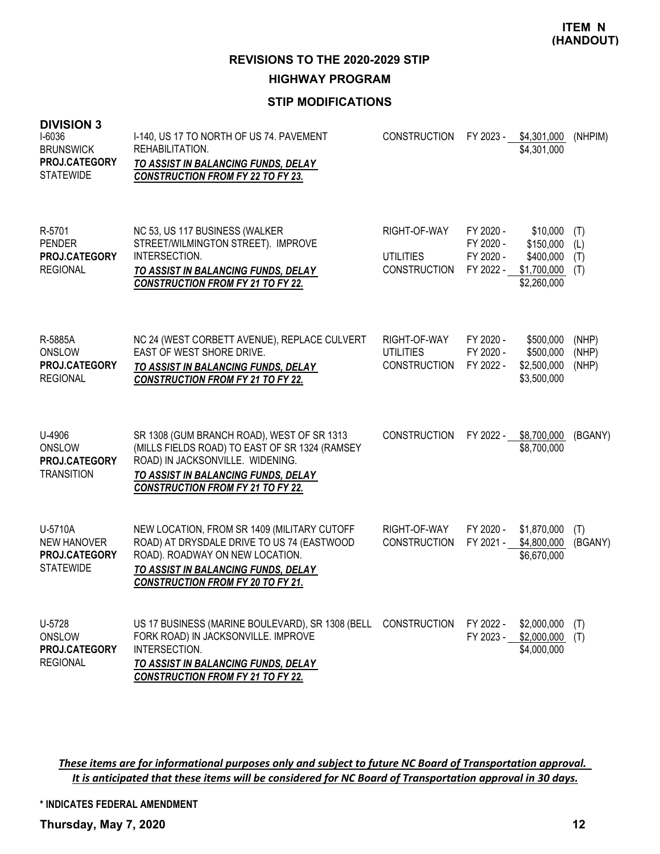**REVISIONS TO THE 2020-2029 STIP**

**HIGHWAY PROGRAM**

# **STIP MODIFICATIONS**

| <b>DIVISION 3</b><br>I-6036<br><b>BRUNSWICK</b><br>PROJ.CATEGORY<br><b>STATEWIDE</b> | I-140, US 17 TO NORTH OF US 74. PAVEMENT<br>REHABILITATION.<br>TO ASSIST IN BALANCING FUNDS, DELAY<br><b>CONSTRUCTION FROM FY 22 TO FY 23.</b>                                                                      | <b>CONSTRUCTION</b>                                     | FY 2023 -                                        | \$4,301,000<br>\$4,301,000                                       | (NHPIM)                  |
|--------------------------------------------------------------------------------------|---------------------------------------------------------------------------------------------------------------------------------------------------------------------------------------------------------------------|---------------------------------------------------------|--------------------------------------------------|------------------------------------------------------------------|--------------------------|
| R-5701<br><b>PENDER</b><br>PROJ.CATEGORY<br><b>REGIONAL</b>                          | NC 53, US 117 BUSINESS (WALKER<br>STREET/WILMINGTON STREET). IMPROVE<br>INTERSECTION.<br>TO ASSIST IN BALANCING FUNDS, DELAY<br><b>CONSTRUCTION FROM FY 21 TO FY 22.</b>                                            | RIGHT-OF-WAY<br><b>UTILITIES</b><br><b>CONSTRUCTION</b> | FY 2020 -<br>FY 2020 -<br>FY 2020 -<br>FY 2022 - | \$10,000<br>\$150,000<br>\$400,000<br>\$1,700,000<br>\$2,260,000 | (T)<br>(L)<br>(T)<br>(T) |
| R-5885A<br>ONSLOW<br>PROJ.CATEGORY<br><b>REGIONAL</b>                                | NC 24 (WEST CORBETT AVENUE), REPLACE CULVERT<br>EAST OF WEST SHORE DRIVE.<br>TO ASSIST IN BALANCING FUNDS, DELAY<br><b>CONSTRUCTION FROM FY 21 TO FY 22.</b>                                                        | RIGHT-OF-WAY<br><b>UTILITIES</b><br><b>CONSTRUCTION</b> | FY 2020 -<br>FY 2020 -<br>FY 2022 -              | \$500,000<br>\$500,000<br>\$2,500,000<br>\$3,500,000             | (NHP)<br>(NHP)<br>(NHP)  |
| U-4906<br><b>ONSLOW</b><br>PROJ.CATEGORY<br><b>TRANSITION</b>                        | SR 1308 (GUM BRANCH ROAD), WEST OF SR 1313<br>(MILLS FIELDS ROAD) TO EAST OF SR 1324 (RAMSEY<br>ROAD) IN JACKSONVILLE. WIDENING.<br>TO ASSIST IN BALANCING FUNDS, DELAY<br><b>CONSTRUCTION FROM FY 21 TO FY 22.</b> | <b>CONSTRUCTION</b>                                     | FY 2022 -                                        | \$8,700,000<br>\$8,700,000                                       | (BGANY)                  |
| U-5710A<br><b>NEW HANOVER</b><br>PROJ.CATEGORY<br><b>STATEWIDE</b>                   | NEW LOCATION, FROM SR 1409 (MILITARY CUTOFF<br>ROAD) AT DRYSDALE DRIVE TO US 74 (EASTWOOD<br>ROAD). ROADWAY ON NEW LOCATION.<br>TO ASSIST IN BALANCING FUNDS, DELAY<br><b>CONSTRUCTION FROM FY 20 TO FY 21.</b>     | RIGHT-OF-WAY<br><b>CONSTRUCTION</b>                     | FY 2020 -<br>FY 2021 -                           | \$1,870,000<br>\$4,800,000<br>\$6,670,000                        | (T)<br>(BGANY)           |
| U-5728<br>ONSLOW<br>PROJ.CATEGORY<br><b>REGIONAL</b>                                 | US 17 BUSINESS (MARINE BOULEVARD), SR 1308 (BELL<br>FORK ROAD) IN JACKSONVILLE. IMPROVE<br>INTERSECTION.<br>TO ASSIST IN BALANCING FUNDS, DELAY<br><b>CONSTRUCTION FROM FY 21 TO FY 22.</b>                         | <b>CONSTRUCTION</b>                                     | FY 2022 -<br>FY 2023 -                           | \$2,000,000<br>\$2,000,000<br>\$4,000,000                        | (T)<br>(T)               |

These items are for informational purposes only and subject to future NC Board of Transportation approval. It is anticipated that these items will be considered for NC Board of Transportation approval in 30 days.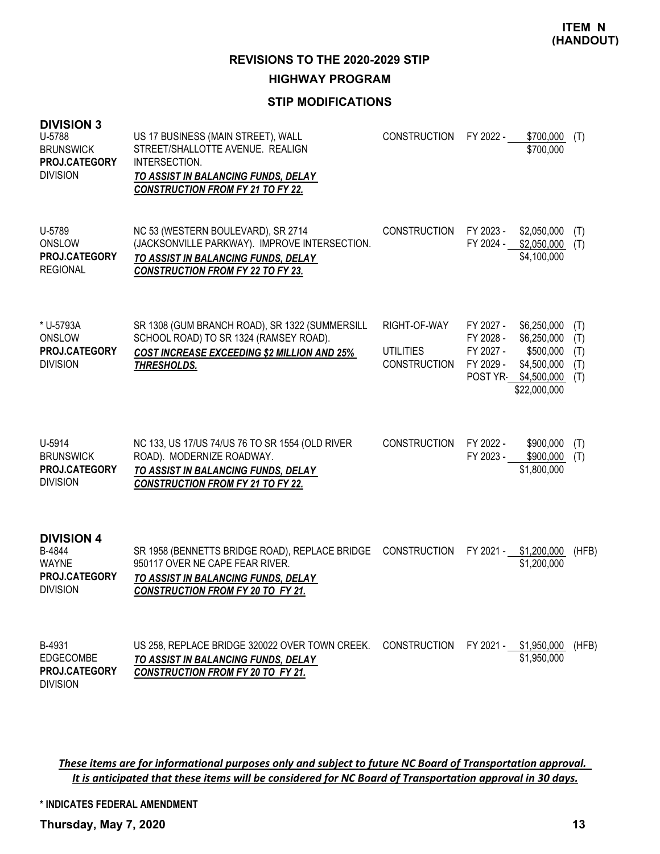**REVISIONS TO THE 2020-2029 STIP**

## **HIGHWAY PROGRAM**

# **STIP MODIFICATIONS**

| <b>DIVISION 3</b><br>U-5788<br><b>BRUNSWICK</b><br>PROJ.CATEGORY<br><b>DIVISION</b> | US 17 BUSINESS (MAIN STREET), WALL<br>STREET/SHALLOTTE AVENUE. REALIGN<br>INTERSECTION.<br>TO ASSIST IN BALANCING FUNDS, DELAY<br><b>CONSTRUCTION FROM FY 21 TO FY 22.</b> | <b>CONSTRUCTION</b>                                     | FY 2022 -                                                    | \$700,000<br>\$700,000                                                                | (T)                             |
|-------------------------------------------------------------------------------------|----------------------------------------------------------------------------------------------------------------------------------------------------------------------------|---------------------------------------------------------|--------------------------------------------------------------|---------------------------------------------------------------------------------------|---------------------------------|
| U-5789<br><b>ONSLOW</b><br>PROJ.CATEGORY<br><b>REGIONAL</b>                         | NC 53 (WESTERN BOULEVARD), SR 2714<br>(JACKSONVILLE PARKWAY). IMPROVE INTERSECTION.<br>TO ASSIST IN BALANCING FUNDS, DELAY<br><b>CONSTRUCTION FROM FY 22 TO FY 23.</b>     | <b>CONSTRUCTION</b>                                     | FY 2023 -<br>FY 2024 -                                       | \$2,050,000<br>\$2,050,000<br>\$4,100,000                                             | (T)<br>(T)                      |
| * U-5793A<br>ONSLOW<br>PROJ.CATEGORY<br><b>DIVISION</b>                             | SR 1308 (GUM BRANCH ROAD), SR 1322 (SUMMERSILL<br>SCHOOL ROAD) TO SR 1324 (RAMSEY ROAD).<br><b>COST INCREASE EXCEEDING \$2 MILLION AND 25%</b><br>THRESHOLDS.              | RIGHT-OF-WAY<br><b>UTILITIES</b><br><b>CONSTRUCTION</b> | FY 2027 -<br>FY 2028 -<br>FY 2027 -<br>FY 2029 -<br>POST YR- | \$6,250,000<br>\$6,250,000<br>\$500,000<br>\$4,500,000<br>\$4,500,000<br>\$22,000,000 | (T)<br>(T)<br>(T)<br>(T)<br>(T) |
| U-5914<br><b>BRUNSWICK</b><br>PROJ.CATEGORY<br><b>DIVISION</b>                      | NC 133, US 17/US 74/US 76 TO SR 1554 (OLD RIVER<br>ROAD). MODERNIZE ROADWAY.<br>TO ASSIST IN BALANCING FUNDS, DELAY<br><b>CONSTRUCTION FROM FY 21 TO FY 22.</b>            | <b>CONSTRUCTION</b>                                     | FY 2022 -<br>FY 2023 -                                       | \$900,000<br>\$900,000<br>\$1,800,000                                                 | (T)<br>(T)                      |
| <b>DIVISION 4</b><br>B-4844<br><b>WAYNE</b><br>PROJ.CATEGORY<br><b>DIVISION</b>     | SR 1958 (BENNETTS BRIDGE ROAD), REPLACE BRIDGE<br>950117 OVER NE CAPE FEAR RIVER.<br>TO ASSIST IN BALANCING FUNDS, DELAY<br><b>CONSTRUCTION FROM FY 20 TO FY 21.</b>       | <b>CONSTRUCTION</b>                                     |                                                              | FY 2021 - \$1,200,000<br>\$1,200,000                                                  | (HFB)                           |
| B-4931<br>EDGECOMBE<br><b>PROJ.CATEGORY</b>                                         | US 258, REPLACE BRIDGE 320022 OVER TOWN CREEK.<br>TO ASSIST IN BALANCING FUNDS, DELAY<br><b>CONSTRUCTION FROM FY 20 TO FY 21.</b>                                          | <b>CONSTRUCTION</b>                                     | FY 2021 -                                                    | \$1,950,000<br>\$1,950,000                                                            | (HFB)                           |

These items are for informational purposes only and subject to future NC Board of Transportation approval. It is anticipated that these items will be considered for NC Board of Transportation approval in 30 days.

**\* INDICATES FEDERAL AMENDMENT**

**Thursday, May 7, 2020 13**

DIVISION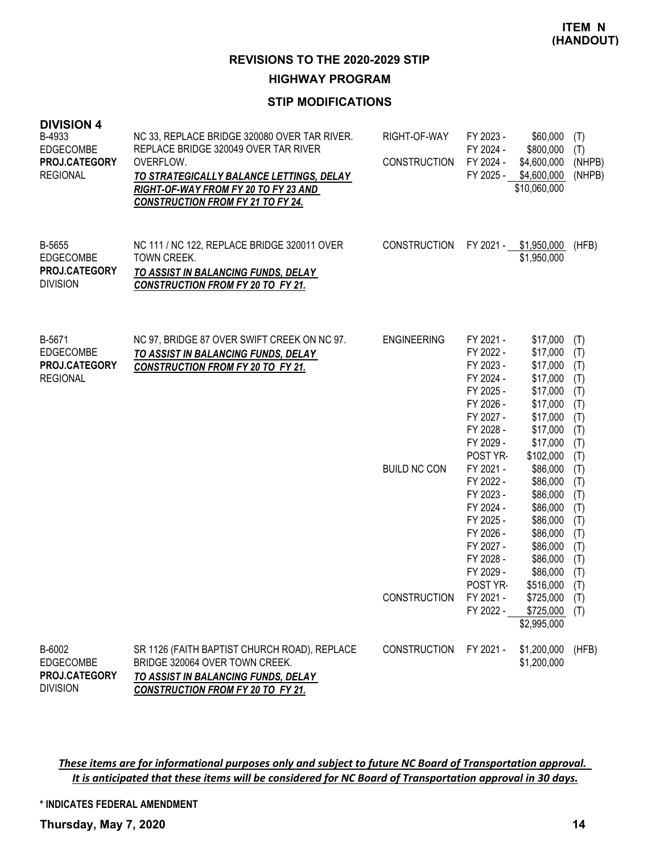#### **HIGHWAY PROGRAM**

## **STIP MODIFICATIONS**

| <b>DIVISION 4</b><br>B-4933<br>EDGECOMBE<br>PROJ.CATEGORY<br><b>REGIONAL</b> | NC 33, REPLACE BRIDGE 320080 OVER TAR RIVER.<br>REPLACE BRIDGE 320049 OVER TAR RIVER<br>OVERFLOW.<br>TO STRATEGICALLY BALANCE LETTINGS, DELAY<br>RIGHT-OF-WAY FROM FY 20 TO FY 23 AND<br><b>CONSTRUCTION FROM FY 21 TO FY 24.</b> | RIGHT-OF-WAY<br><b>CONSTRUCTION</b>                       | FY 2023 -<br>FY 2024 -<br>FY 2024 -<br>FY 2025 -                                                                                                                                                                                                                                         | \$60,000<br>\$800,000<br>\$4,600,000<br>\$4,600,000<br>\$10,060,000                                                                                                                                                                                                      | (T)<br>(T)<br>(NHPB)<br>(NHPB)                                                                                                                         |
|------------------------------------------------------------------------------|-----------------------------------------------------------------------------------------------------------------------------------------------------------------------------------------------------------------------------------|-----------------------------------------------------------|------------------------------------------------------------------------------------------------------------------------------------------------------------------------------------------------------------------------------------------------------------------------------------------|--------------------------------------------------------------------------------------------------------------------------------------------------------------------------------------------------------------------------------------------------------------------------|--------------------------------------------------------------------------------------------------------------------------------------------------------|
| B-5655<br>EDGECOMBE<br>PROJ.CATEGORY<br><b>DIVISION</b>                      | NC 111 / NC 122, REPLACE BRIDGE 320011 OVER<br>TOWN CREEK.<br>TO ASSIST IN BALANCING FUNDS, DELAY<br><b>CONSTRUCTION FROM FY 20 TO FY 21.</b>                                                                                     | <b>CONSTRUCTION</b>                                       | FY 2021 -                                                                                                                                                                                                                                                                                | \$1,950,000<br>\$1,950,000                                                                                                                                                                                                                                               | (HFB)                                                                                                                                                  |
| B-5671<br><b>EDGECOMBE</b><br>PROJ.CATEGORY<br><b>REGIONAL</b>               | NC 97, BRIDGE 87 OVER SWIFT CREEK ON NC 97.<br>TO ASSIST IN BALANCING FUNDS, DELAY<br><b>CONSTRUCTION FROM FY 20 TO FY 21.</b>                                                                                                    | <b>ENGINEERING</b><br><b>BUILD NC CON</b><br>CONSTRUCTION | FY 2021 -<br>FY 2022 -<br>FY 2023 -<br>FY 2024 -<br>FY 2025 -<br>FY 2026 -<br>FY 2027 -<br>FY 2028 -<br>FY 2029 -<br>POST YR-<br>FY 2021 -<br>FY 2022 -<br>FY 2023 -<br>FY 2024 -<br>FY 2025 -<br>FY 2026 -<br>FY 2027 -<br>FY 2028 -<br>FY 2029 -<br>POST YR-<br>FY 2021 -<br>FY 2022 - | \$17,000<br>\$17,000<br>\$17,000<br>\$17,000<br>\$17,000<br>\$17,000<br>\$17,000<br>\$17,000<br>\$17,000<br>\$102,000<br>\$86,000<br>\$86,000<br>\$86,000<br>\$86,000<br>\$86,000<br>\$86,000<br>\$86,000<br>\$86,000<br>\$86,000<br>\$516,000<br>\$725,000<br>\$725,000 | (T)<br>(T)<br>(T)<br>(T)<br>(T)<br>(T)<br>(T)<br>(T)<br>(T)<br>(T)<br>(T)<br>(T)<br>(T)<br>(T)<br>(T)<br>(T)<br>(T)<br>(T)<br>(T)<br>(T)<br>(T)<br>(T) |
| B-6002                                                                       | SR 1126 (FAITH BAPTIST CHURCH ROAD), REPLACE<br>BRIDGE 320064 OVER TOWN CREEK.                                                                                                                                                    | <b>CONSTRUCTION</b>                                       | FY 2021 -                                                                                                                                                                                                                                                                                | \$2,995,000<br>\$1,200,000                                                                                                                                                                                                                                               | (HFB)                                                                                                                                                  |
| <b>EDGECOMBE</b><br>PROJ.CATEGORY<br><b>DIVISION</b>                         | TO ASSIST IN BALANCING FUNDS, DELAY<br><b>CONSTRUCTION FROM FY 20 TO FY 21.</b>                                                                                                                                                   |                                                           |                                                                                                                                                                                                                                                                                          | \$1,200,000                                                                                                                                                                                                                                                              |                                                                                                                                                        |

These items are for informational purposes only and subject to future NC Board of Transportation approval. It is anticipated that these items will be considered for NC Board of Transportation approval in 30 days.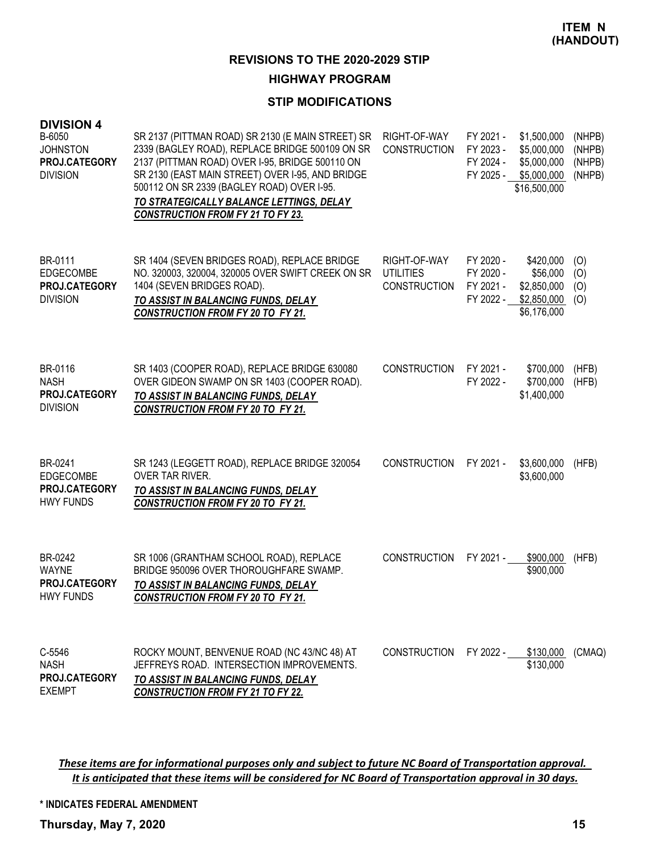## **HIGHWAY PROGRAM**

#### **STIP MODIFICATIONS**

| <b>DIVISION 4</b><br>B-6050<br><b>JOHNSTON</b><br>PROJ.CATEGORY<br><b>DIVISION</b> | SR 2137 (PITTMAN ROAD) SR 2130 (E MAIN STREET) SR<br>2339 (BAGLEY ROAD), REPLACE BRIDGE 500109 ON SR<br>2137 (PITTMAN ROAD) OVER I-95, BRIDGE 500110 ON<br>SR 2130 (EAST MAIN STREET) OVER I-95, AND BRIDGE<br>500112 ON SR 2339 (BAGLEY ROAD) OVER I-95.<br>TO STRATEGICALLY BALANCE LETTINGS, DELAY<br><b>CONSTRUCTION FROM FY 21 TO FY 23.</b> | RIGHT-OF-WAY<br><b>CONSTRUCTION</b>              | FY 2021 -<br>FY 2023 -<br>FY 2024 -<br>FY 2025 - | \$1,500,000<br>\$5,000,000<br>\$5,000,000<br>\$5,000,000<br>\$16,500,000 | (NHPB)<br>(NHPB)<br>(NHPB)<br>(NHPB) |
|------------------------------------------------------------------------------------|---------------------------------------------------------------------------------------------------------------------------------------------------------------------------------------------------------------------------------------------------------------------------------------------------------------------------------------------------|--------------------------------------------------|--------------------------------------------------|--------------------------------------------------------------------------|--------------------------------------|
| BR-0111<br><b>EDGECOMBE</b><br>PROJ.CATEGORY<br><b>DIVISION</b>                    | SR 1404 (SEVEN BRIDGES ROAD), REPLACE BRIDGE<br>NO. 320003, 320004, 320005 OVER SWIFT CREEK ON SR<br>1404 (SEVEN BRIDGES ROAD).<br>TO ASSIST IN BALANCING FUNDS, DELAY<br><b>CONSTRUCTION FROM FY 20 TO FY 21.</b>                                                                                                                                | RIGHT-OF-WAY<br><b>UTILITIES</b><br>CONSTRUCTION | FY 2020 -<br>FY 2020 -<br>FY 2021 -<br>FY 2022 - | \$420,000<br>\$56,000<br>\$2,850,000<br>\$2,850,000<br>\$6,176,000       | (O)<br>(O)<br>(O)<br>(O)             |
| BR-0116<br><b>NASH</b><br><b>PROJ.CATEGORY</b><br><b>DIVISION</b>                  | SR 1403 (COOPER ROAD), REPLACE BRIDGE 630080<br>OVER GIDEON SWAMP ON SR 1403 (COOPER ROAD).<br>TO ASSIST IN BALANCING FUNDS, DELAY<br><b>CONSTRUCTION FROM FY 20 TO FY 21.</b>                                                                                                                                                                    | <b>CONSTRUCTION</b>                              | FY 2021 -<br>FY 2022 -                           | \$700,000<br>\$700,000<br>\$1,400,000                                    | (HFB)<br>(HFB)                       |
| BR-0241<br><b>EDGECOMBE</b><br><b>PROJ.CATEGORY</b><br><b>HWY FUNDS</b>            | SR 1243 (LEGGETT ROAD), REPLACE BRIDGE 320054<br>OVER TAR RIVER.<br>TO ASSIST IN BALANCING FUNDS, DELAY<br><b>CONSTRUCTION FROM FY 20 TO FY 21.</b>                                                                                                                                                                                               | <b>CONSTRUCTION</b>                              | FY 2021 -                                        | \$3,600,000<br>\$3,600,000                                               | (HFB)                                |
| BR-0242<br><b>WAYNE</b><br>PROJ.CATEGORY<br><b>HWY FUNDS</b>                       | SR 1006 (GRANTHAM SCHOOL ROAD), REPLACE<br>BRIDGE 950096 OVER THOROUGHFARE SWAMP.<br>TO ASSIST IN BALANCING FUNDS, DELAY<br><b>CONSTRUCTION FROM FY 20 TO FY 21.</b>                                                                                                                                                                              | <b>CONSTRUCTION</b>                              | FY 2021 -                                        | \$900,000<br>\$900,000                                                   | (HFB)                                |
| C-5546<br><b>NASH</b><br>PROJ.CATEGORY<br><b>EXEMPT</b>                            | ROCKY MOUNT, BENVENUE ROAD (NC 43/NC 48) AT<br>JEFFREYS ROAD. INTERSECTION IMPROVEMENTS.<br>TO ASSIST IN BALANCING FUNDS, DELAY<br><b>CONSTRUCTION FROM FY 21 TO FY 22.</b>                                                                                                                                                                       | CONSTRUCTION                                     | FY 2022 -                                        | \$130,000<br>\$130,000                                                   | (CMAQ)                               |

These items are for informational purposes only and subject to future NC Board of Transportation approval. It is anticipated that these items will be considered for NC Board of Transportation approval in 30 days.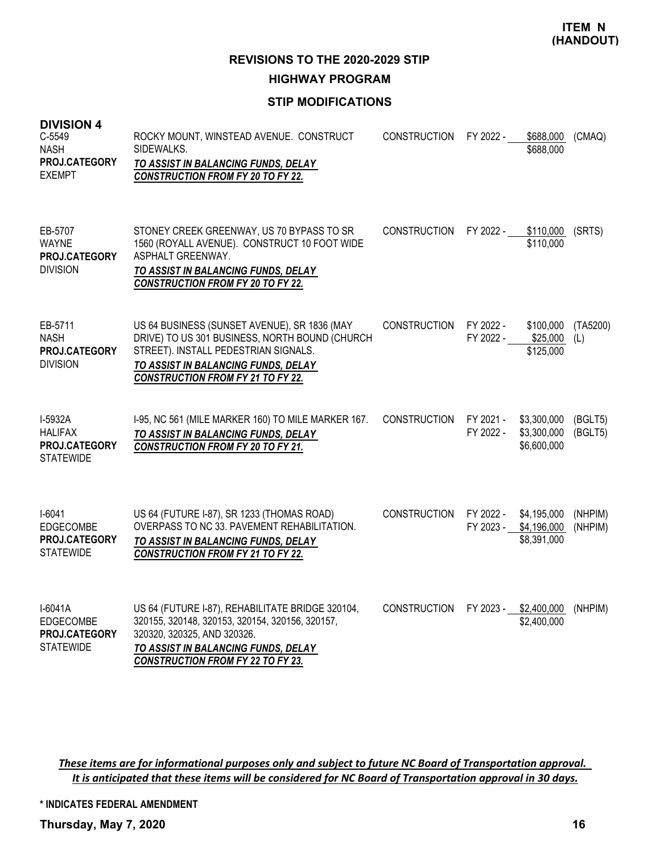**REVISIONS TO THE 2020-2029 STIP**

**HIGHWAY PROGRAM**

## **STIP MODIFICATIONS**

| <b>DIVISION 4</b><br>$C-5549$<br><b>NASH</b><br>PROJ.CATEGORY<br><b>EXEMPT</b> | ROCKY MOUNT, WINSTEAD AVENUE. CONSTRUCT<br>SIDEWALKS.<br>TO ASSIST IN BALANCING FUNDS, DELAY<br><b>CONSTRUCTION FROM FY 20 TO FY 22.</b>                                                                                  | <b>CONSTRUCTION</b> | FY 2022 -              | \$688,000<br>\$688,000                    | (CMAQ)             |
|--------------------------------------------------------------------------------|---------------------------------------------------------------------------------------------------------------------------------------------------------------------------------------------------------------------------|---------------------|------------------------|-------------------------------------------|--------------------|
| EB-5707<br><b>WAYNE</b><br>PROJ.CATEGORY<br><b>DIVISION</b>                    | STONEY CREEK GREENWAY, US 70 BYPASS TO SR<br>1560 (ROYALL AVENUE). CONSTRUCT 10 FOOT WIDE<br>ASPHALT GREENWAY.<br>TO ASSIST IN BALANCING FUNDS, DELAY<br><b>CONSTRUCTION FROM FY 20 TO FY 22.</b>                         | <b>CONSTRUCTION</b> | FY 2022 -              | \$110,000<br>\$110,000                    | (SRTS)             |
| EB-5711<br><b>NASH</b><br>PROJ.CATEGORY<br><b>DIVISION</b>                     | US 64 BUSINESS (SUNSET AVENUE), SR 1836 (MAY<br>DRIVE) TO US 301 BUSINESS, NORTH BOUND (CHURCH<br>STREET). INSTALL PEDESTRIAN SIGNALS.<br>TO ASSIST IN BALANCING FUNDS, DELAY<br><b>CONSTRUCTION FROM FY 21 TO FY 22.</b> | <b>CONSTRUCTION</b> | FY 2022 -<br>FY 2022 - | \$100,000<br>\$25,000<br>\$125,000        | (TA5200)<br>(L)    |
| I-5932A<br><b>HALIFAX</b><br>PROJ.CATEGORY<br><b>STATEWIDE</b>                 | I-95, NC 561 (MILE MARKER 160) TO MILE MARKER 167.<br>TO ASSIST IN BALANCING FUNDS, DELAY<br><b>CONSTRUCTION FROM FY 20 TO FY 21.</b>                                                                                     | <b>CONSTRUCTION</b> | FY 2021 -<br>FY 2022 - | \$3,300,000<br>\$3,300,000<br>\$6,600,000 | (BGLT5)<br>(BGLT5) |
| $I-6041$<br><b>EDGECOMBE</b><br>PROJ.CATEGORY<br><b>STATEWIDE</b>              | US 64 (FUTURE I-87), SR 1233 (THOMAS ROAD)<br>OVERPASS TO NC 33. PAVEMENT REHABILITATION.<br>TO ASSIST IN BALANCING FUNDS, DELAY<br><b>CONSTRUCTION FROM FY 21 TO FY 22.</b>                                              | <b>CONSTRUCTION</b> | FY 2022 -<br>FY 2023 - | \$4,195,000<br>\$4,196,000<br>\$8,391,000 | (NHPIM)<br>(NHPIM) |
| $I-6041A$<br>EDGECOMBE<br><b>PROJ.CATEGORY</b><br><b>STATEWIDE</b>             | US 64 (FUTURE I-87), REHABILITATE BRIDGE 320104,<br>320155, 320148, 320153, 320154, 320156, 320157,<br>320320, 320325, AND 320326.<br>TO ASSIST IN BALANCING FUNDS, DELAY<br><b>CONSTRUCTION FROM FY 22 TO FY 23.</b>     | <b>CONSTRUCTION</b> | FY 2023 -              | \$2,400,000<br>\$2,400,000                | (NHPIM)            |

These items are for informational purposes only and subject to future NC Board of Transportation approval. It is anticipated that these items will be considered for NC Board of Transportation approval in 30 days.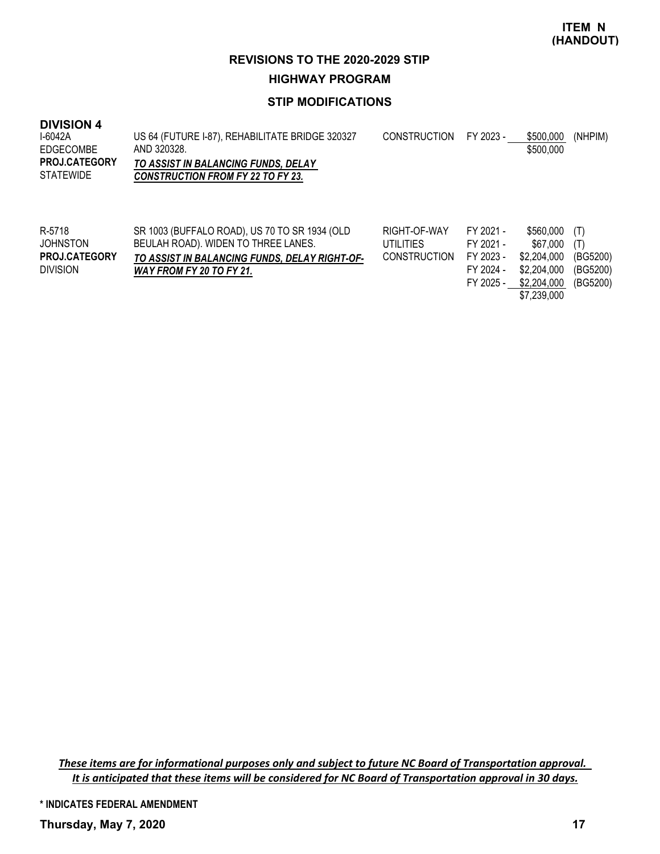**HIGHWAY PROGRAM**

# **STIP MODIFICATIONS**

#### **DIVISION 4**

| I-6042A<br>EDGECOMBE<br><b>PROJ.CATEGORY</b><br><b>STATEWIDE</b> | US 64 (FUTURE 1-87), REHABILITATE BRIDGE 320327<br>AND 320328.<br>TO ASSIST IN BALANCING FUNDS, DELAY<br><b>CONSTRUCTION FROM FY 22 TO FY 23.</b> | <b>CONSTRUCTION</b> | FY 2023 - | \$500,000<br>\$500,000 | (NHPIM) |
|------------------------------------------------------------------|---------------------------------------------------------------------------------------------------------------------------------------------------|---------------------|-----------|------------------------|---------|
| R-5718                                                           | SR 1003 (BUFFALO ROAD), US 70 TO SR 1934 (OLD                                                                                                     | RIGHT-OF-WAY        | FY 2021 - | \$560,000              | (T)     |

| R-5718               | SR 1003 (BUFFALO ROAD), US 70 TO SR 1934 (OLD | RIGHT-OF-WAY | FY 2021 - | $$560,000$ (T)       |  |
|----------------------|-----------------------------------------------|--------------|-----------|----------------------|--|
| JOHNSTON             | BEULAH ROAD). WIDEN TO THREE LANES.           | UTILITIES    | FY 2021 - | $$67,000$ (T)        |  |
| <b>PROJ.CATEGORY</b> | TO ASSIST IN BALANCING FUNDS, DELAY RIGHT-OF- | CONSTRUCTION | FY 2023 - | \$2,204,000 (BG5200) |  |
| <b>DIVISION</b>      | WAY FROM FY 20 TO FY 21.                      |              | FY 2024 - | \$2,204,000 (BG5200) |  |
|                      |                                               |              | FY 2025 - | \$2,204,000 (BG5200) |  |

\$7,239,000

These items are for informational purposes only and subject to future NC Board of Transportation approval. It is anticipated that these items will be considered for NC Board of Transportation approval in 30 days.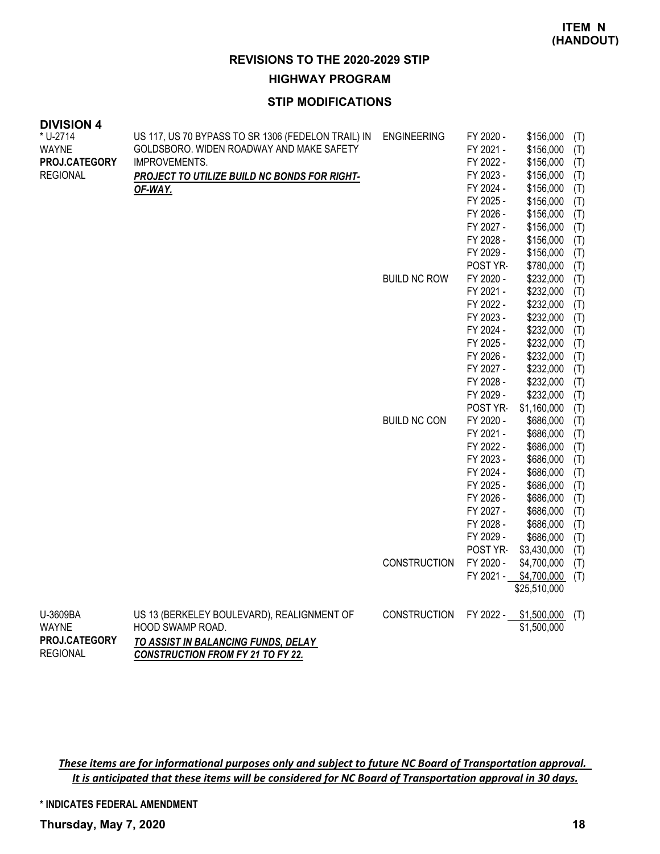#### **HIGHWAY PROGRAM**

#### **STIP MODIFICATIONS**

| <b>DIVISION 4</b><br>* U-2714 | US 117, US 70 BYPASS TO SR 1306 (FEDELON TRAIL) IN | <b>ENGINEERING</b>  | FY 2020 - | \$156,000                   |            |
|-------------------------------|----------------------------------------------------|---------------------|-----------|-----------------------------|------------|
| WAYNE                         | GOLDSBORO. WIDEN ROADWAY AND MAKE SAFETY           |                     | FY 2021 - | \$156,000                   | (T)<br>(T) |
| PROJ.CATEGORY                 | IMPROVEMENTS.                                      |                     | FY 2022 - | \$156,000                   | (T)        |
| <b>REGIONAL</b>               | PROJECT TO UTILIZE BUILD NC BONDS FOR RIGHT-       |                     | FY 2023 - | \$156,000                   | (T)        |
|                               | OF-WAY.                                            |                     | FY 2024 - | \$156,000                   | (T)        |
|                               |                                                    |                     | FY 2025 - | \$156,000                   | (T)        |
|                               |                                                    |                     | FY 2026 - | \$156,000                   | (T)        |
|                               |                                                    |                     | FY 2027 - | \$156,000                   | (T)        |
|                               |                                                    |                     | FY 2028 - | \$156,000                   | (T)        |
|                               |                                                    |                     | FY 2029 - | \$156,000                   | (T)        |
|                               |                                                    |                     | POST YR-  | \$780,000                   | (T)        |
|                               |                                                    | <b>BUILD NC ROW</b> | FY 2020 - | \$232,000                   | (T)        |
|                               |                                                    |                     | FY 2021 - | \$232,000                   | (T)        |
|                               |                                                    |                     | FY 2022 - | \$232,000                   | (T)        |
|                               |                                                    |                     | FY 2023 - | \$232,000                   | (T)        |
|                               |                                                    |                     | FY 2024 - | \$232,000                   | (T)        |
|                               |                                                    |                     | FY 2025 - | \$232,000                   | (T)        |
|                               |                                                    |                     | FY 2026 - | \$232,000                   | (T)        |
|                               |                                                    |                     | FY 2027 - | \$232,000                   | (T)        |
|                               |                                                    |                     | FY 2028 - | \$232,000                   | (T)        |
|                               |                                                    |                     | FY 2029 - | \$232,000                   | (T)        |
|                               |                                                    |                     | POST YR-  | \$1,160,000                 | (T)        |
|                               |                                                    | <b>BUILD NC CON</b> | FY 2020 - | \$686,000                   | (T)        |
|                               |                                                    |                     | FY 2021 - | \$686,000                   | (T)        |
|                               |                                                    |                     | FY 2022 - | \$686,000                   | (T)        |
|                               |                                                    |                     | FY 2023 - | \$686,000                   | (T)        |
|                               |                                                    |                     | FY 2024 - | \$686,000                   | (T)        |
|                               |                                                    |                     | FY 2025 - | \$686,000                   | (T)        |
|                               |                                                    |                     | FY 2026 - | \$686,000                   | (T)        |
|                               |                                                    |                     | FY 2027 - | \$686,000                   | (T)        |
|                               |                                                    |                     | FY 2028 - | \$686,000                   | (T)        |
|                               |                                                    |                     | FY 2029 - | \$686,000                   | (T)        |
|                               |                                                    |                     | POST YR-  | \$3,430,000                 | (T)        |
|                               |                                                    | <b>CONSTRUCTION</b> | FY 2020 - | \$4,700,000                 | (T)        |
|                               |                                                    |                     | FY 2021 - | \$4,700,000<br>\$25,510,000 | (T)        |
|                               |                                                    |                     |           |                             |            |
| U-3609BA                      | US 13 (BERKELEY BOULEVARD), REALIGNMENT OF         | <b>CONSTRUCTION</b> | FY 2022 - | \$1,500,000                 | (T)        |
| <b>WAYNE</b>                  | HOOD SWAMP ROAD.                                   |                     |           | \$1,500,000                 |            |
| PROJ.CATEGORY                 | TO ASSIST IN BALANCING FUNDS, DELAY                |                     |           |                             |            |
| <b>REGIONAL</b>               | <b>CONSTRUCTION FROM FY 21 TO FY 22.</b>           |                     |           |                             |            |

These items are for informational purposes only and subject to future NC Board of Transportation approval. It is anticipated that these items will be considered for NC Board of Transportation approval in 30 days.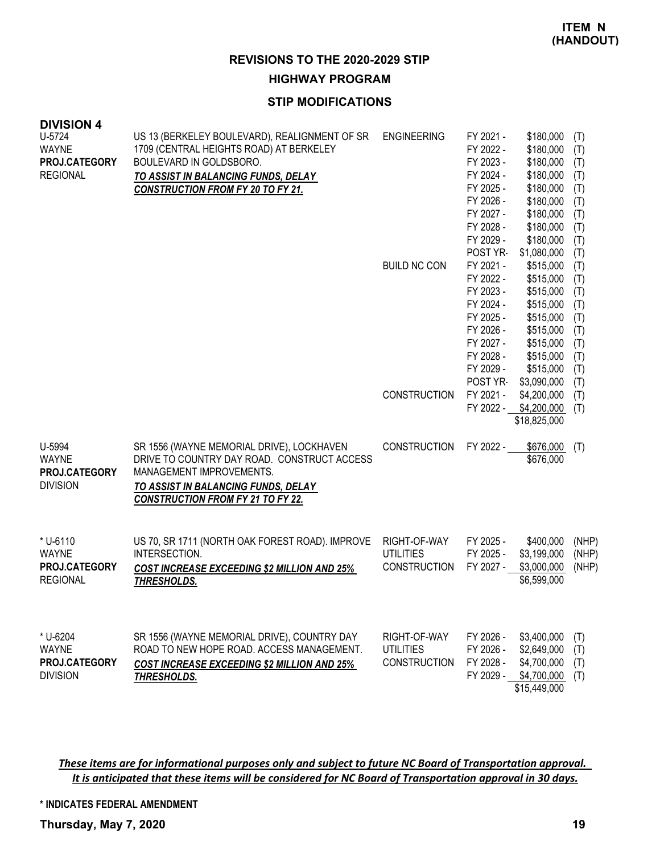**HIGHWAY PROGRAM**

## **STIP MODIFICATIONS**

| <b>DIVISION 4</b>             |                                                                    |                                  |                        |                             |                |
|-------------------------------|--------------------------------------------------------------------|----------------------------------|------------------------|-----------------------------|----------------|
| U-5724                        | US 13 (BERKELEY BOULEVARD), REALIGNMENT OF SR                      | <b>ENGINEERING</b>               | FY 2021 -              | \$180,000                   | (T)            |
| <b>WAYNE</b><br>PROJ.CATEGORY | 1709 (CENTRAL HEIGHTS ROAD) AT BERKELEY<br>BOULEVARD IN GOLDSBORO. |                                  | FY 2022 -<br>FY 2023 - | \$180,000<br>\$180,000      | (T)<br>(T)     |
| <b>REGIONAL</b>               | TO ASSIST IN BALANCING FUNDS, DELAY                                |                                  | FY 2024 -              | \$180,000                   | (T)            |
|                               | CONSTRUCTION FROM FY 20 TO FY 21.                                  |                                  | FY 2025 -              | \$180,000                   | (T)            |
|                               |                                                                    |                                  | FY 2026 -              | \$180,000                   | (T)            |
|                               |                                                                    |                                  | FY 2027 -              | \$180,000                   | (T)            |
|                               |                                                                    |                                  | FY 2028 -              | \$180,000                   | (T)            |
|                               |                                                                    |                                  | FY 2029 -              | \$180,000                   | (T)            |
|                               |                                                                    |                                  | POST YR-               | \$1,080,000                 | (T)            |
|                               |                                                                    | <b>BUILD NC CON</b>              | FY 2021 -              | \$515,000                   | (T)            |
|                               |                                                                    |                                  | FY 2022 -<br>FY 2023 - | \$515,000<br>\$515,000      | (T)<br>(T)     |
|                               |                                                                    |                                  | FY 2024 -              | \$515,000                   | (T)            |
|                               |                                                                    |                                  | FY 2025 -              | \$515,000                   | (T)            |
|                               |                                                                    |                                  | FY 2026 -              | \$515,000                   | (T)            |
|                               |                                                                    |                                  | FY 2027 -              | \$515,000                   | (T)            |
|                               |                                                                    |                                  | FY 2028 -              | \$515,000                   | (T)            |
|                               |                                                                    |                                  | FY 2029 -              | \$515,000                   | (T)            |
|                               |                                                                    |                                  | POST YR-               | \$3,090,000                 | (T)            |
|                               |                                                                    | <b>CONSTRUCTION</b>              | FY 2021 -              | \$4,200,000                 | (T)            |
|                               |                                                                    |                                  | FY 2022 -              | \$4,200,000<br>\$18,825,000 | (T)            |
|                               |                                                                    |                                  |                        |                             |                |
| U-5994                        | SR 1556 (WAYNE MEMORIAL DRIVE), LOCKHAVEN                          | <b>CONSTRUCTION</b>              | FY 2022 -              | \$676,000                   | (T)            |
| <b>WAYNE</b>                  | DRIVE TO COUNTRY DAY ROAD. CONSTRUCT ACCESS                        |                                  |                        | \$676,000                   |                |
| PROJ.CATEGORY                 | MANAGEMENT IMPROVEMENTS.                                           |                                  |                        |                             |                |
| <b>DIVISION</b>               | TO ASSIST IN BALANCING FUNDS, DELAY                                |                                  |                        |                             |                |
|                               | <b>CONSTRUCTION FROM FY 21 TO FY 22.</b>                           |                                  |                        |                             |                |
|                               |                                                                    |                                  |                        |                             |                |
|                               | US 70, SR 1711 (NORTH OAK FOREST ROAD). IMPROVE                    |                                  |                        |                             |                |
| * U-6110<br><b>WAYNE</b>      | INTERSECTION.                                                      | RIGHT-OF-WAY<br><b>UTILITIES</b> | FY 2025 -<br>FY 2025 - | \$400,000<br>\$3,199,000    | (NHP)<br>(NHP) |
| PROJ.CATEGORY                 | <b>COST INCREASE EXCEEDING \$2 MILLION AND 25%</b>                 | <b>CONSTRUCTION</b>              | FY 2027 -              | \$3,000,000                 | (NHP)          |
| <b>REGIONAL</b>               | <b>THRESHOLDS.</b>                                                 |                                  |                        | \$6,599,000                 |                |
|                               |                                                                    |                                  |                        |                             |                |
|                               |                                                                    |                                  |                        |                             |                |
|                               |                                                                    |                                  |                        |                             |                |
| * U-6204                      | SR 1556 (WAYNE MEMORIAL DRIVE), COUNTRY DAY                        | RIGHT-OF-WAY                     | FY 2026 -              | \$3,400,000                 | (T)            |
| <b>WAYNE</b>                  | ROAD TO NEW HOPE ROAD. ACCESS MANAGEMENT.                          | <b>UTILITIES</b>                 | FY 2026 -              | \$2,649,000                 | (T)            |
| <b>PROJ.CATEGORY</b>          | <b>COST INCREASE EXCEEDING \$2 MILLION AND 25%</b>                 | <b>CONSTRUCTION</b>              | FY 2028 -              | \$4,700,000                 | (T)            |
| <b>DIVISION</b>               | THRESHOLDS.                                                        |                                  | FY 2029 -              | \$4,700,000                 | (T)            |
|                               |                                                                    |                                  |                        | \$15,449,000                |                |

These items are for informational purposes only and subject to future NC Board of Transportation approval. It is anticipated that these items will be considered for NC Board of Transportation approval in 30 days.

**\* INDICATES FEDERAL AMENDMENT**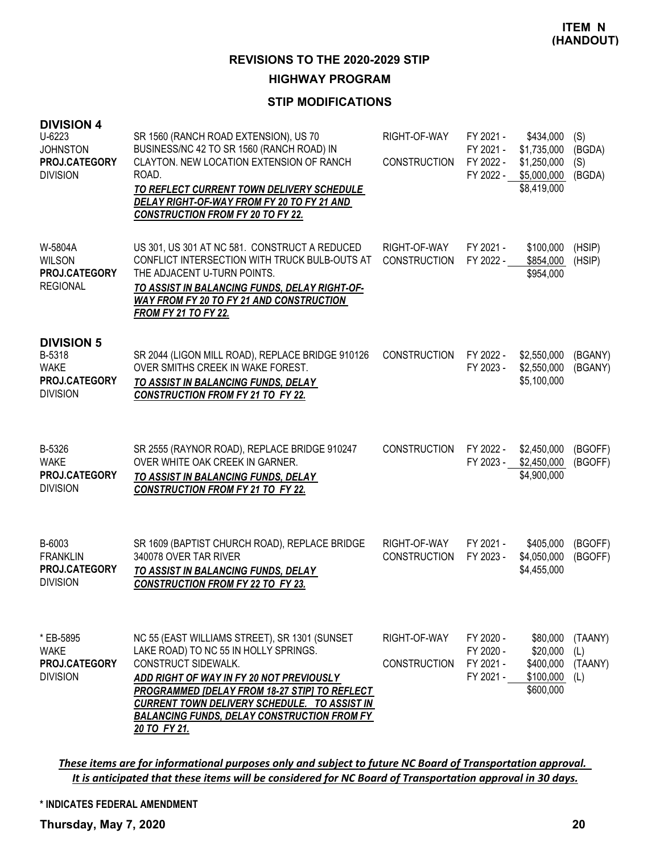# **HIGHWAY PROGRAM**

## **STIP MODIFICATIONS**

| <b>DIVISION 4</b><br>U-6223<br><b>JOHNSTON</b><br>PROJ.CATEGORY<br><b>DIVISION</b> | SR 1560 (RANCH ROAD EXTENSION), US 70<br>BUSINESS/NC 42 TO SR 1560 (RANCH ROAD) IN<br>CLAYTON. NEW LOCATION EXTENSION OF RANCH<br>ROAD.<br>TO REFLECT CURRENT TOWN DELIVERY SCHEDULE<br>DELAY RIGHT-OF-WAY FROM FY 20 TO FY 21 AND<br><b>CONSTRUCTION FROM FY 20 TO FY 22.</b>                                                          | RIGHT-OF-WAY<br><b>CONSTRUCTION</b> | FY 2021 -<br>FY 2021 -<br>FY 2022 -<br>FY 2022 - | \$434,000<br>\$1,735,000<br>\$1,250,000<br>\$5,000,000<br>\$8,419,000 | (S)<br>(BGDA)<br>(S)<br>(BGDA)   |
|------------------------------------------------------------------------------------|-----------------------------------------------------------------------------------------------------------------------------------------------------------------------------------------------------------------------------------------------------------------------------------------------------------------------------------------|-------------------------------------|--------------------------------------------------|-----------------------------------------------------------------------|----------------------------------|
| W-5804A<br><b>WILSON</b><br>PROJ.CATEGORY<br><b>REGIONAL</b>                       | US 301, US 301 AT NC 581. CONSTRUCT A REDUCED<br>CONFLICT INTERSECTION WITH TRUCK BULB-OUTS AT<br>THE ADJACENT U-TURN POINTS.<br>TO ASSIST IN BALANCING FUNDS, DELAY RIGHT-OF-<br><b>WAY FROM FY 20 TO FY 21 AND CONSTRUCTION</b><br><b>FROM FY 21 TO FY 22.</b>                                                                        | RIGHT-OF-WAY<br><b>CONSTRUCTION</b> | FY 2021 -<br>FY 2022 -                           | \$100,000<br>\$854,000<br>\$954,000                                   | (HSIP)<br>(HSIP)                 |
| <b>DIVISION 5</b><br>B-5318<br><b>WAKE</b><br>PROJ.CATEGORY<br><b>DIVISION</b>     | SR 2044 (LIGON MILL ROAD), REPLACE BRIDGE 910126<br>OVER SMITHS CREEK IN WAKE FOREST.<br>TO ASSIST IN BALANCING FUNDS, DELAY<br><b>CONSTRUCTION FROM FY 21 TO FY 22.</b>                                                                                                                                                                | <b>CONSTRUCTION</b>                 | FY 2022 -<br>FY 2023 -                           | \$2,550,000<br>\$2,550,000<br>\$5,100,000                             | (BGANY)<br>(BGANY)               |
| B-5326<br><b>WAKE</b><br>PROJ.CATEGORY<br><b>DIVISION</b>                          | SR 2555 (RAYNOR ROAD), REPLACE BRIDGE 910247<br>OVER WHITE OAK CREEK IN GARNER.<br>TO ASSIST IN BALANCING FUNDS, DELAY<br><b>CONSTRUCTION FROM FY 21 TO FY 22.</b>                                                                                                                                                                      | <b>CONSTRUCTION</b>                 | FY 2022 -<br>FY 2023 -                           | \$2,450,000<br>\$2,450,000<br>\$4,900,000                             | (BGOFF)<br>(BGOFF)               |
| B-6003<br><b>FRANKLIN</b><br>PROJ.CATEGORY<br><b>DIVISION</b>                      | SR 1609 (BAPTIST CHURCH ROAD), REPLACE BRIDGE<br>340078 OVER TAR RIVER<br>TO ASSIST IN BALANCING FUNDS, DELAY<br><b>CONSTRUCTION FROM FY 22 TO FY 23.</b>                                                                                                                                                                               | RIGHT-OF-WAY<br><b>CONSTRUCTION</b> | FY 2021 -<br>FY 2023 -                           | \$405,000<br>\$4,050,000<br>\$4,455,000                               | (BGOFF)<br>(BGOFF)               |
| * EB-5895<br><b>WAKE</b><br>PROJ.CATEGORY<br><b>DIVISION</b>                       | NC 55 (EAST WILLIAMS STREET), SR 1301 (SUNSET<br>LAKE ROAD) TO NC 55 IN HOLLY SPRINGS.<br>CONSTRUCT SIDEWALK.<br>ADD RIGHT OF WAY IN FY 20 NOT PREVIOUSLY<br><b>PROGRAMMED [DELAY FROM 18-27 STIP] TO REFLECT</b><br>CURRENT TOWN DELIVERY SCHEDULE. TO ASSIST IN<br><b>BALANCING FUNDS, DELAY CONSTRUCTION FROM FY</b><br>20 TO FY 21. | RIGHT-OF-WAY<br><b>CONSTRUCTION</b> | FY 2020 -<br>FY 2020 -<br>FY 2021 -<br>FY 2021 - | \$80,000<br>\$20,000<br>\$400,000<br>\$100,000<br>\$600,000           | (TAANY)<br>(L)<br>(TAANY)<br>(L) |

These items are for informational purposes only and subject to future NC Board of Transportation approval. It is anticipated that these items will be considered for NC Board of Transportation approval in 30 days.

#### **\* INDICATES FEDERAL AMENDMENT**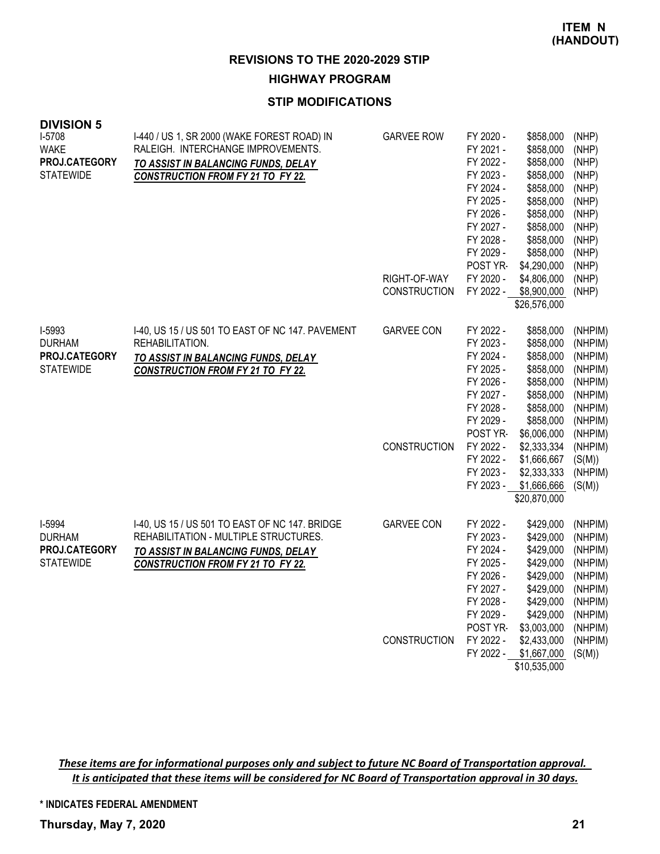**HIGHWAY PROGRAM**

# **STIP MODIFICATIONS**

| <b>DIVISION 5</b>                 |                                                                                   |                     |                        |                             |                    |
|-----------------------------------|-----------------------------------------------------------------------------------|---------------------|------------------------|-----------------------------|--------------------|
| I-5708<br><b>WAKE</b>             | I-440 / US 1, SR 2000 (WAKE FOREST ROAD) IN<br>RALEIGH. INTERCHANGE IMPROVEMENTS. | <b>GARVEE ROW</b>   | FY 2020 -<br>FY 2021 - | \$858,000<br>\$858,000      | (NHP)<br>(NHP)     |
| PROJ.CATEGORY                     | TO ASSIST IN BALANCING FUNDS, DELAY                                               |                     | FY 2022 -              | \$858,000                   | (NHP)              |
| <b>STATEWIDE</b>                  | <b>CONSTRUCTION FROM FY 21 TO FY 22.</b>                                          |                     | FY 2023 -              | \$858,000                   | (NHP)              |
|                                   |                                                                                   |                     | FY 2024 -              | \$858,000                   | (NHP)              |
|                                   |                                                                                   |                     | FY 2025 -              | \$858,000                   | (NHP)              |
|                                   |                                                                                   |                     | FY 2026 -              | \$858,000                   | (NHP)              |
|                                   |                                                                                   |                     | FY 2027 -              | \$858,000                   | (NHP)              |
|                                   |                                                                                   |                     | FY 2028 -              | \$858,000                   | (NHP)              |
|                                   |                                                                                   |                     | FY 2029 -              | \$858,000                   | (NHP)              |
|                                   |                                                                                   |                     | POST YR-               | \$4,290,000                 | (NHP)              |
|                                   |                                                                                   | RIGHT-OF-WAY        | FY 2020 -              | \$4,806,000                 | (NHP)              |
|                                   |                                                                                   | <b>CONSTRUCTION</b> | FY 2022 -              | \$8,900,000<br>\$26,576,000 | (NHP)              |
|                                   |                                                                                   |                     |                        |                             |                    |
| I-5993                            | I-40, US 15 / US 501 TO EAST OF NC 147. PAVEMENT                                  | <b>GARVEE CON</b>   | FY 2022 -              | \$858,000                   | (NHPIM)            |
| <b>DURHAM</b>                     | REHABILITATION.                                                                   |                     | FY 2023 -              | \$858,000                   | (NHPIM)            |
| PROJ.CATEGORY<br><b>STATEWIDE</b> | TO ASSIST IN BALANCING FUNDS, DELAY                                               |                     | FY 2024 -              | \$858,000                   | (NHPIM)            |
|                                   | <b>CONSTRUCTION FROM FY 21 TO FY 22.</b>                                          |                     | FY 2025 -<br>FY 2026 - | \$858,000<br>\$858,000      | (NHPIM)<br>(NHPIM) |
|                                   |                                                                                   |                     | FY 2027 -              | \$858,000                   | (NHPIM)            |
|                                   |                                                                                   |                     | FY 2028 -              | \$858,000                   | (NHPIM)            |
|                                   |                                                                                   |                     | FY 2029 -              | \$858,000                   | (NHPIM)            |
|                                   |                                                                                   |                     | POST YR-               | \$6,006,000                 | (NHPIM)            |
|                                   |                                                                                   | <b>CONSTRUCTION</b> | FY 2022 -              | \$2,333,334                 | (NHPIM)            |
|                                   |                                                                                   |                     | FY 2022 -              | \$1,666,667                 | (S(M))             |
|                                   |                                                                                   |                     | FY 2023 -              | \$2,333,333                 | (NHPIM)            |
|                                   |                                                                                   |                     | FY 2023 -              | \$1,666,666                 | (S(M))             |
|                                   |                                                                                   |                     |                        | \$20,870,000                |                    |
| I-5994                            | I-40, US 15 / US 501 TO EAST OF NC 147. BRIDGE                                    | <b>GARVEE CON</b>   | FY 2022 -              | \$429,000                   | (NHPIM)            |
| <b>DURHAM</b>                     | REHABILITATION - MULTIPLE STRUCTURES.                                             |                     | FY 2023 -              | \$429,000                   | (NHPIM)            |
| PROJ.CATEGORY                     | TO ASSIST IN BALANCING FUNDS, DELAY                                               |                     | FY 2024 -              | \$429,000                   | (NHPIM)            |
| <b>STATEWIDE</b>                  | <b>CONSTRUCTION FROM FY 21 TO FY 22.</b>                                          |                     | FY 2025 -              | \$429,000                   | (NHPIM)            |
|                                   |                                                                                   |                     | FY 2026 -              | \$429,000                   | (NHPIM)            |
|                                   |                                                                                   |                     | FY 2027 -              | \$429,000                   | (NHPIM)            |
|                                   |                                                                                   |                     | FY 2028 -<br>FY 2029 - | \$429,000<br>\$429,000      | (NHPIM)<br>(NHPIM) |
|                                   |                                                                                   |                     | POST YR-               | \$3,003,000                 | (NHPIM)            |
|                                   |                                                                                   | <b>CONSTRUCTION</b> | FY 2022 -              | \$2,433,000                 | (NHPIM)            |
|                                   |                                                                                   |                     | FY 2022 -              | \$1,667,000                 | (S(M))             |
|                                   |                                                                                   |                     |                        | \$10,535,000                |                    |

These items are for informational purposes only and subject to future NC Board of Transportation approval. It is anticipated that these items will be considered for NC Board of Transportation approval in 30 days.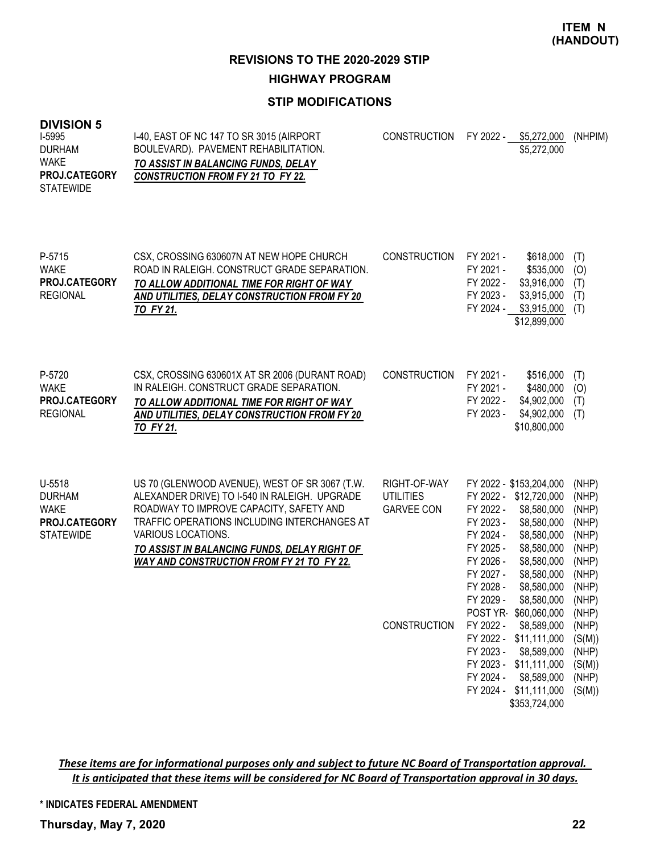**REVISIONS TO THE 2020-2029 STIP**

**HIGHWAY PROGRAM**

# **STIP MODIFICATIONS**

# **DIVISION 5**

| ט ווטוטועו<br>I-5995<br><b>DURHAM</b><br><b>WAKE</b><br>PROJ.CATEGORY<br><b>STATEWIDE</b> | I-40, EAST OF NC 147 TO SR 3015 (AIRPORT<br>BOULEVARD). PAVEMENT REHABILITATION.<br>TO ASSIST IN BALANCING FUNDS, DELAY<br><b>CONSTRUCTION FROM FY 21 TO FY 22.</b>                                                                                                                                                  | <b>CONSTRUCTION</b>                                                          | FY 2022 - \$5,272,000<br>\$5,272,000                                                                                                                                                                                                                                                                                                                                                                                                                                                            | (NHPIM)                                                                                                                                                  |
|-------------------------------------------------------------------------------------------|----------------------------------------------------------------------------------------------------------------------------------------------------------------------------------------------------------------------------------------------------------------------------------------------------------------------|------------------------------------------------------------------------------|-------------------------------------------------------------------------------------------------------------------------------------------------------------------------------------------------------------------------------------------------------------------------------------------------------------------------------------------------------------------------------------------------------------------------------------------------------------------------------------------------|----------------------------------------------------------------------------------------------------------------------------------------------------------|
| P-5715<br><b>WAKE</b><br>PROJ.CATEGORY<br><b>REGIONAL</b>                                 | CSX, CROSSING 630607N AT NEW HOPE CHURCH<br>ROAD IN RALEIGH. CONSTRUCT GRADE SEPARATION.<br>TO ALLOW ADDITIONAL TIME FOR RIGHT OF WAY<br>AND UTILITIES, DELAY CONSTRUCTION FROM FY 20<br><b>TO FY 21.</b>                                                                                                            | <b>CONSTRUCTION</b>                                                          | FY 2021 -<br>\$618,000<br>FY 2021 -<br>\$535,000<br>FY 2022 -<br>\$3,916,000<br>FY 2023 -<br>\$3,915,000<br>FY 2024 -<br>\$3,915,000<br>\$12,899,000                                                                                                                                                                                                                                                                                                                                            | (T)<br>(0)<br>(T)<br>(T)<br>(T)                                                                                                                          |
| P-5720<br><b>WAKE</b><br>PROJ.CATEGORY<br><b>REGIONAL</b>                                 | CSX, CROSSING 630601X AT SR 2006 (DURANT ROAD)<br>IN RALEIGH. CONSTRUCT GRADE SEPARATION.<br>TO ALLOW ADDITIONAL TIME FOR RIGHT OF WAY<br>AND UTILITIES, DELAY CONSTRUCTION FROM FY 20<br>TO FY 21.                                                                                                                  | <b>CONSTRUCTION</b>                                                          | FY 2021 -<br>\$516,000<br>FY 2021 -<br>\$480,000<br>FY 2022 -<br>\$4,902,000<br>FY 2023 -<br>\$4,902,000<br>\$10,800,000                                                                                                                                                                                                                                                                                                                                                                        | (T)<br>(O)<br>(T)<br>(T)                                                                                                                                 |
| $U-5518$<br><b>DURHAM</b><br><b>WAKE</b><br>PROJ.CATEGORY<br><b>STATEWIDE</b>             | US 70 (GLENWOOD AVENUE), WEST OF SR 3067 (T.W.<br>ALEXANDER DRIVE) TO I-540 IN RALEIGH. UPGRADE<br>ROADWAY TO IMPROVE CAPACITY, SAFETY AND<br>TRAFFIC OPERATIONS INCLUDING INTERCHANGES AT<br>VARIOUS LOCATIONS.<br>TO ASSIST IN BALANCING FUNDS, DELAY RIGHT OF<br><b>WAY AND CONSTRUCTION FROM FY 21 TO FY 22.</b> | RIGHT-OF-WAY<br><b>UTILITIES</b><br><b>GARVEE CON</b><br><b>CONSTRUCTION</b> | FY 2022 - \$153,204,000<br>FY 2022 - \$12,720,000<br>FY 2022 -<br>\$8,580,000<br>FY 2023 -<br>\$8,580,000<br>\$8,580,000<br>FY 2024 -<br>\$8,580,000<br>FY 2025 -<br>\$8,580,000<br>FY 2026 -<br>FY 2027 -<br>\$8,580,000<br>FY 2028 -<br>\$8,580,000<br>FY 2029 -<br>\$8,580,000<br>POST YR \$60,060,000<br>FY 2022 -<br>\$8,589,000<br>FY 2022 - \$11,111,000<br>FY 2023 -<br>\$8,589,000<br>FY 2023 - \$11,111,000<br>FY 2024 -<br>\$8,589,000<br>\$11,111,000<br>FY 2024 -<br>\$353,724,000 | (NHP)<br>(NHP)<br>(NHP)<br>(NHP)<br>(NHP)<br>(NHP)<br>(NHP)<br>(NHP)<br>(NHP)<br>(NHP)<br>(NHP)<br>(NHP)<br>(S(M))<br>(NHP)<br>(S(M))<br>(NHP)<br>(S(M)) |

These items are for informational purposes only and subject to future NC Board of Transportation approval. It is anticipated that these items will be considered for NC Board of Transportation approval in 30 days.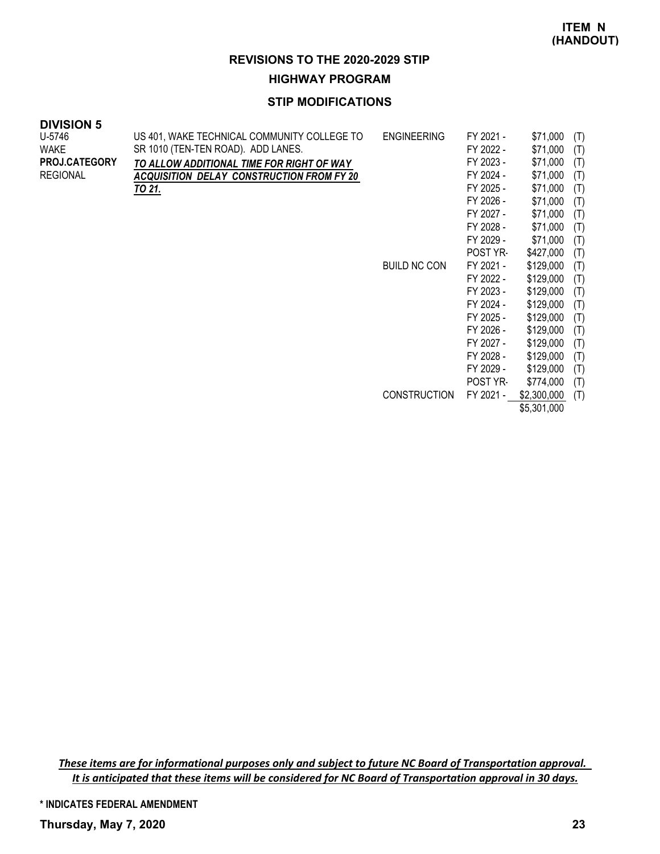\$5,301,000

#### **REVISIONS TO THE 2020-2029 STIP**

#### **HIGHWAY PROGRAM**

#### **STIP MODIFICATIONS**

| <b>DIVISION 5</b> |  |
|-------------------|--|
|-------------------|--|

| U-5746<br>WAKE<br>PROJ.CATEGORY<br><b>REGIONAL</b> | US 401, WAKE TECHNICAL COMMUNITY COLLEGE TO<br>SR 1010 (TEN-TEN ROAD). ADD LANES.<br>TO ALLOW ADDITIONAL TIME FOR RIGHT OF WAY<br><b>ACQUISITION DELAY CONSTRUCTION FROM FY 20</b><br>TO 21. | <b>ENGINEERING</b>  | FY 2021 -<br>FY 2022 -<br>FY 2023 -<br>FY 2024 -<br>FY 2025 -<br>FY 2026 - | \$71,000<br>\$71,000<br>\$71,000<br>\$71,000<br>\$71,000<br>\$71,000 | (T)<br>(T)<br>(T)<br>(T)<br>(T)<br>(T) |
|----------------------------------------------------|----------------------------------------------------------------------------------------------------------------------------------------------------------------------------------------------|---------------------|----------------------------------------------------------------------------|----------------------------------------------------------------------|----------------------------------------|
|                                                    |                                                                                                                                                                                              |                     | FY 2027 -<br>FY 2028 -<br>FY 2029 -                                        | \$71,000<br>\$71,000<br>\$71,000                                     | (T)<br>(T)<br>(T)                      |
|                                                    |                                                                                                                                                                                              |                     | POST YR-                                                                   | \$427,000                                                            | (T)                                    |
|                                                    |                                                                                                                                                                                              | <b>BUILD NC CON</b> | FY 2021 -                                                                  | \$129,000                                                            | (T)                                    |
|                                                    |                                                                                                                                                                                              |                     | FY 2022 -                                                                  | \$129,000                                                            | (T)                                    |
|                                                    |                                                                                                                                                                                              |                     | FY 2023 -                                                                  | \$129,000                                                            | (T)                                    |
|                                                    |                                                                                                                                                                                              |                     | FY 2024 -                                                                  | \$129,000                                                            | (T)                                    |
|                                                    |                                                                                                                                                                                              |                     | FY 2025 -                                                                  | \$129,000                                                            | (T)                                    |
|                                                    |                                                                                                                                                                                              |                     | FY 2026 -                                                                  | \$129,000                                                            | (T)                                    |
|                                                    |                                                                                                                                                                                              |                     | FY 2027 -                                                                  | \$129,000                                                            | (T)                                    |
|                                                    |                                                                                                                                                                                              |                     | FY 2028 -                                                                  | \$129,000                                                            | (T)                                    |
|                                                    |                                                                                                                                                                                              |                     | FY 2029 -                                                                  | \$129,000                                                            | (T)                                    |
|                                                    |                                                                                                                                                                                              |                     | POST YR-                                                                   | \$774,000                                                            | (T)                                    |
|                                                    |                                                                                                                                                                                              | <b>CONSTRUCTION</b> | FY 2021 -                                                                  | \$2,300,000                                                          | (T)                                    |

These items are for informational purposes only and subject to future NC Board of Transportation approval. It is anticipated that these items will be considered for NC Board of Transportation approval in 30 days.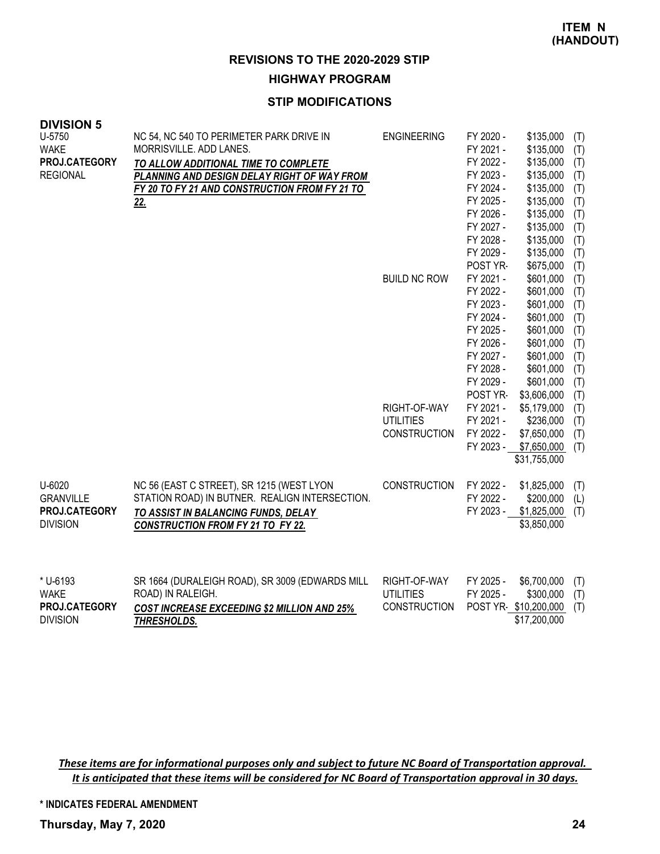### **HIGHWAY PROGRAM**

## **STIP MODIFICATIONS**

| <b>DIVISION 5</b><br>U-5750<br><b>WAKE</b><br>PROJ.CATEGORY<br><b>REGIONAL</b> | NC 54, NC 540 TO PERIMETER PARK DRIVE IN<br>MORRISVILLE. ADD LANES.<br>TO ALLOW ADDITIONAL TIME TO COMPLETE<br>PLANNING AND DESIGN DELAY RIGHT OF WAY FROM                     | <b>ENGINEERING</b>                                      | FY 2020 -<br>FY 2021 -<br>FY 2022 -<br>FY 2023 -                                                                              | \$135,000<br>\$135,000<br>\$135,000<br>\$135,000                                                                               | (T)<br>(T)<br>(T)<br>(T)                                           |
|--------------------------------------------------------------------------------|--------------------------------------------------------------------------------------------------------------------------------------------------------------------------------|---------------------------------------------------------|-------------------------------------------------------------------------------------------------------------------------------|--------------------------------------------------------------------------------------------------------------------------------|--------------------------------------------------------------------|
|                                                                                | FY 20 TO FY 21 AND CONSTRUCTION FROM FY 21 TO<br><u>22.</u>                                                                                                                    |                                                         | FY 2024 -<br>FY 2025 -<br>FY 2026 -<br>FY 2027 -<br>FY 2028 -<br>FY 2029 -                                                    | \$135,000<br>\$135,000<br>\$135,000<br>\$135,000<br>\$135,000<br>\$135,000                                                     | (T)<br>(T)<br>(T)<br>(T)<br>(T)<br>(T)                             |
|                                                                                |                                                                                                                                                                                | <b>BUILD NC ROW</b>                                     | POST YR-<br>FY 2021 -<br>FY 2022 -<br>FY 2023 -<br>FY 2024 -<br>FY 2025 -<br>FY 2026 -<br>FY 2027 -<br>FY 2028 -<br>FY 2029 - | \$675,000<br>\$601,000<br>\$601,000<br>\$601,000<br>\$601,000<br>\$601,000<br>\$601,000<br>\$601,000<br>\$601,000<br>\$601,000 | (T)<br>(T)<br>(T)<br>(T)<br>(T)<br>(T)<br>(T)<br>(T)<br>(T)<br>(T) |
|                                                                                |                                                                                                                                                                                | RIGHT-OF-WAY<br><b>UTILITIES</b><br><b>CONSTRUCTION</b> | POST YR-<br>FY 2021 -<br>FY 2021 -<br>FY 2022 -<br>FY 2023 -                                                                  | \$3,606,000<br>\$5,179,000<br>\$236,000<br>\$7,650,000<br>\$7,650,000<br>\$31,755,000                                          | (T)<br>(T)<br>(T)<br>(T)<br>(T)                                    |
| U-6020<br><b>GRANVILLE</b><br>PROJ.CATEGORY<br><b>DIVISION</b>                 | NC 56 (EAST C STREET), SR 1215 (WEST LYON<br>STATION ROAD) IN BUTNER. REALIGN INTERSECTION.<br>TO ASSIST IN BALANCING FUNDS, DELAY<br><b>CONSTRUCTION FROM FY 21 TO FY 22.</b> | CONSTRUCTION                                            | FY 2022 -<br>FY 2022 -<br>FY 2023 -                                                                                           | \$1,825,000<br>\$200,000<br>\$1,825,000<br>\$3,850,000                                                                         | (T)<br>(L)<br>(T)                                                  |
| * U-6193<br><b>WAKE</b><br>PROJ.CATEGORY<br><b>DIVISION</b>                    | SR 1664 (DURALEIGH ROAD), SR 3009 (EDWARDS MILL<br>ROAD) IN RALEIGH.<br><b>COST INCREASE EXCEEDING \$2 MILLION AND 25%</b><br><b>THRESHOLDS.</b>                               | RIGHT-OF-WAY<br><b>UTILITIES</b><br><b>CONSTRUCTION</b> | FY 2025 -<br>FY 2025 -                                                                                                        | \$6,700,000<br>\$300,000<br>POST YR-\$10,200,000<br>\$17,200,000                                                               | (T)<br>(T)<br>(T)                                                  |

These items are for informational purposes only and subject to future NC Board of Transportation approval. It is anticipated that these items will be considered for NC Board of Transportation approval in 30 days.

**\* INDICATES FEDERAL AMENDMENT**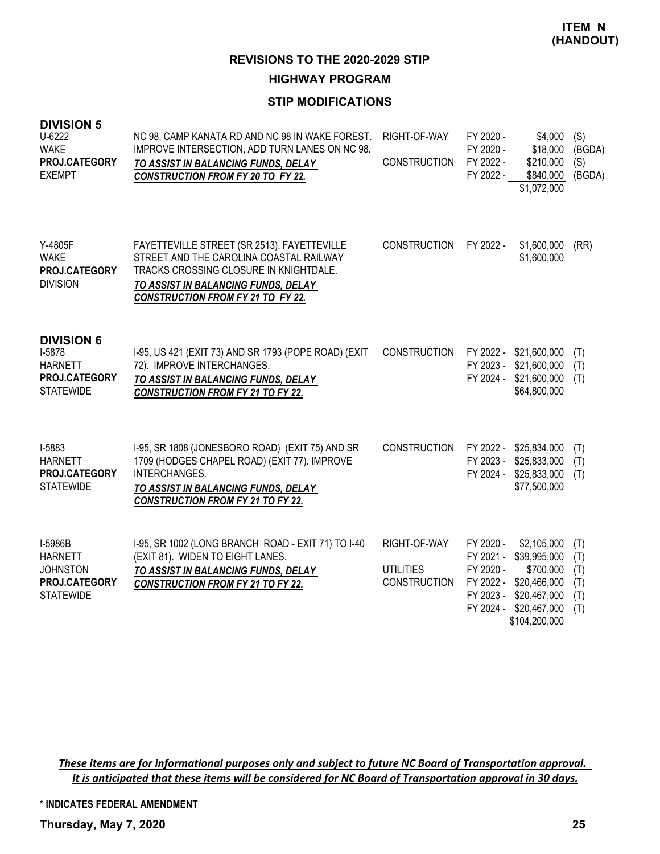**HIGHWAY PROGRAM**

# **STIP MODIFICATIONS**

| <b>DIVISION 5</b><br>U-6222<br><b>WAKE</b><br>PROJ.CATEGORY<br><b>EXEMPT</b>       | NC 98, CAMP KANATA RD AND NC 98 IN WAKE FOREST.<br>IMPROVE INTERSECTION, ADD TURN LANES ON NC 98.<br>TO ASSIST IN BALANCING FUNDS, DELAY<br><b>CONSTRUCTION FROM FY 20 TO FY 22.</b>                                | RIGHT-OF-WAY<br><b>CONSTRUCTION</b>                     | FY 2020 -<br>FY 2020 -<br>FY 2022 -<br>FY 2022 -                           | \$4,000<br>\$18,000<br>\$210,000<br>\$840,000<br>\$1,072,000                                              | (S)<br>(BGDA)<br>(S)<br>(BGDA)         |
|------------------------------------------------------------------------------------|---------------------------------------------------------------------------------------------------------------------------------------------------------------------------------------------------------------------|---------------------------------------------------------|----------------------------------------------------------------------------|-----------------------------------------------------------------------------------------------------------|----------------------------------------|
| Y-4805F<br><b>WAKE</b><br>PROJ.CATEGORY<br><b>DIVISION</b>                         | FAYETTEVILLE STREET (SR 2513), FAYETTEVILLE<br>STREET AND THE CAROLINA COASTAL RAILWAY<br>TRACKS CROSSING CLOSURE IN KNIGHTDALE.<br>TO ASSIST IN BALANCING FUNDS, DELAY<br><b>CONSTRUCTION FROM FY 21 TO FY 22.</b> | <b>CONSTRUCTION</b>                                     | FY 2022 -                                                                  | \$1,600,000<br>\$1,600,000                                                                                | (RR)                                   |
| <b>DIVISION 6</b><br>I-5878<br><b>HARNETT</b><br>PROJ.CATEGORY<br><b>STATEWIDE</b> | I-95, US 421 (EXIT 73) AND SR 1793 (POPE ROAD) (EXIT<br>72). IMPROVE INTERCHANGES.<br>TO ASSIST IN BALANCING FUNDS, DELAY<br><b>CONSTRUCTION FROM FY 21 TO FY 22.</b>                                               | <b>CONSTRUCTION</b>                                     | FY 2023 -                                                                  | FY 2022 - \$21,600,000<br>\$21,600,000<br>FY 2024 - \$21,600,000<br>\$64,800,000                          | (T)<br>(T)<br>(T)                      |
| I-5883<br><b>HARNETT</b><br>PROJ.CATEGORY<br><b>STATEWIDE</b>                      | I-95, SR 1808 (JONESBORO ROAD) (EXIT 75) AND SR<br>1709 (HODGES CHAPEL ROAD) (EXIT 77). IMPROVE<br><b>INTERCHANGES.</b><br>TO ASSIST IN BALANCING FUNDS, DELAY<br><b>CONSTRUCTION FROM FY 21 TO FY 22.</b>          | <b>CONSTRUCTION</b>                                     | FY 2023 -<br>FY 2024 -                                                     | FY 2022 - \$25,834,000<br>\$25,833,000<br>\$25,833,000<br>\$77,500,000                                    | (T)<br>(T)<br>(T)                      |
| I-5986B<br><b>HARNETT</b><br><b>JOHNSTON</b><br>PROJ.CATEGORY<br><b>STATEWIDE</b>  | I-95, SR 1002 (LONG BRANCH ROAD - EXIT 71) TO I-40<br>(EXIT 81). WIDEN TO EIGHT LANES.<br>TO ASSIST IN BALANCING FUNDS, DELAY<br><b>CONSTRUCTION FROM FY 21 TO FY 22.</b>                                           | RIGHT-OF-WAY<br><b>UTILITIES</b><br><b>CONSTRUCTION</b> | FY 2020 -<br>FY 2021 -<br>FY 2020 -<br>FY 2022 -<br>FY 2023 -<br>FY 2024 - | \$2,105,000<br>\$39,995,000<br>\$700,000<br>\$20,466,000<br>\$20,467,000<br>\$20,467,000<br>\$104,200,000 | (T)<br>(T)<br>(T)<br>(T)<br>(T)<br>(T) |

These items are for informational purposes only and subject to future NC Board of Transportation approval. It is anticipated that these items will be considered for NC Board of Transportation approval in 30 days.

**\* INDICATES FEDERAL AMENDMENT**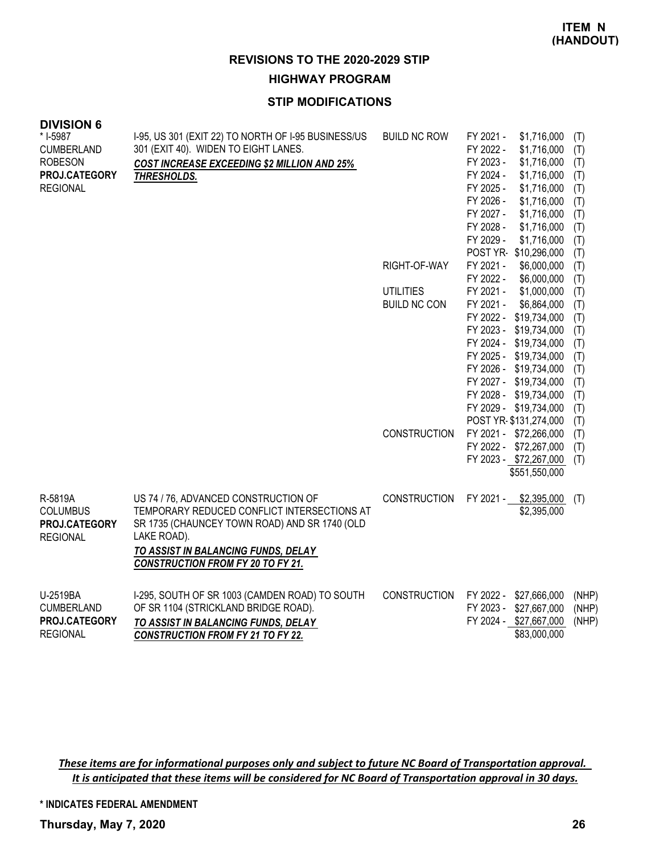#### **HIGHWAY PROGRAM**

## **STIP MODIFICATIONS**

| <b>DIVISION 6</b> |                                                     |                     |                                                        |            |
|-------------------|-----------------------------------------------------|---------------------|--------------------------------------------------------|------------|
| * I-5987          | I-95, US 301 (EXIT 22) TO NORTH OF I-95 BUSINESS/US | <b>BUILD NC ROW</b> | FY 2021 -<br>\$1,716,000                               | (T)        |
| <b>CUMBERLAND</b> | 301 (EXIT 40). WIDEN TO EIGHT LANES.                |                     | FY 2022 -<br>\$1,716,000                               | (T)        |
| <b>ROBESON</b>    | <b>COST INCREASE EXCEEDING \$2 MILLION AND 25%</b>  |                     | FY 2023 -<br>\$1,716,000                               | (T)        |
| PROJ.CATEGORY     | THRESHOLDS.                                         |                     | FY 2024 -<br>\$1,716,000                               | (T)        |
| <b>REGIONAL</b>   |                                                     |                     | FY 2025 -<br>\$1,716,000                               | (T)        |
|                   |                                                     |                     | FY 2026 -<br>\$1,716,000                               | (T)        |
|                   |                                                     |                     | FY 2027 -<br>\$1,716,000                               | (T)        |
|                   |                                                     |                     | FY 2028 -<br>\$1,716,000                               | (T)        |
|                   |                                                     |                     | FY 2029 -<br>\$1,716,000                               | (T)        |
|                   |                                                     |                     | POST YR-\$10,296,000                                   | (T)        |
|                   |                                                     | RIGHT-OF-WAY        | FY 2021 -<br>\$6,000,000                               | (T)        |
|                   |                                                     |                     | \$6,000,000<br>FY 2022 -                               | (T)        |
|                   |                                                     | <b>UTILITIES</b>    | \$1,000,000<br>FY 2021 -                               | (T)        |
|                   |                                                     | <b>BUILD NC CON</b> | FY 2021 -<br>\$6,864,000                               | (T)        |
|                   |                                                     |                     | FY 2022 -<br>\$19,734,000<br>FY 2023 -<br>\$19,734,000 | (T)        |
|                   |                                                     |                     | FY 2024 - \$19,734,000                                 | (T)        |
|                   |                                                     |                     | FY 2025 - \$19,734,000                                 | (T)        |
|                   |                                                     |                     | FY 2026 - \$19,734,000                                 | (T)<br>(T) |
|                   |                                                     |                     | FY 2027 - \$19,734,000                                 | (T)        |
|                   |                                                     |                     | FY 2028 - \$19,734,000                                 | (T)        |
|                   |                                                     |                     | FY 2029 - \$19,734,000                                 | (T)        |
|                   |                                                     |                     | POST YR-\$131,274,000                                  | (T)        |
|                   |                                                     | <b>CONSTRUCTION</b> | FY 2021 - \$72,266,000                                 | (T)        |
|                   |                                                     |                     | FY 2022 - \$72,267,000                                 | (T)        |
|                   |                                                     |                     | FY 2023 - \$72,267,000                                 | (T)        |
|                   |                                                     |                     | \$551,550,000                                          |            |
|                   |                                                     |                     |                                                        |            |
| R-5819A           | US 74 / 76, ADVANCED CONSTRUCTION OF                | <b>CONSTRUCTION</b> | FY 2021 -<br>\$2,395,000                               | (T)        |
| <b>COLUMBUS</b>   | TEMPORARY REDUCED CONFLICT INTERSECTIONS AT         |                     | \$2,395,000                                            |            |
| PROJ.CATEGORY     | SR 1735 (CHAUNCEY TOWN ROAD) AND SR 1740 (OLD       |                     |                                                        |            |
| <b>REGIONAL</b>   | LAKE ROAD).                                         |                     |                                                        |            |
|                   | TO ASSIST IN BALANCING FUNDS, DELAY                 |                     |                                                        |            |
|                   | <b>CONSTRUCTION FROM FY 20 TO FY 21.</b>            |                     |                                                        |            |
|                   |                                                     |                     |                                                        |            |
|                   |                                                     |                     |                                                        |            |
| U-2519BA          | I-295, SOUTH OF SR 1003 (CAMDEN ROAD) TO SOUTH      | <b>CONSTRUCTION</b> | FY 2022 - \$27,666,000                                 | (NHP)      |
| <b>CUMBERLAND</b> | OF SR 1104 (STRICKLAND BRIDGE ROAD).                |                     | FY 2023 - \$27,667,000                                 | (NHP)      |
| PROJ.CATEGORY     | TO ASSIST IN BALANCING FUNDS, DELAY                 |                     | FY 2024 - \$27,667,000                                 | (NHP)      |

These items are for informational purposes only and subject to future NC Board of Transportation approval. It is anticipated that these items will be considered for NC Board of Transportation approval in 30 days.

*CONSTRUCTION FROM FY 21 TO FY 22.*

**\* INDICATES FEDERAL AMENDMENT**

REGIONAL

\$83,000,000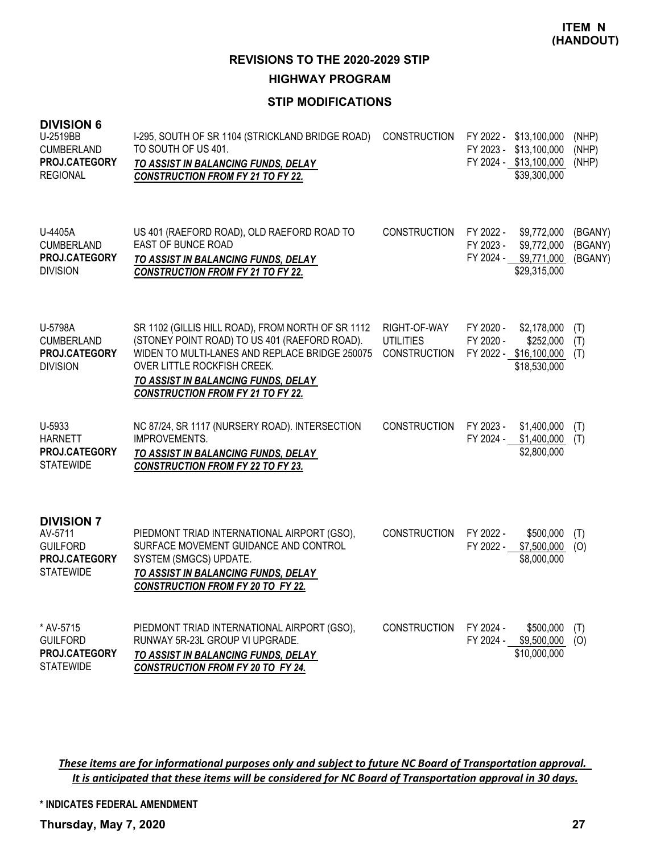**HIGHWAY PROGRAM**

## **STIP MODIFICATIONS**

| <b>DIVISION 6</b><br>U-2519BB<br><b>CUMBERLAND</b><br>PROJ.CATEGORY<br><b>REGIONAL</b> | I-295, SOUTH OF SR 1104 (STRICKLAND BRIDGE ROAD)<br>TO SOUTH OF US 401.<br>TO ASSIST IN BALANCING FUNDS, DELAY<br><b>CONSTRUCTION FROM FY 21 TO FY 22.</b>                                                                                                             | <b>CONSTRUCTION</b>                                     | FY 2022 - \$13,100,000<br>FY 2023 - \$13,100,000<br>FY 2024 - \$13,100,000<br>\$39,300,000       | (NHP)<br>(NHP)<br>(NHP)       |
|----------------------------------------------------------------------------------------|------------------------------------------------------------------------------------------------------------------------------------------------------------------------------------------------------------------------------------------------------------------------|---------------------------------------------------------|--------------------------------------------------------------------------------------------------|-------------------------------|
| U-4405A<br><b>CUMBERLAND</b><br>PROJ.CATEGORY<br><b>DIVISION</b>                       | US 401 (RAEFORD ROAD), OLD RAEFORD ROAD TO<br><b>EAST OF BUNCE ROAD</b><br>TO ASSIST IN BALANCING FUNDS, DELAY<br><b>CONSTRUCTION FROM FY 21 TO FY 22.</b>                                                                                                             | <b>CONSTRUCTION</b>                                     | FY 2022 -<br>\$9,772,000<br>FY 2023 -<br>\$9,772,000<br>FY 2024 -<br>\$9,771,000<br>\$29,315,000 | (BGANY)<br>(BGANY)<br>(BGANY) |
| U-5798A<br><b>CUMBERLAND</b><br>PROJ.CATEGORY<br><b>DIVISION</b>                       | SR 1102 (GILLIS HILL ROAD), FROM NORTH OF SR 1112<br>(STONEY POINT ROAD) TO US 401 (RAEFORD ROAD).<br>WIDEN TO MULTI-LANES AND REPLACE BRIDGE 250075<br>OVER LITTLE ROCKFISH CREEK.<br>TO ASSIST IN BALANCING FUNDS, DELAY<br><b>CONSTRUCTION FROM FY 21 TO FY 22.</b> | RIGHT-OF-WAY<br><b>UTILITIES</b><br><b>CONSTRUCTION</b> | FY 2020 -<br>\$2,178,000<br>FY 2020 -<br>\$252,000<br>FY 2022 - \$16,100,000<br>\$18,530,000     | (T)<br>(T)<br>(T)             |
| U-5933<br><b>HARNETT</b><br>PROJ.CATEGORY<br><b>STATEWIDE</b>                          | NC 87/24, SR 1117 (NURSERY ROAD). INTERSECTION<br><b>IMPROVEMENTS.</b><br>TO ASSIST IN BALANCING FUNDS, DELAY<br><b>CONSTRUCTION FROM FY 22 TO FY 23.</b>                                                                                                              | <b>CONSTRUCTION</b>                                     | FY 2023 -<br>\$1,400,000<br>\$1,400,000<br>FY 2024 -<br>\$2,800,000                              | (T)<br>(T)                    |
| <b>DIVISION 7</b><br>AV-5711<br><b>GUILFORD</b><br>PROJ.CATEGORY<br><b>STATEWIDE</b>   | PIEDMONT TRIAD INTERNATIONAL AIRPORT (GSO),<br>SURFACE MOVEMENT GUIDANCE AND CONTROL<br>SYSTEM (SMGCS) UPDATE.<br>TO ASSIST IN BALANCING FUNDS, DELAY<br><b>CONSTRUCTION FROM FY 20 TO FY 22.</b>                                                                      | <b>CONSTRUCTION</b>                                     | FY 2022 -<br>\$500,000<br>\$7,500,000<br>FY 2022 -<br>\$8,000,000                                | (T)<br>(O)                    |
| * AV-5715<br><b>GUILFORD</b><br>PROJ.CATEGORY<br><b>STATEWIDE</b>                      | PIEDMONT TRIAD INTERNATIONAL AIRPORT (GSO),<br>RUNWAY 5R-23L GROUP VI UPGRADE.<br>TO ASSIST IN BALANCING FUNDS, DELAY<br><b>CONSTRUCTION FROM FY 20 TO FY 24.</b>                                                                                                      | <b>CONSTRUCTION</b>                                     | FY 2024 -<br>\$500,000<br>FY 2024 - \$9,500,000<br>\$10,000,000                                  | (T)<br>(O)                    |

These items are for informational purposes only and subject to future NC Board of Transportation approval. It is anticipated that these items will be considered for NC Board of Transportation approval in 30 days.

**\* INDICATES FEDERAL AMENDMENT**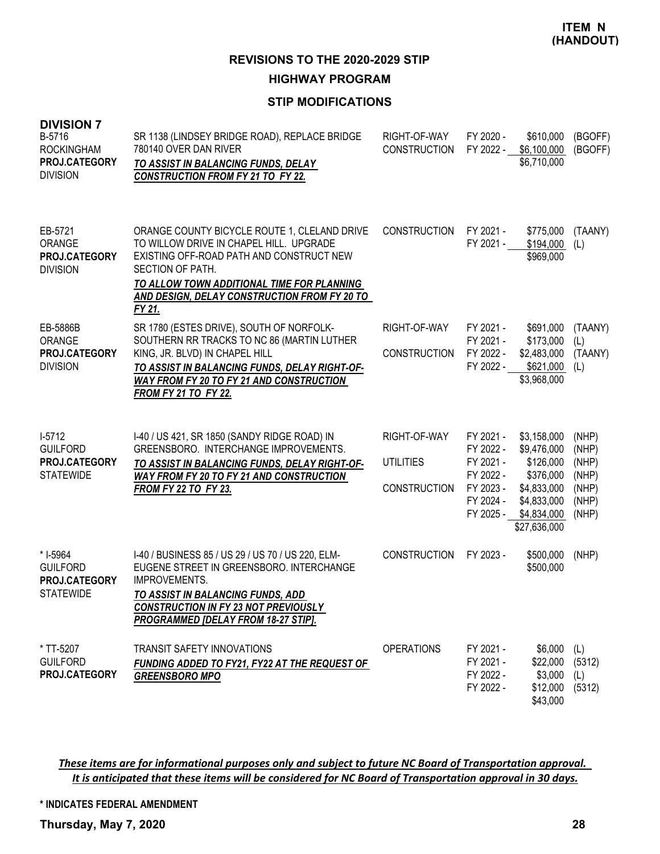**HIGHWAY PROGRAM**

# **STIP MODIFICATIONS**

| <b>DIVISION 7</b><br>B-5716<br><b>ROCKINGHAM</b><br>PROJ.CATEGORY<br><b>DIVISION</b> | SR 1138 (LINDSEY BRIDGE ROAD), REPLACE BRIDGE<br>780140 OVER DAN RIVER<br>TO ASSIST IN BALANCING FUNDS, DELAY<br><b>CONSTRUCTION FROM FY 21 TO FY 22.</b>                                                                                                       | RIGHT-OF-WAY<br><b>CONSTRUCTION</b>                     | FY 2020 -<br>FY 2022 -                                                                  | \$610,000<br>\$6,100,000<br>\$6,710,000                                                                           | (BGOFF)<br>(BGOFF)                                          |
|--------------------------------------------------------------------------------------|-----------------------------------------------------------------------------------------------------------------------------------------------------------------------------------------------------------------------------------------------------------------|---------------------------------------------------------|-----------------------------------------------------------------------------------------|-------------------------------------------------------------------------------------------------------------------|-------------------------------------------------------------|
| EB-5721<br>ORANGE<br>PROJ.CATEGORY<br><b>DIVISION</b>                                | ORANGE COUNTY BICYCLE ROUTE 1, CLELAND DRIVE<br>TO WILLOW DRIVE IN CHAPEL HILL. UPGRADE<br>EXISTING OFF-ROAD PATH AND CONSTRUCT NEW<br>SECTION OF PATH.<br>TO ALLOW TOWN ADDITIONAL TIME FOR PLANNING<br>AND DESIGN, DELAY CONSTRUCTION FROM FY 20 TO<br>FY 21. | <b>CONSTRUCTION</b>                                     | FY 2021 -<br>FY 2021 -                                                                  | \$775,000<br>\$194,000<br>\$969,000                                                                               | (TAANY)<br>(L)                                              |
| EB-5886B<br>ORANGE<br>PROJ.CATEGORY<br><b>DIVISION</b>                               | SR 1780 (ESTES DRIVE), SOUTH OF NORFOLK-<br>SOUTHERN RR TRACKS TO NC 86 (MARTIN LUTHER<br>KING, JR. BLVD) IN CHAPEL HILL<br>TO ASSIST IN BALANCING FUNDS, DELAY RIGHT-OF-<br><b>WAY FROM FY 20 TO FY 21 AND CONSTRUCTION</b><br><b>FROM FY 21 TO FY 22.</b>     | RIGHT-OF-WAY<br><b>CONSTRUCTION</b>                     | FY 2021 -<br>FY 2021 -<br>FY 2022 -<br>FY 2022 -                                        | \$691,000<br>\$173,000<br>\$2,483,000<br>\$621,000<br>\$3,968,000                                                 | (TAANY)<br>(L)<br>(TAANY)<br>(L)                            |
| $1-5712$<br><b>GUILFORD</b><br>PROJ.CATEGORY<br><b>STATEWIDE</b>                     | I-40 / US 421, SR 1850 (SANDY RIDGE ROAD) IN<br>GREENSBORO. INTERCHANGE IMPROVEMENTS.<br>TO ASSIST IN BALANCING FUNDS, DELAY RIGHT-OF-<br><b>WAY FROM FY 20 TO FY 21 AND CONSTRUCTION</b><br><b>FROM FY 22 TO FY 23.</b>                                        | RIGHT-OF-WAY<br><b>UTILITIES</b><br><b>CONSTRUCTION</b> | FY 2021 -<br>FY 2022 -<br>FY 2021 -<br>FY 2022 -<br>FY 2023 -<br>FY 2024 -<br>FY 2025 - | \$3,158,000<br>\$9,476,000<br>\$126,000<br>\$376,000<br>\$4,833,000<br>\$4,833,000<br>\$4,834,000<br>\$27,636,000 | (NHP)<br>(NHP)<br>(NHP)<br>(NHP)<br>(NHP)<br>(NHP)<br>(NHP) |
| * I-5964<br><b>GUILFORD</b><br>PROJ.CATEGORY<br><b>STATEWIDE</b>                     | I-40 / BUSINESS 85 / US 29 / US 70 / US 220, ELM-<br>EUGENE STREET IN GREENSBORO. INTERCHANGE<br><b>IMPROVEMENTS.</b><br>TO ASSIST IN BALANCING FUNDS, ADD<br><b>CONSTRUCTION IN FY 23 NOT PREVIOUSLY</b><br>PROGRAMMED [DELAY FROM 18-27 STIP].                | <b>CONSTRUCTION</b>                                     | FY 2023 -                                                                               | \$500,000<br>\$500,000                                                                                            | (NHP)                                                       |
| * TT-5207<br><b>GUILFORD</b><br>PROJ.CATEGORY                                        | <b>TRANSIT SAFETY INNOVATIONS</b><br><b>FUNDING ADDED TO FY21, FY22 AT THE REQUEST OF</b><br><b>GREENSBORO MPO</b>                                                                                                                                              | <b>OPERATIONS</b>                                       | FY 2021 -<br>FY 2021 -<br>FY 2022 -<br>FY 2022 -                                        | \$6,000<br>\$22,000<br>\$3,000<br>\$12,000<br>\$43,000                                                            | (L)<br>(5312)<br>(L)<br>(5312)                              |

These items are for informational purposes only and subject to future NC Board of Transportation approval. It is anticipated that these items will be considered for NC Board of Transportation approval in 30 days.

**\* INDICATES FEDERAL AMENDMENT**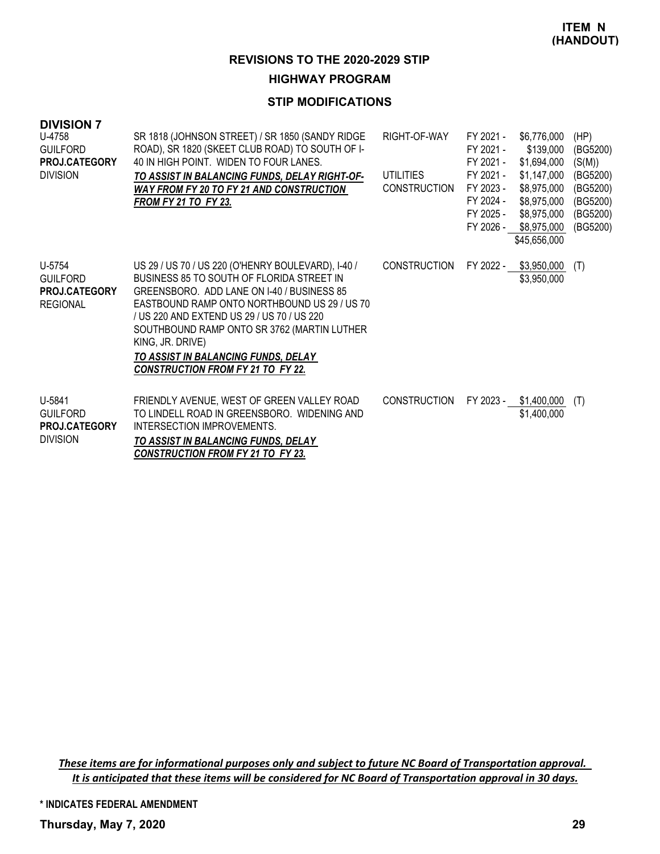### **HIGHWAY PROGRAM**

## **STIP MODIFICATIONS**

| <b>DIVISION 7</b><br>U-4758<br><b>GUILFORD</b><br>PROJ.CATEGORY<br><b>DIVISION</b> | SR 1818 (JOHNSON STREET) / SR 1850 (SANDY RIDGE<br>ROAD), SR 1820 (SKEET CLUB ROAD) TO SOUTH OF I-<br>40 IN HIGH POINT. WIDEN TO FOUR LANES.<br>TO ASSIST IN BALANCING FUNDS, DELAY RIGHT-OF-<br><b>WAY FROM FY 20 TO FY 21 AND CONSTRUCTION</b><br><u>FROM FY 21 TO FY 23.</u>                                                                                                                          | RIGHT-OF-WAY<br><b>UTILITIES</b><br><b>CONSTRUCTION</b> | FY 2021 -<br>FY 2021 -<br>FY 2021 -<br>FY 2021 -<br>FY 2023 -<br>FY 2024 -<br>FY 2025 -<br>FY 2026 - | \$6,776,000<br>\$139,000<br>\$1,694,000<br>\$1,147,000<br>\$8,975,000<br>\$8,975,000<br>\$8,975,000<br>\$8,975,000<br>\$45,656,000 | (HP)<br>(BG5200)<br>(S(M))<br>(BG5200)<br>(BG5200)<br>(BG5200)<br>(BG5200)<br>(BG5200) |
|------------------------------------------------------------------------------------|----------------------------------------------------------------------------------------------------------------------------------------------------------------------------------------------------------------------------------------------------------------------------------------------------------------------------------------------------------------------------------------------------------|---------------------------------------------------------|------------------------------------------------------------------------------------------------------|------------------------------------------------------------------------------------------------------------------------------------|----------------------------------------------------------------------------------------|
| U-5754<br><b>GUILFORD</b><br>PROJ.CATEGORY<br><b>REGIONAL</b>                      | US 29 / US 70 / US 220 (O'HENRY BOULEVARD), I-40 /<br>BUSINESS 85 TO SOUTH OF FLORIDA STREET IN<br>GREENSBORO. ADD LANE ON 1-40 / BUSINESS 85<br>EASTBOUND RAMP ONTO NORTHBOUND US 29 / US 70<br>/ US 220 AND EXTEND US 29 / US 70 / US 220<br>SOUTHBOUND RAMP ONTO SR 3762 (MARTIN LUTHER<br>KING, JR. DRIVE)<br><b>TO ASSIST IN BALANCING FUNDS, DELAY</b><br><b>CONSTRUCTION FROM FY 21 TO FY 22.</b> | <b>CONSTRUCTION</b>                                     | FY 2022 -                                                                                            | \$3,950,000<br>\$3,950,000                                                                                                         | (T)                                                                                    |
| U-5841<br><b>GUILFORD</b><br><b>PROJ.CATEGORY</b><br><b>DIVISION</b>               | FRIENDLY AVENUE, WEST OF GREEN VALLEY ROAD<br>TO LINDELL ROAD IN GREENSBORO. WIDENING AND<br>INTERSECTION IMPROVEMENTS.<br>TO ASSIST IN BALANCING FUNDS, DELAY<br><b>CONSTRUCTION FROM FY 21 TO FY 23.</b>                                                                                                                                                                                               | <b>CONSTRUCTION</b>                                     | FY 2023 -                                                                                            | \$1,400,000<br>\$1,400,000                                                                                                         | (T)                                                                                    |

These items are for informational purposes only and subject to future NC Board of Transportation approval. It is anticipated that these items will be considered for NC Board of Transportation approval in 30 days.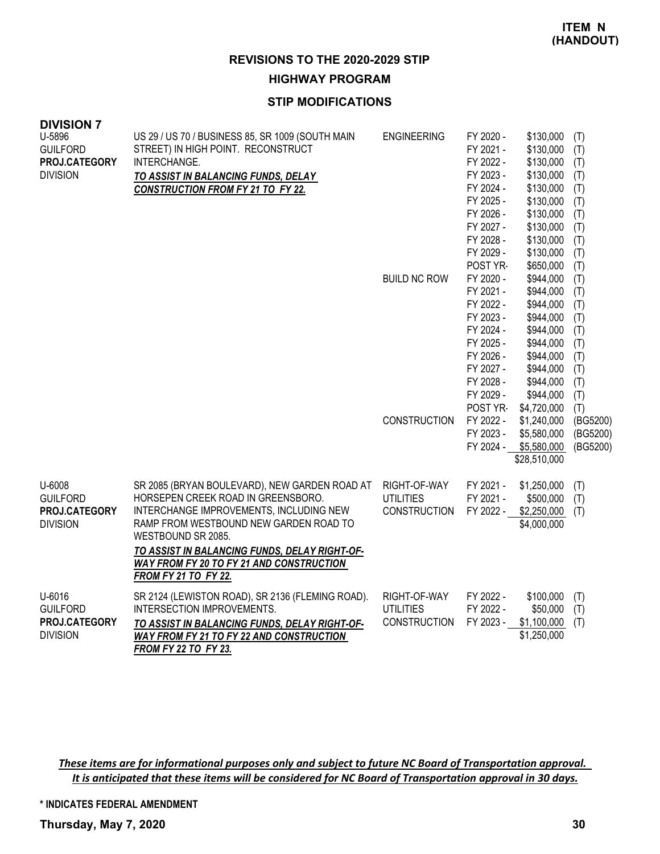#### **HIGHWAY PROGRAM**

#### **STIP MODIFICATIONS**

| <b>DIVISION 7</b><br>U-5896<br><b>GUILFORD</b><br>PROJ.CATEGORY<br><b>DIVISION</b> | US 29 / US 70 / BUSINESS 85, SR 1009 (SOUTH MAIN<br>STREET) IN HIGH POINT. RECONSTRUCT<br>INTERCHANGE.<br>TO ASSIST IN BALANCING FUNDS, DELAY<br><b>CONSTRUCTION FROM FY 21 TO FY 22.</b>                                                                                                                                         | <b>ENGINEERING</b><br><b>BUILD NC ROW</b>               | FY 2020 -<br>FY 2021 -<br>FY 2022 -<br>FY 2023 -<br>FY 2024 -<br>FY 2025 -<br>FY 2026 -<br>FY 2027 -<br>FY 2028 -<br>FY 2029 -<br>POST YR-<br>FY 2020 -<br>FY 2021 -<br>FY 2022 -<br>FY 2023 -<br>FY 2024 -<br>FY 2025 -<br>FY 2026 -<br>FY 2027 -<br>FY 2028 - | \$130,000<br>\$130,000<br>\$130,000<br>\$130,000<br>\$130,000<br>\$130,000<br>\$130,000<br>\$130,000<br>\$130,000<br>\$130,000<br>\$650,000<br>\$944,000<br>\$944,000<br>\$944,000<br>\$944,000<br>\$944,000<br>\$944,000<br>\$944,000<br>\$944,000<br>\$944,000 | (T)<br>(T)<br>(T)<br>(T)<br>(T)<br>(T)<br>(T)<br>(T)<br>(T)<br>(T)<br>(T)<br>(T)<br>(T)<br>(T)<br>(T)<br>(T)<br>(T)<br>(T)<br>(T)<br>(T) |
|------------------------------------------------------------------------------------|-----------------------------------------------------------------------------------------------------------------------------------------------------------------------------------------------------------------------------------------------------------------------------------------------------------------------------------|---------------------------------------------------------|-----------------------------------------------------------------------------------------------------------------------------------------------------------------------------------------------------------------------------------------------------------------|------------------------------------------------------------------------------------------------------------------------------------------------------------------------------------------------------------------------------------------------------------------|------------------------------------------------------------------------------------------------------------------------------------------|
|                                                                                    |                                                                                                                                                                                                                                                                                                                                   | <b>CONSTRUCTION</b>                                     | FY 2029 -<br>POST YR-<br>FY 2022 -<br>FY 2023 -                                                                                                                                                                                                                 | \$944,000<br>\$4,720,000<br>\$1,240,000<br>\$5,580,000<br>FY 2024 - \$5,580,000<br>\$28,510,000                                                                                                                                                                  | (T)<br>(T)<br>(BG5200)<br>(BG5200)<br>(BG5200)                                                                                           |
| U-6008<br><b>GUILFORD</b><br>PROJ.CATEGORY<br><b>DIVISION</b>                      | SR 2085 (BRYAN BOULEVARD), NEW GARDEN ROAD AT<br>HORSEPEN CREEK ROAD IN GREENSBORO.<br>INTERCHANGE IMPROVEMENTS, INCLUDING NEW<br>RAMP FROM WESTBOUND NEW GARDEN ROAD TO<br>WESTBOUND SR 2085.<br>TO ASSIST IN BALANCING FUNDS, DELAY RIGHT-OF-<br><b>WAY FROM FY 20 TO FY 21 AND CONSTRUCTION</b><br><b>FROM FY 21 TO FY 22.</b> | RIGHT-OF-WAY<br><b>UTILITIES</b><br><b>CONSTRUCTION</b> | FY 2021 -<br>FY 2021 -<br>FY 2022 -                                                                                                                                                                                                                             | \$1,250,000<br>\$500,000<br>\$2,250,000<br>\$4,000,000                                                                                                                                                                                                           | (T)<br>(T)<br>(T)                                                                                                                        |
| U-6016<br><b>GUILFORD</b><br>PROJ.CATEGORY<br><b>DIVISION</b>                      | SR 2124 (LEWISTON ROAD), SR 2136 (FLEMING ROAD).<br><b>INTERSECTION IMPROVEMENTS.</b><br>TO ASSIST IN BALANCING FUNDS, DELAY RIGHT-OF-<br><b>WAY FROM FY 21 TO FY 22 AND CONSTRUCTION</b><br>FROM FY 22 TO FY 23.                                                                                                                 | RIGHT-OF-WAY<br><b>UTILITIES</b><br>CONSTRUCTION        | FY 2022 -<br>FY 2022 -<br>FY 2023 -                                                                                                                                                                                                                             | \$100,000<br>\$50,000<br>\$1,100,000<br>\$1,250,000                                                                                                                                                                                                              | (T)<br>(T)<br>(T)                                                                                                                        |

These items are for informational purposes only and subject to future NC Board of Transportation approval. It is anticipated that these items will be considered for NC Board of Transportation approval in 30 days.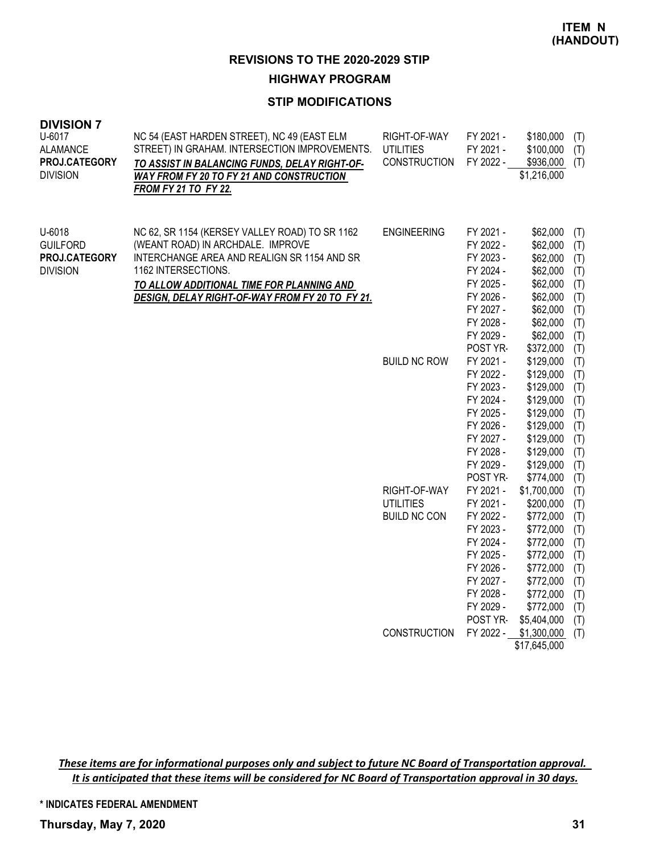# **HIGHWAY PROGRAM**

## **STIP MODIFICATIONS**

| <b>DIVISION 7</b><br>U-6017<br><b>ALAMANCE</b><br>PROJ.CATEGORY<br><b>DIVISION</b> | NC 54 (EAST HARDEN STREET), NC 49 (EAST ELM<br>STREET) IN GRAHAM. INTERSECTION IMPROVEMENTS.<br>TO ASSIST IN BALANCING FUNDS, DELAY RIGHT-OF-<br>WAY FROM FY 20 TO FY 21 AND CONSTRUCTION<br><b>FROM FY 21 TO FY 22.</b>                                  | RIGHT-OF-WAY<br><b>UTILITIES</b><br><b>CONSTRUCTION</b> | FY 2021 -<br>FY 2021 -<br>FY 2022 -                                                                                                        | \$180,000<br>\$100,000<br>\$936,000<br>\$1,216,000                                                                                              | (T)<br>(T)<br>(T)                                                         |
|------------------------------------------------------------------------------------|-----------------------------------------------------------------------------------------------------------------------------------------------------------------------------------------------------------------------------------------------------------|---------------------------------------------------------|--------------------------------------------------------------------------------------------------------------------------------------------|-------------------------------------------------------------------------------------------------------------------------------------------------|---------------------------------------------------------------------------|
| U-6018<br><b>GUILFORD</b><br>PROJ.CATEGORY<br><b>DIVISION</b>                      | NC 62, SR 1154 (KERSEY VALLEY ROAD) TO SR 1162<br>(WEANT ROAD) IN ARCHDALE. IMPROVE<br>INTERCHANGE AREA AND REALIGN SR 1154 AND SR<br>1162 INTERSECTIONS.<br>TO ALLOW ADDITIONAL TIME FOR PLANNING AND<br>DESIGN, DELAY RIGHT-OF-WAY FROM FY 20 TO FY 21. | <b>ENGINEERING</b>                                      | FY 2021 -<br>FY 2022 -<br>FY 2023 -<br>FY 2024 -<br>FY 2025 -<br>FY 2026 -<br>FY 2027 -<br>FY 2028 -<br>FY 2029 -<br>POST YR-              | \$62,000<br>\$62,000<br>\$62,000<br>\$62,000<br>\$62,000<br>\$62,000<br>\$62,000<br>\$62,000<br>\$62,000<br>\$372,000                           | (T)<br>(T)<br>(T)<br>(T)<br>(T)<br>(T)<br>(T)<br>(T)<br>(T)<br>(T)        |
|                                                                                    |                                                                                                                                                                                                                                                           | <b>BUILD NC ROW</b>                                     | FY 2021 -<br>FY 2022 -<br>FY 2023 -<br>FY 2024 -<br>FY 2025 -<br>FY 2026 -<br>FY 2027 -<br>FY 2028 -<br>FY 2029 -<br>POST YR-              | \$129,000<br>\$129,000<br>\$129,000<br>\$129,000<br>\$129,000<br>\$129,000<br>\$129,000<br>\$129,000<br>\$129,000<br>\$774,000                  | (T)<br>(T)<br>(T)<br>(T)<br>(T)<br>(T)<br>(T)<br>(T)<br>(T)<br>(T)        |
|                                                                                    |                                                                                                                                                                                                                                                           | RIGHT-OF-WAY<br><b>UTILITIES</b><br><b>BUILD NC CON</b> | FY 2021 -<br>FY 2021 -<br>FY 2022 -<br>FY 2023 -<br>FY 2024 -<br>FY 2025 -<br>FY 2026 -<br>FY 2027 -<br>FY 2028 -<br>FY 2029 -<br>POST YR- | \$1,700,000<br>\$200,000<br>\$772,000<br>\$772,000<br>\$772,000<br>\$772,000<br>\$772,000<br>\$772,000<br>\$772,000<br>\$772,000<br>\$5,404,000 | (T)<br>(T)<br>(T)<br>(T)<br>(T)<br>(T)<br>(T)<br>(T)<br>(T)<br>(T)<br>(T) |
|                                                                                    |                                                                                                                                                                                                                                                           | <b>CONSTRUCTION</b>                                     | FY 2022 -                                                                                                                                  | \$1,300,000<br>\$17,645,000                                                                                                                     | (T)                                                                       |

These items are for informational purposes only and subject to future NC Board of Transportation approval. It is anticipated that these items will be considered for NC Board of Transportation approval in 30 days.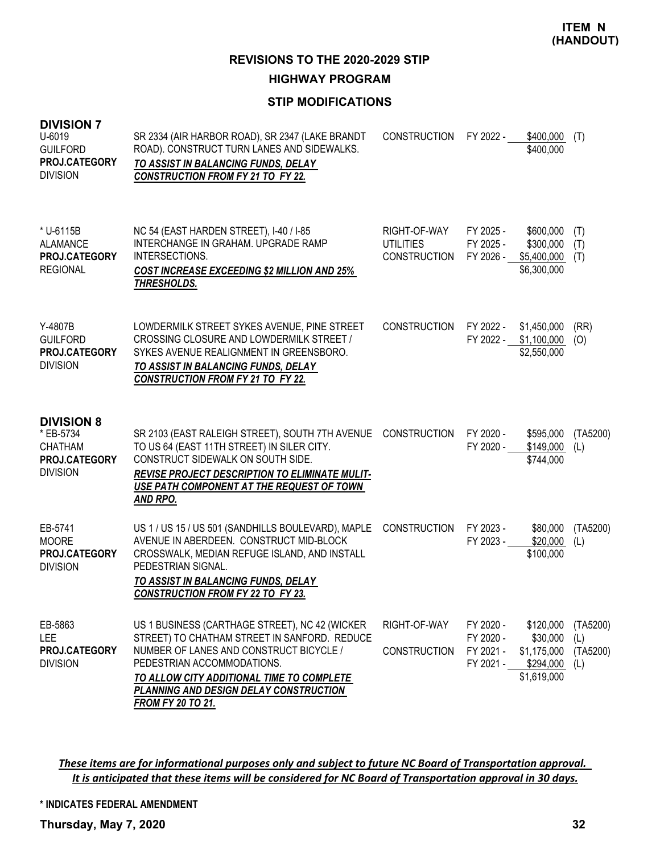**HIGHWAY PROGRAM**

# **STIP MODIFICATIONS**

| <b>DIVISION 7</b><br>U-6019<br><b>GUILFORD</b><br><b>PROJ.CATEGORY</b><br><b>DIVISION</b> | SR 2334 (AIR HARBOR ROAD), SR 2347 (LAKE BRANDT<br>ROAD). CONSTRUCT TURN LANES AND SIDEWALKS.<br>TO ASSIST IN BALANCING FUNDS, DELAY<br><b>CONSTRUCTION FROM FY 21 TO FY 22.</b>                                                                                                           | <b>CONSTRUCTION</b>                                     | FY 2022 -                                        | \$400,000<br>\$400,000                                           | (T)                                |
|-------------------------------------------------------------------------------------------|--------------------------------------------------------------------------------------------------------------------------------------------------------------------------------------------------------------------------------------------------------------------------------------------|---------------------------------------------------------|--------------------------------------------------|------------------------------------------------------------------|------------------------------------|
| * U-6115B<br>ALAMANCE<br><b>PROJ.CATEGORY</b><br><b>REGIONAL</b>                          | NC 54 (EAST HARDEN STREET), I-40 / I-85<br>INTERCHANGE IN GRAHAM. UPGRADE RAMP<br>INTERSECTIONS.<br><b>COST INCREASE EXCEEDING \$2 MILLION AND 25%</b><br>THRESHOLDS.                                                                                                                      | RIGHT-OF-WAY<br><b>UTILITIES</b><br><b>CONSTRUCTION</b> | FY 2025 -<br>FY 2025 -<br>FY 2026 -              | \$600,000<br>\$300,000<br>\$5,400,000<br>\$6,300,000             | (T)<br>(T)<br>(T)                  |
| Y-4807B<br><b>GUILFORD</b><br>PROJ.CATEGORY<br><b>DIVISION</b>                            | LOWDERMILK STREET SYKES AVENUE, PINE STREET<br>CROSSING CLOSURE AND LOWDERMILK STREET /<br>SYKES AVENUE REALIGNMENT IN GREENSBORO.<br>TO ASSIST IN BALANCING FUNDS, DELAY<br><b>CONSTRUCTION FROM FY 21 TO FY 22.</b>                                                                      | <b>CONSTRUCTION</b>                                     | FY 2022 -<br>FY 2022 -                           | \$1,450,000<br>\$1,100,000<br>\$2,550,000                        | (RR)<br>(O)                        |
| <b>DIVISION 8</b><br>* EB-5734<br><b>CHATHAM</b><br>PROJ.CATEGORY<br><b>DIVISION</b>      | SR 2103 (EAST RALEIGH STREET), SOUTH 7TH AVENUE<br>TO US 64 (EAST 11TH STREET) IN SILER CITY.<br>CONSTRUCT SIDEWALK ON SOUTH SIDE.<br>REVISE PROJECT DESCRIPTION TO ELIMINATE MULIT-<br>USE PATH COMPONENT AT THE REQUEST OF TOWN<br>AND RPO.                                              | <b>CONSTRUCTION</b>                                     | FY 2020 -<br>FY 2020 -                           | \$595,000<br>\$149,000<br>\$744,000                              | (TA5200)<br>(L)                    |
| EB-5741<br><b>MOORE</b><br>PROJ.CATEGORY<br><b>DIVISION</b>                               | US 1 / US 15 / US 501 (SANDHILLS BOULEVARD), MAPLE<br>AVENUE IN ABERDEEN. CONSTRUCT MID-BLOCK<br>CROSSWALK, MEDIAN REFUGE ISLAND, AND INSTALL<br>PEDESTRIAN SIGNAL.<br>TO ASSIST IN BALANCING FUNDS, DELAY<br><b>CONSTRUCTION FROM FY 22 TO FY 23.</b>                                     | <b>CONSTRUCTION</b>                                     | FY 2023 -<br>FY 2023 -                           | \$80,000<br>\$20,000<br>\$100,000                                | (TA5200)<br>(L)                    |
| EB-5863<br><b>LEE</b><br>PROJ.CATEGORY<br><b>DIVISION</b>                                 | US 1 BUSINESS (CARTHAGE STREET), NC 42 (WICKER<br>STREET) TO CHATHAM STREET IN SANFORD. REDUCE<br>NUMBER OF LANES AND CONSTRUCT BICYCLE /<br>PEDESTRIAN ACCOMMODATIONS.<br>TO ALLOW CITY ADDITIONAL TIME TO COMPLETE<br>PLANNING AND DESIGN DELAY CONSTRUCTION<br><b>FROM FY 20 TO 21.</b> | RIGHT-OF-WAY<br><b>CONSTRUCTION</b>                     | FY 2020 -<br>FY 2020 -<br>FY 2021 -<br>FY 2021 - | \$120,000<br>\$30,000<br>\$1,175,000<br>\$294,000<br>\$1,619,000 | (TA5200)<br>(L)<br>(TA5200)<br>(L) |

These items are for informational purposes only and subject to future NC Board of Transportation approval. It is anticipated that these items will be considered for NC Board of Transportation approval in 30 days.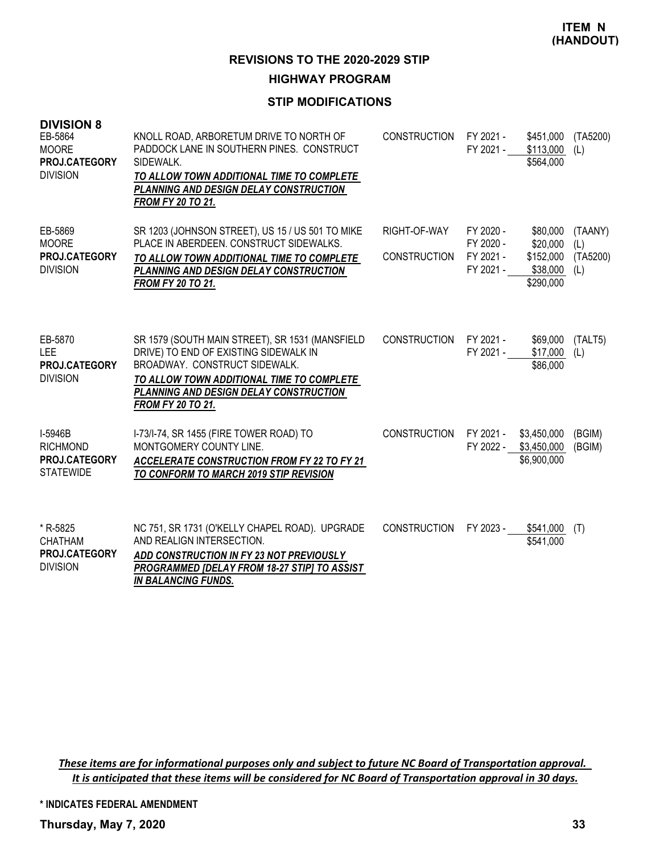#### **HIGHWAY PROGRAM**

## **STIP MODIFICATIONS**

| <b>DIVISION 8</b><br>EB-5864<br><b>MOORE</b><br>PROJ.CATEGORY<br><b>DIVISION</b> | KNOLL ROAD, ARBORETUM DRIVE TO NORTH OF<br>PADDOCK LANE IN SOUTHERN PINES. CONSTRUCT<br>SIDEWALK.<br>TO ALLOW TOWN ADDITIONAL TIME TO COMPLETE<br>PLANNING AND DESIGN DELAY CONSTRUCTION<br><b>FROM FY 20 TO 21.</b>                         | <b>CONSTRUCTION</b>                 | FY 2021 -<br>FY 2021 -                           | \$451,000<br>\$113,000<br>\$564,000                        | (TA5200)<br>(L)                   |
|----------------------------------------------------------------------------------|----------------------------------------------------------------------------------------------------------------------------------------------------------------------------------------------------------------------------------------------|-------------------------------------|--------------------------------------------------|------------------------------------------------------------|-----------------------------------|
| EB-5869<br><b>MOORE</b><br>PROJ.CATEGORY<br><b>DIVISION</b>                      | SR 1203 (JOHNSON STREET), US 15 / US 501 TO MIKE<br>PLACE IN ABERDEEN, CONSTRUCT SIDEWALKS.<br>TO ALLOW TOWN ADDITIONAL TIME TO COMPLETE<br>PLANNING AND DESIGN DELAY CONSTRUCTION<br><b>FROM FY 20 TO 21.</b>                               | RIGHT-OF-WAY<br><b>CONSTRUCTION</b> | FY 2020 -<br>FY 2020 -<br>FY 2021 -<br>FY 2021 - | \$80,000<br>\$20,000<br>\$152,000<br>\$38,000<br>\$290,000 | (TAANY)<br>(L)<br>(TA5200)<br>(L) |
| EB-5870<br><b>LEE</b><br>PROJ.CATEGORY<br><b>DIVISION</b>                        | SR 1579 (SOUTH MAIN STREET), SR 1531 (MANSFIELD<br>DRIVE) TO END OF EXISTING SIDEWALK IN<br>BROADWAY, CONSTRUCT SIDEWALK.<br>TO ALLOW TOWN ADDITIONAL TIME TO COMPLETE<br>PLANNING AND DESIGN DELAY CONSTRUCTION<br><b>FROM FY 20 TO 21.</b> | <b>CONSTRUCTION</b>                 | FY 2021 -<br>FY 2021 -                           | \$69,000<br>\$17,000<br>\$86,000                           | (TALT5)<br>(L)                    |
| I-5946B<br><b>RICHMOND</b><br>PROJ.CATEGORY<br><b>STATEWIDE</b>                  | I-73/I-74, SR 1455 (FIRE TOWER ROAD) TO<br>MONTGOMERY COUNTY LINE.<br><b>ACCELERATE CONSTRUCTION FROM FY 22 TO FY 21</b><br>TO CONFORM TO MARCH 2019 STIP REVISION                                                                           | <b>CONSTRUCTION</b>                 | FY 2021 -<br>FY 2022 -                           | \$3,450,000<br>\$3,450,000<br>\$6,900,000                  | (BGIM)<br>(BGIM)                  |
| * R-5825<br><b>CHATHAM</b><br>PROJ.CATEGORY<br><b>DIVISION</b>                   | NC 751, SR 1731 (O'KELLY CHAPEL ROAD). UPGRADE<br>AND REALIGN INTERSECTION.<br>ADD CONSTRUCTION IN FY 23 NOT PREVIOUSLY<br><b>PROGRAMMED [DELAY FROM 18-27 STIP] TO ASSIST</b><br><b>IN BALANCING FUNDS.</b>                                 | <b>CONSTRUCTION</b>                 | FY 2023 -                                        | \$541,000<br>\$541,000                                     | (T)                               |

These items are for informational purposes only and subject to future NC Board of Transportation approval. It is anticipated that these items will be considered for NC Board of Transportation approval in 30 days.

**\* INDICATES FEDERAL AMENDMENT**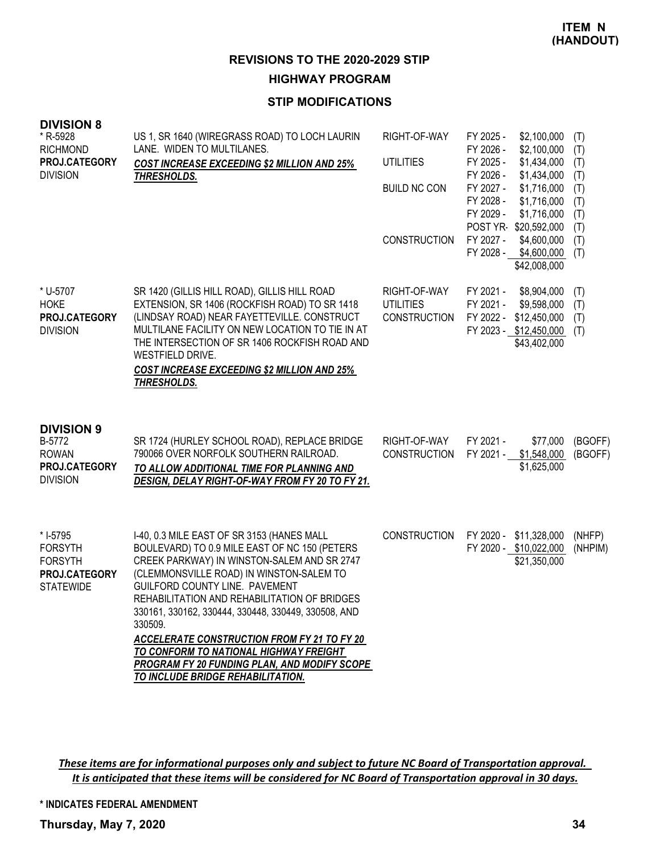**REVISIONS TO THE 2020-2029 STIP HIGHWAY PROGRAM**

## **STIP MODIFICATIONS**

| <b>DIVISION 8</b><br>* R-5928<br><b>RICHMOND</b><br>PROJ.CATEGORY<br><b>DIVISION</b> | US 1, SR 1640 (WIREGRASS ROAD) TO LOCH LAURIN<br>LANE. WIDEN TO MULTILANES.<br><b>COST INCREASE EXCEEDING \$2 MILLION AND 25%</b><br>THRESHOLDS.                                                                                                                                                                                                                                                                                                                                                                                | RIGHT-OF-WAY<br><b>UTILITIES</b><br><b>BUILD NC CON</b><br><b>CONSTRUCTION</b> | FY 2025 -<br>\$2,100,000<br>FY 2026 -<br>\$2,100,000<br>FY 2025 -<br>\$1,434,000<br>FY 2026 -<br>\$1,434,000<br>FY 2027 -<br>\$1,716,000<br>FY 2028 -<br>\$1,716,000<br>FY 2029 -<br>\$1,716,000<br>POST YR-\$20,592,000<br>FY 2027 -<br>\$4,600,000<br>FY 2028 -<br>\$4,600,000<br>\$42,008,000 | (T)<br>(T)<br>(T)<br>(T)<br>(T)<br>(T)<br>(T)<br>(T)<br>(T)<br>(T) |
|--------------------------------------------------------------------------------------|---------------------------------------------------------------------------------------------------------------------------------------------------------------------------------------------------------------------------------------------------------------------------------------------------------------------------------------------------------------------------------------------------------------------------------------------------------------------------------------------------------------------------------|--------------------------------------------------------------------------------|--------------------------------------------------------------------------------------------------------------------------------------------------------------------------------------------------------------------------------------------------------------------------------------------------|--------------------------------------------------------------------|
| * U-5707<br><b>HOKE</b><br>PROJ.CATEGORY<br><b>DIVISION</b>                          | SR 1420 (GILLIS HILL ROAD), GILLIS HILL ROAD<br>EXTENSION, SR 1406 (ROCKFISH ROAD) TO SR 1418<br>(LINDSAY ROAD) NEAR FAYETTEVILLE. CONSTRUCT<br>MULTILANE FACILITY ON NEW LOCATION TO TIE IN AT<br>THE INTERSECTION OF SR 1406 ROCKFISH ROAD AND<br>WESTFIELD DRIVE.<br><b>COST INCREASE EXCEEDING \$2 MILLION AND 25%</b><br>THRESHOLDS.                                                                                                                                                                                       | RIGHT-OF-WAY<br><b>UTILITIES</b><br><b>CONSTRUCTION</b>                        | FY 2021 -<br>\$8,904,000<br>FY 2021 -<br>\$9,598,000<br>FY 2022 -<br>\$12,450,000<br>FY 2023 - \$12,450,000<br>\$43,402,000                                                                                                                                                                      | (T)<br>(T)<br>(T)<br>(T)                                           |
| <b>DIVISION 9</b><br>B-5772<br><b>ROWAN</b><br>PROJ.CATEGORY<br><b>DIVISION</b>      | SR 1724 (HURLEY SCHOOL ROAD), REPLACE BRIDGE<br>790066 OVER NORFOLK SOUTHERN RAILROAD.<br>TO ALLOW ADDITIONAL TIME FOR PLANNING AND<br>DESIGN, DELAY RIGHT-OF-WAY FROM FY 20 TO FY 21.                                                                                                                                                                                                                                                                                                                                          | RIGHT-OF-WAY<br><b>CONSTRUCTION</b>                                            | FY 2021 -<br>\$77,000<br>FY 2021 -<br>\$1,548,000<br>\$1,625,000                                                                                                                                                                                                                                 | (BGOFF)<br>(BGOFF)                                                 |
| * I-5795<br><b>FORSYTH</b><br><b>FORSYTH</b><br>PROJ.CATEGORY<br><b>STATEWIDE</b>    | I-40, 0.3 MILE EAST OF SR 3153 (HANES MALL<br>BOULEVARD) TO 0.9 MILE EAST OF NC 150 (PETERS<br>CREEK PARKWAY) IN WINSTON-SALEM AND SR 2747<br>(CLEMMONSVILLE ROAD) IN WINSTON-SALEM TO<br>GUILFORD COUNTY LINE. PAVEMENT<br>REHABILITATION AND REHABILITATION OF BRIDGES<br>330161, 330162, 330444, 330448, 330449, 330508, AND<br>330509.<br><b>ACCELERATE CONSTRUCTION FROM FY 21 TO FY 20</b><br>TO CONFORM TO NATIONAL HIGHWAY FREIGHT<br>PROGRAM FY 20 FUNDING PLAN, AND MODIFY SCOPE<br>TO INCLUDE BRIDGE REHABILITATION. | <b>CONSTRUCTION</b>                                                            | FY 2020 -<br>\$11,328,000<br>FY 2020 - \$10,022,000<br>\$21,350,000                                                                                                                                                                                                                              | (NHFP)<br>(NHPIM)                                                  |

These items are for informational purposes only and subject to future NC Board of Transportation approval. It is anticipated that these items will be considered for NC Board of Transportation approval in 30 days.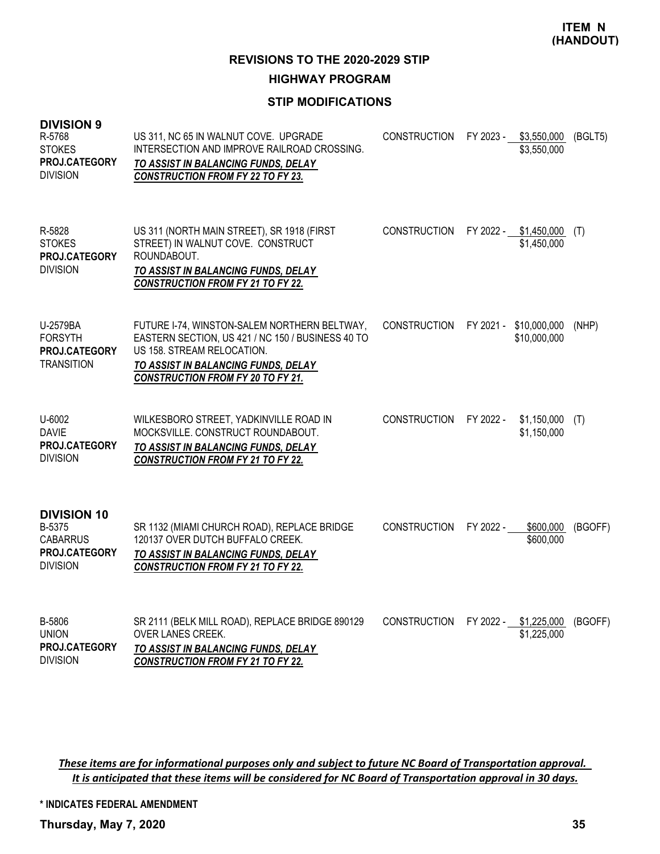**REVISIONS TO THE 2020-2029 STIP**

**HIGHWAY PROGRAM**

# **STIP MODIFICATIONS**

| <b>DIVISION 9</b><br>R-5768<br><b>STOKES</b><br>PROJ.CATEGORY<br><b>DIVISION</b>    | US 311, NC 65 IN WALNUT COVE. UPGRADE<br>INTERSECTION AND IMPROVE RAILROAD CROSSING.<br>TO ASSIST IN BALANCING FUNDS, DELAY<br><b>CONSTRUCTION FROM FY 22 TO FY 23.</b>                                            | <b>CONSTRUCTION</b> |           | FY 2023 - \$3,550,000<br>\$3,550,000 | (BGLT5) |
|-------------------------------------------------------------------------------------|--------------------------------------------------------------------------------------------------------------------------------------------------------------------------------------------------------------------|---------------------|-----------|--------------------------------------|---------|
| R-5828<br><b>STOKES</b><br>PROJ.CATEGORY<br><b>DIVISION</b>                         | US 311 (NORTH MAIN STREET), SR 1918 (FIRST<br>STREET) IN WALNUT COVE. CONSTRUCT<br>ROUNDABOUT.<br>TO ASSIST IN BALANCING FUNDS, DELAY<br><b>CONSTRUCTION FROM FY 21 TO FY 22.</b>                                  | <b>CONSTRUCTION</b> | FY 2022 - | \$1,450,000<br>\$1,450,000           | (T)     |
| U-2579BA<br><b>FORSYTH</b><br>PROJ.CATEGORY<br><b>TRANSITION</b>                    | FUTURE I-74, WINSTON-SALEM NORTHERN BELTWAY,<br>EASTERN SECTION, US 421 / NC 150 / BUSINESS 40 TO<br>US 158. STREAM RELOCATION.<br>TO ASSIST IN BALANCING FUNDS, DELAY<br><b>CONSTRUCTION FROM FY 20 TO FY 21.</b> | <b>CONSTRUCTION</b> | FY 2021 - | \$10,000,000<br>\$10,000,000         | (NHP)   |
| U-6002<br><b>DAVIE</b><br>PROJ.CATEGORY<br><b>DIVISION</b>                          | WILKESBORO STREET, YADKINVILLE ROAD IN<br>MOCKSVILLE. CONSTRUCT ROUNDABOUT.<br>TO ASSIST IN BALANCING FUNDS, DELAY<br><b>CONSTRUCTION FROM FY 21 TO FY 22.</b>                                                     | <b>CONSTRUCTION</b> | FY 2022 - | \$1,150,000<br>\$1,150,000           | (T)     |
| <b>DIVISION 10</b><br>B-5375<br><b>CABARRUS</b><br>PROJ.CATEGORY<br><b>DIVISION</b> | SR 1132 (MIAMI CHURCH ROAD), REPLACE BRIDGE<br>120137 OVER DUTCH BUFFALO CREEK.<br>TO ASSIST IN BALANCING FUNDS, DELAY<br><b>CONSTRUCTION FROM FY 21 TO FY 22.</b>                                                 | <b>CONSTRUCTION</b> | FY 2022 - | \$600,000<br>\$600,000               | (BGOFF) |
| B-5806<br><b>UNION</b><br>PROJ.CATEGORY<br><b>DIVISION</b>                          | SR 2111 (BELK MILL ROAD), REPLACE BRIDGE 890129<br><b>OVER LANES CREEK.</b><br>TO ASSIST IN BALANCING FUNDS, DELAY<br><b>CONSTRUCTION FROM FY 21 TO FY 22.</b>                                                     | <b>CONSTRUCTION</b> |           | FY 2022 - \$1,225,000<br>\$1,225,000 | (BGOFF) |

These items are for informational purposes only and subject to future NC Board of Transportation approval. It is anticipated that these items will be considered for NC Board of Transportation approval in 30 days.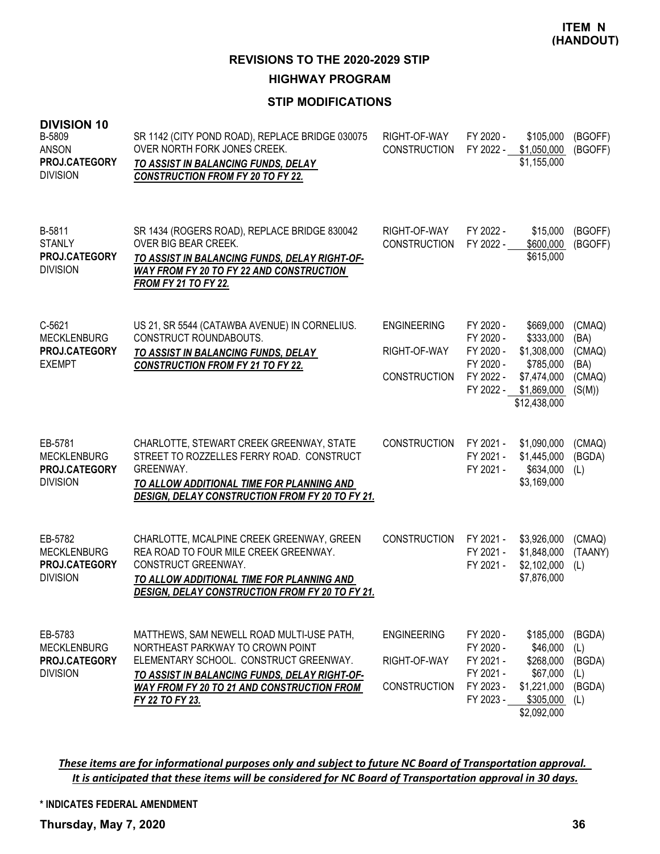**HIGHWAY PROGRAM**

# **STIP MODIFICATIONS**

| <b>DIVISION 10</b><br>B-5809<br><b>ANSON</b><br>PROJ.CATEGORY<br><b>DIVISION</b> | SR 1142 (CITY POND ROAD), REPLACE BRIDGE 030075<br>OVER NORTH FORK JONES CREEK.<br>TO ASSIST IN BALANCING FUNDS, DELAY<br><b>CONSTRUCTION FROM FY 20 TO FY 22.</b>                                                                               | RIGHT-OF-WAY<br><b>CONSTRUCTION</b>                       | FY 2020 -<br>FY 2022 -                                                     | \$105,000<br>\$1,050,000<br>\$1,155,000                                                          | (BGOFF)<br>(BGOFF)                                   |
|----------------------------------------------------------------------------------|--------------------------------------------------------------------------------------------------------------------------------------------------------------------------------------------------------------------------------------------------|-----------------------------------------------------------|----------------------------------------------------------------------------|--------------------------------------------------------------------------------------------------|------------------------------------------------------|
| B-5811<br><b>STANLY</b><br>PROJ.CATEGORY<br><b>DIVISION</b>                      | SR 1434 (ROGERS ROAD), REPLACE BRIDGE 830042<br>OVER BIG BEAR CREEK.<br>TO ASSIST IN BALANCING FUNDS, DELAY RIGHT-OF-<br>WAY FROM FY 20 TO FY 22 AND CONSTRUCTION<br><b>FROM FY 21 TO FY 22.</b>                                                 | RIGHT-OF-WAY<br><b>CONSTRUCTION</b>                       | FY 2022 -<br>FY 2022 -                                                     | \$15,000<br>\$600,000<br>\$615,000                                                               | (BGOFF)<br>(BGOFF)                                   |
| C-5621<br><b>MECKLENBURG</b><br>PROJ.CATEGORY<br><b>EXEMPT</b>                   | US 21, SR 5544 (CATAWBA AVENUE) IN CORNELIUS.<br>CONSTRUCT ROUNDABOUTS.<br>TO ASSIST IN BALANCING FUNDS, DELAY<br><b>CONSTRUCTION FROM FY 21 TO FY 22.</b>                                                                                       | <b>ENGINEERING</b><br>RIGHT-OF-WAY<br><b>CONSTRUCTION</b> | FY 2020 -<br>FY 2020 -<br>FY 2020 -<br>FY 2020 -<br>FY 2022 -<br>FY 2022 - | \$669,000<br>\$333,000<br>\$1,308,000<br>\$785,000<br>\$7,474,000<br>\$1,869,000<br>\$12,438,000 | (CMAQ)<br>(BA)<br>(CMAQ)<br>(BA)<br>(CMAQ)<br>(S(M)) |
| EB-5781<br><b>MECKLENBURG</b><br>PROJ.CATEGORY<br><b>DIVISION</b>                | CHARLOTTE, STEWART CREEK GREENWAY, STATE<br>STREET TO ROZZELLES FERRY ROAD. CONSTRUCT<br>GREENWAY.<br>TO ALLOW ADDITIONAL TIME FOR PLANNING AND<br><b>DESIGN, DELAY CONSTRUCTION FROM FY 20 TO FY 21.</b>                                        | <b>CONSTRUCTION</b>                                       | FY 2021 -<br>FY 2021 -<br>FY 2021 -                                        | \$1,090,000<br>\$1,445,000<br>\$634,000<br>\$3,169,000                                           | (CMAQ)<br>(BGDA)<br>(L)                              |
| EB-5782<br><b>MECKLENBURG</b><br>PROJ.CATEGORY<br><b>DIVISION</b>                | CHARLOTTE, MCALPINE CREEK GREENWAY, GREEN<br>REA ROAD TO FOUR MILE CREEK GREENWAY.<br>CONSTRUCT GREENWAY.<br>TO ALLOW ADDITIONAL TIME FOR PLANNING AND<br>DESIGN, DELAY CONSTRUCTION FROM FY 20 TO FY 21.                                        | <b>CONSTRUCTION</b>                                       | FY 2021 -<br>FY 2021 -<br>FY 2021 -                                        | \$3,926,000<br>\$1,848,000<br>\$2,102,000<br>\$7,876,000                                         | (CMAQ)<br>(TAANY)<br>(L)                             |
| EB-5783<br><b>MECKLENBURG</b><br><b>PROJ.CATEGORY</b><br><b>DIVISION</b>         | MATTHEWS, SAM NEWELL ROAD MULTI-USE PATH,<br>NORTHEAST PARKWAY TO CROWN POINT<br>ELEMENTARY SCHOOL. CONSTRUCT GREENWAY.<br>TO ASSIST IN BALANCING FUNDS, DELAY RIGHT-OF-<br><b>WAY FROM FY 20 TO 21 AND CONSTRUCTION FROM</b><br>FY 22 TO FY 23. | <b>ENGINEERING</b><br>RIGHT-OF-WAY<br><b>CONSTRUCTION</b> | FY 2020 -<br>FY 2020 -<br>FY 2021 -<br>FY 2021 -<br>FY 2023 -<br>FY 2023 - | \$185,000<br>\$46,000<br>\$268,000<br>\$67,000<br>\$1,221,000<br>\$305,000<br>\$2,092,000        | (BGDA)<br>(L)<br>(BGDA)<br>(L)<br>(BGDA)<br>(L)      |

These items are for informational purposes only and subject to future NC Board of Transportation approval. It is anticipated that these items will be considered for NC Board of Transportation approval in 30 days.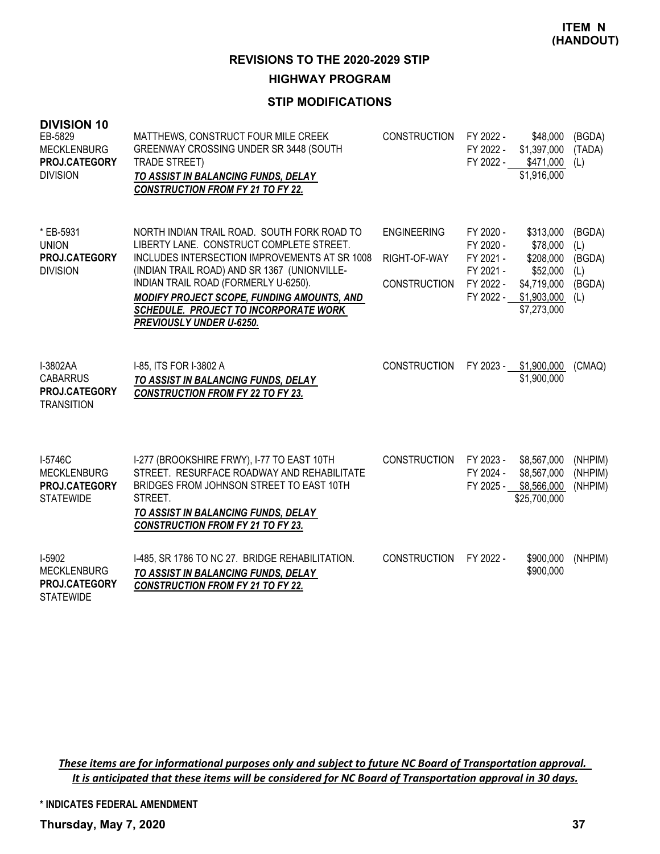# **HIGHWAY PROGRAM**

## **STIP MODIFICATIONS**

| <b>DIVISION 10</b><br>EB-5829<br><b>MECKLENBURG</b><br>PROJ.CATEGORY<br><b>DIVISION</b> | MATTHEWS, CONSTRUCT FOUR MILE CREEK<br>GREENWAY CROSSING UNDER SR 3448 (SOUTH<br><b>TRADE STREET)</b><br>TO ASSIST IN BALANCING FUNDS, DELAY<br><b>CONSTRUCTION FROM FY 21 TO FY 22.</b>                                                                                                                                                            | <b>CONSTRUCTION</b>                                       | FY 2022 -<br>FY 2022 -<br>FY 2022 -                           | \$48,000<br>\$1,397,000<br>\$471,000<br>\$1,916,000                                                   | (BGDA)<br>(TADA)<br>(L)                         |
|-----------------------------------------------------------------------------------------|-----------------------------------------------------------------------------------------------------------------------------------------------------------------------------------------------------------------------------------------------------------------------------------------------------------------------------------------------------|-----------------------------------------------------------|---------------------------------------------------------------|-------------------------------------------------------------------------------------------------------|-------------------------------------------------|
| * EB-5931<br><b>UNION</b><br>PROJ.CATEGORY<br><b>DIVISION</b>                           | NORTH INDIAN TRAIL ROAD. SOUTH FORK ROAD TO<br>LIBERTY LANE. CONSTRUCT COMPLETE STREET.<br>INCLUDES INTERSECTION IMPROVEMENTS AT SR 1008<br>(INDIAN TRAIL ROAD) AND SR 1367 (UNIONVILLE-<br>INDIAN TRAIL ROAD (FORMERLY U-6250).<br>MODIFY PROJECT SCOPE, FUNDING AMOUNTS, AND<br>SCHEDULE. PROJECT TO INCORPORATE WORK<br>PREVIOUSLY UNDER U-6250. | <b>ENGINEERING</b><br>RIGHT-OF-WAY<br><b>CONSTRUCTION</b> | FY 2020 -<br>FY 2020 -<br>FY 2021 -<br>FY 2021 -<br>FY 2022 - | \$313,000<br>\$78,000<br>\$208,000<br>\$52,000<br>\$4,719,000<br>FY 2022 - \$1,903,000<br>\$7,273,000 | (BGDA)<br>(L)<br>(BGDA)<br>(L)<br>(BGDA)<br>(L) |
| I-3802AA<br><b>CABARRUS</b><br>PROJ.CATEGORY<br><b>TRANSITION</b>                       | I-85, ITS FOR I-3802 A<br>TO ASSIST IN BALANCING FUNDS, DELAY<br><b>CONSTRUCTION FROM FY 22 TO FY 23.</b>                                                                                                                                                                                                                                           | <b>CONSTRUCTION</b>                                       | FY 2023 -                                                     | \$1,900,000<br>\$1,900,000                                                                            | (CMAQ)                                          |
| I-5746C<br><b>MECKLENBURG</b><br>PROJ.CATEGORY<br><b>STATEWIDE</b>                      | I-277 (BROOKSHIRE FRWY), I-77 TO EAST 10TH<br>STREET. RESURFACE ROADWAY AND REHABILITATE<br>BRIDGES FROM JOHNSON STREET TO EAST 10TH<br>STREET.<br><b>TO ASSIST IN BALANCING FUNDS, DELAY</b><br><b>CONSTRUCTION FROM FY 21 TO FY 23.</b>                                                                                                           | <b>CONSTRUCTION</b>                                       | FY 2023 -<br>FY 2024 -<br>FY 2025 -                           | \$8,567,000<br>\$8,567,000<br>\$8,566,000<br>\$25,700,000                                             | (NHPIM)<br>(NHPIM)<br>(NHPIM)                   |
| I-5902<br><b>MECKLENBURG</b><br>PROJ.CATEGORY<br><b>STATEWIDE</b>                       | I-485, SR 1786 TO NC 27. BRIDGE REHABILITATION.<br>TO ASSIST IN BALANCING FUNDS, DELAY<br><b>CONSTRUCTION FROM FY 21 TO FY 22.</b>                                                                                                                                                                                                                  | <b>CONSTRUCTION</b>                                       | FY 2022 -                                                     | \$900,000<br>\$900,000                                                                                | (NHPIM)                                         |

These items are for informational purposes only and subject to future NC Board of Transportation approval. It is anticipated that these items will be considered for NC Board of Transportation approval in 30 days.

**\* INDICATES FEDERAL AMENDMENT**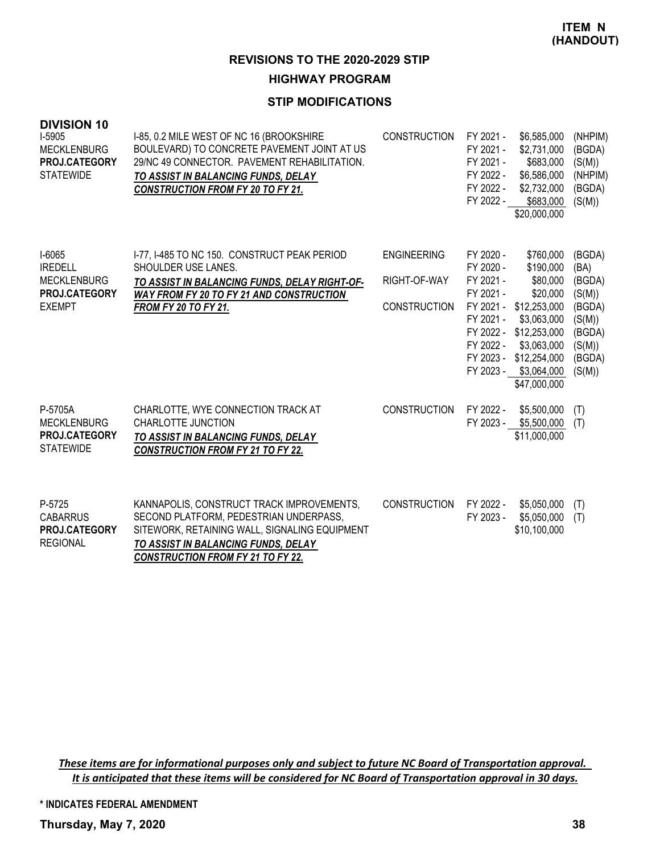#### **HIGHWAY PROGRAM**

## **STIP MODIFICATIONS**

| <b>DIVISION 10</b><br>I-5905<br><b>MECKLENBURG</b><br>PROJ.CATEGORY<br><b>STATEWIDE</b> | I-85, 0.2 MILE WEST OF NC 16 (BROOKSHIRE<br>BOULEVARD) TO CONCRETE PAVEMENT JOINT AT US<br>29/NC 49 CONNECTOR. PAVEMENT REHABILITATION.<br>TO ASSIST IN BALANCING FUNDS, DELAY<br><b>CONSTRUCTION FROM FY 20 TO FY 21.</b> | <b>CONSTRUCTION</b>                                       | FY 2021 -<br>FY 2021 -<br>FY 2021 -<br>FY 2022 -<br>FY 2022 -<br>FY 2022 -              | \$6,585,000<br>\$2,731,000<br>\$683,000<br>\$6,586,000<br>\$2,732,000<br>\$683,000<br>\$20,000,000                                                                                        | (NHPIM)<br>(BGDA)<br>(S(M))<br>(NHPIM)<br>(BGDA)<br>(S(M))                                     |
|-----------------------------------------------------------------------------------------|----------------------------------------------------------------------------------------------------------------------------------------------------------------------------------------------------------------------------|-----------------------------------------------------------|-----------------------------------------------------------------------------------------|-------------------------------------------------------------------------------------------------------------------------------------------------------------------------------------------|------------------------------------------------------------------------------------------------|
| I-6065<br><b>IREDELL</b><br><b>MECKLENBURG</b><br>PROJ.CATEGORY<br><b>EXEMPT</b>        | I-77, I-485 TO NC 150. CONSTRUCT PEAK PERIOD<br>SHOULDER USE LANES.<br>TO ASSIST IN BALANCING FUNDS, DELAY RIGHT-OF-<br>WAY FROM FY 20 TO FY 21 AND CONSTRUCTION<br><b>FROM FY 20 TO FY 21.</b>                            | <b>ENGINEERING</b><br>RIGHT-OF-WAY<br><b>CONSTRUCTION</b> | FY 2020 -<br>FY 2020 -<br>FY 2021 -<br>FY 2021 -<br>FY 2021 -<br>FY 2022 -<br>FY 2023 - | \$760,000<br>\$190,000<br>\$80,000<br>\$20,000<br>FY 2021 - \$12,253,000<br>\$3,063,000<br>FY 2022 - \$12,253,000<br>\$3,063,000<br>\$12,254,000<br>FY 2023 - \$3,064,000<br>\$47,000,000 | (BGDA)<br>(BA)<br>(BGDA)<br>(S(M))<br>(BGDA)<br>(S(M))<br>(BGDA)<br>(S(M))<br>(BGDA)<br>(S(M)) |
| P-5705A<br><b>MECKLENBURG</b><br><b>PROJ.CATEGORY</b><br><b>STATEWIDE</b>               | CHARLOTTE, WYE CONNECTION TRACK AT<br>CHARLOTTE JUNCTION<br>TO ASSIST IN BALANCING FUNDS, DELAY<br><b>CONSTRUCTION FROM FY 21 TO FY 22.</b>                                                                                | <b>CONSTRUCTION</b>                                       | FY 2022 -<br>FY 2023 -                                                                  | \$5,500,000<br>\$5,500,000<br>\$11,000,000                                                                                                                                                | (T)<br>(T)                                                                                     |
| P-5725<br><b>CABARRUS</b><br><b>PROJ.CATEGORY</b><br><b>REGIONAL</b>                    | KANNAPOLIS, CONSTRUCT TRACK IMPROVEMENTS,<br>SECOND PLATFORM, PEDESTRIAN UNDERPASS,<br>SITEWORK, RETAINING WALL, SIGNALING EQUIPMENT<br>TO ASSIST IN BALANCING FUNDS, DELAY<br><b>CONSTRUCTION FROM FY 21 TO FY 22.</b>    | <b>CONSTRUCTION</b>                                       | FY 2022 -<br>FY 2023 -                                                                  | \$5,050,000<br>\$5,050,000<br>\$10,100,000                                                                                                                                                | (T)<br>(T)                                                                                     |

These items are for informational purposes only and subject to future NC Board of Transportation approval. It is anticipated that these items will be considered for NC Board of Transportation approval in 30 days.

**\* INDICATES FEDERAL AMENDMENT**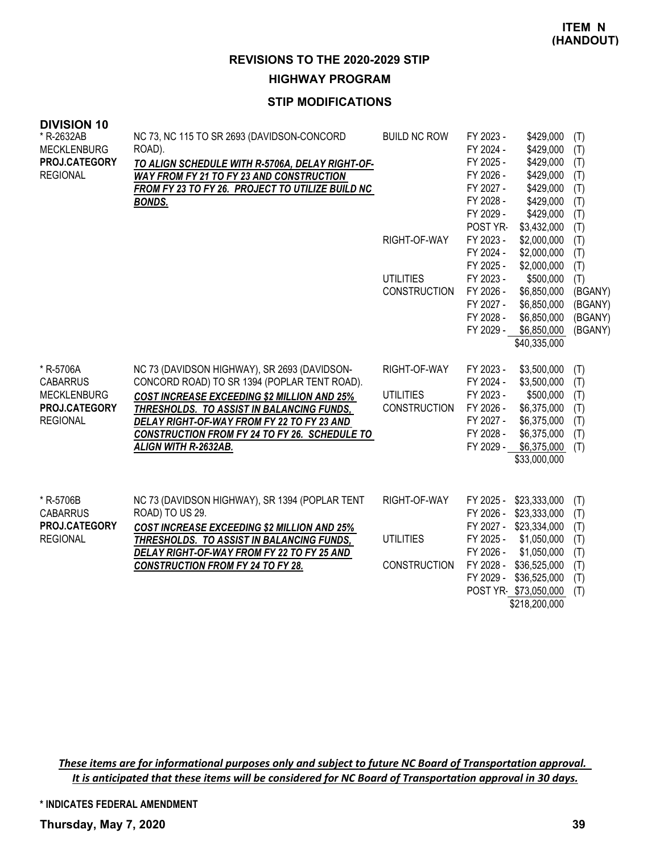**HIGHWAY PROGRAM**

## **STIP MODIFICATIONS**

| <b>DIVISION 10</b>                  |                                                                                             |                     |                                                  |            |
|-------------------------------------|---------------------------------------------------------------------------------------------|---------------------|--------------------------------------------------|------------|
| * R-2632AB                          | NC 73, NC 115 TO SR 2693 (DAVIDSON-CONCORD                                                  | <b>BUILD NC ROW</b> | FY 2023 -<br>\$429,000                           | (T)        |
| <b>MECKLENBURG</b><br>PROJ.CATEGORY | ROAD).                                                                                      |                     | FY 2024 -<br>\$429,000<br>FY 2025 -<br>\$429,000 | (T)        |
| <b>REGIONAL</b>                     | TO ALIGN SCHEDULE WITH R-5706A, DELAY RIGHT-OF-<br>WAY FROM FY 21 TO FY 23 AND CONSTRUCTION |                     | \$429,000<br>FY 2026 -                           | (T)<br>(T) |
|                                     | FROM FY 23 TO FY 26. PROJECT TO UTILIZE BUILD NC                                            |                     | FY 2027 -<br>\$429,000                           | (T)        |
|                                     | <b>BONDS.</b>                                                                               |                     | FY 2028 -<br>\$429,000                           | (T)        |
|                                     |                                                                                             |                     | FY 2029 -<br>\$429,000                           | (T)        |
|                                     |                                                                                             |                     | POST YR-<br>\$3,432,000                          | (T)        |
|                                     |                                                                                             | RIGHT-OF-WAY        | FY 2023 -<br>\$2,000,000                         | (T)        |
|                                     |                                                                                             |                     | FY 2024 -<br>\$2,000,000                         | (T)        |
|                                     |                                                                                             |                     | FY 2025 -<br>\$2,000,000                         | (T)        |
|                                     |                                                                                             | <b>UTILITIES</b>    | FY 2023 -<br>\$500,000                           | (T)        |
|                                     |                                                                                             | <b>CONSTRUCTION</b> | FY 2026 -<br>\$6,850,000                         | (BGANY)    |
|                                     |                                                                                             |                     | FY 2027 -<br>\$6,850,000                         | (BGANY)    |
|                                     |                                                                                             |                     | FY 2028 -<br>\$6,850,000                         | (BGANY)    |
|                                     |                                                                                             |                     | FY 2029 -<br>\$6,850,000                         | (BGANY)    |
|                                     |                                                                                             |                     | \$40,335,000                                     |            |
| * R-5706A                           | NC 73 (DAVIDSON HIGHWAY), SR 2693 (DAVIDSON-                                                | RIGHT-OF-WAY        | FY 2023 -<br>\$3,500,000                         | (T)        |
| <b>CABARRUS</b>                     | CONCORD ROAD) TO SR 1394 (POPLAR TENT ROAD).                                                |                     | FY 2024 -<br>\$3,500,000                         | (T)        |
| <b>MECKLENBURG</b>                  | <b>COST INCREASE EXCEEDING \$2 MILLION AND 25%</b>                                          | <b>UTILITIES</b>    | FY 2023 -<br>\$500,000                           | (T)        |
| PROJ.CATEGORY                       | THRESHOLDS. TO ASSIST IN BALANCING FUNDS,                                                   | <b>CONSTRUCTION</b> | FY 2026 -<br>\$6,375,000                         | (T)        |
| <b>REGIONAL</b>                     | DELAY RIGHT-OF-WAY FROM FY 22 TO FY 23 AND                                                  |                     | FY 2027 -<br>\$6,375,000                         | (T)        |
|                                     | CONSTRUCTION FROM FY 24 TO FY 26. SCHEDULE TO                                               |                     | FY 2028 -<br>\$6,375,000                         | (T)        |
|                                     | ALIGN WITH R-2632AB.                                                                        |                     | \$6,375,000<br>FY 2029 -                         | (T)        |
|                                     |                                                                                             |                     | \$33,000,000                                     |            |
|                                     |                                                                                             |                     |                                                  |            |
| * R-5706B                           | NC 73 (DAVIDSON HIGHWAY), SR 1394 (POPLAR TENT                                              | RIGHT-OF-WAY        | FY 2025 - \$23,333,000                           | (T)        |
| <b>CABARRUS</b>                     | ROAD) TO US 29.                                                                             |                     | FY 2026 - \$23,333,000                           | (T)        |
| PROJ.CATEGORY                       | <b>COST INCREASE EXCEEDING \$2 MILLION AND 25%</b>                                          |                     | FY 2027 - \$23,334,000                           | (T)        |
| <b>REGIONAL</b>                     | THRESHOLDS. TO ASSIST IN BALANCING FUNDS,                                                   | <b>UTILITIES</b>    | FY 2025 -<br>\$1,050,000                         | (T)        |
|                                     | DELAY RIGHT-OF-WAY FROM FY 22 TO FY 25 AND                                                  | <b>CONSTRUCTION</b> | FY 2026 -<br>\$1,050,000<br>FY 2028 -            | (T)        |
|                                     | <b>CONSTRUCTION FROM FY 24 TO FY 28.</b>                                                    |                     | \$36,525,000<br>FY 2029 -<br>\$36,525,000        | (T)<br>(T) |
|                                     |                                                                                             |                     | POST YR-\$73,050,000                             | (T)        |
|                                     |                                                                                             |                     | \$218,200,000                                    |            |
|                                     |                                                                                             |                     |                                                  |            |

These items are for informational purposes only and subject to future NC Board of Transportation approval. It is anticipated that these items will be considered for NC Board of Transportation approval in 30 days.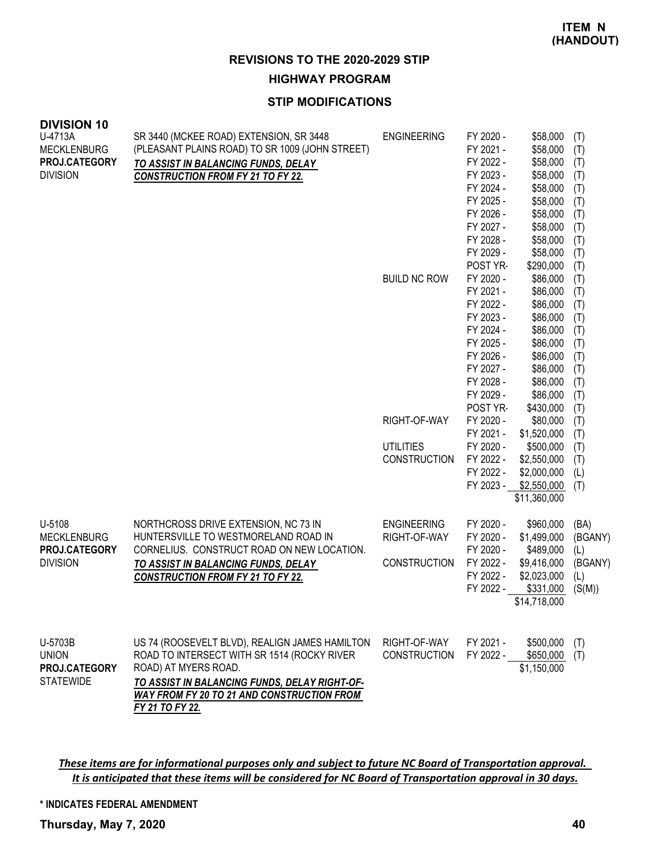**HIGHWAY PROGRAM**

## **STIP MODIFICATIONS**

| <b>DIVISION 10</b><br>U-4713A<br><b>MECKLENBURG</b> | SR 3440 (MCKEE ROAD) EXTENSION, SR 3448<br>(PLEASANT PLAINS ROAD) TO SR 1009 (JOHN STREET) | <b>ENGINEERING</b>  | FY 2020 -<br>FY 2021 - | \$58,000<br>\$58,000 | (T)<br>(T) |
|-----------------------------------------------------|--------------------------------------------------------------------------------------------|---------------------|------------------------|----------------------|------------|
| PROJ.CATEGORY                                       | TO ASSIST IN BALANCING FUNDS, DELAY                                                        |                     | FY 2022 -              | \$58,000             | (T)        |
| <b>DIVISION</b>                                     | <b>CONSTRUCTION FROM FY 21 TO FY 22.</b>                                                   |                     | FY 2023 -              | \$58,000             | (T)        |
|                                                     |                                                                                            |                     | FY 2024 -              | \$58,000             | (T)        |
|                                                     |                                                                                            |                     | FY 2025 -              | \$58,000             | (T)        |
|                                                     |                                                                                            |                     | FY 2026 -              | \$58,000             | (T)        |
|                                                     |                                                                                            |                     | FY 2027 -              | \$58,000             | (T)        |
|                                                     |                                                                                            |                     | FY 2028 -              | \$58,000             | (T)        |
|                                                     |                                                                                            |                     | FY 2029 -              | \$58,000             | (T)        |
|                                                     |                                                                                            |                     | POST YR-               | \$290,000            | (T)        |
|                                                     |                                                                                            | <b>BUILD NC ROW</b> | FY 2020 -              | \$86,000             | (T)        |
|                                                     |                                                                                            |                     | FY 2021 -              | \$86,000             | (T)        |
|                                                     |                                                                                            |                     | FY 2022 -<br>FY 2023 - | \$86,000             | (T)        |
|                                                     |                                                                                            |                     | FY 2024 -              | \$86,000<br>\$86,000 | (T)        |
|                                                     |                                                                                            |                     | FY 2025 -              | \$86,000             | (T)        |
|                                                     |                                                                                            |                     | FY 2026 -              | \$86,000             | (T)<br>(T) |
|                                                     |                                                                                            |                     | FY 2027 -              | \$86,000             | (T)        |
|                                                     |                                                                                            |                     | FY 2028 -              | \$86,000             | (T)        |
|                                                     |                                                                                            |                     | FY 2029 -              | \$86,000             | (T)        |
|                                                     |                                                                                            |                     | POST YR-               | \$430,000            | (T)        |
|                                                     |                                                                                            | RIGHT-OF-WAY        | FY 2020 -              | \$80,000             | (T)        |
|                                                     |                                                                                            |                     | FY 2021 -              | \$1,520,000          | (T)        |
|                                                     |                                                                                            | <b>UTILITIES</b>    | FY 2020 -              | \$500,000            | (T)        |
|                                                     |                                                                                            | <b>CONSTRUCTION</b> | FY 2022 -              | \$2,550,000          | (T)        |
|                                                     |                                                                                            |                     | FY 2022 -              | \$2,000,000          | (L)        |
|                                                     |                                                                                            |                     | FY 2023 -              | \$2,550,000          | (T)        |
|                                                     |                                                                                            |                     |                        | \$11,360,000         |            |
| U-5108                                              | NORTHCROSS DRIVE EXTENSION, NC 73 IN                                                       | <b>ENGINEERING</b>  | FY 2020 -              | \$960,000            | (BA)       |
| <b>MECKLENBURG</b>                                  | HUNTERSVILLE TO WESTMORELAND ROAD IN                                                       | RIGHT-OF-WAY        | FY 2020 -              | \$1,499,000          | (BGANY)    |
| PROJ.CATEGORY                                       | CORNELIUS. CONSTRUCT ROAD ON NEW LOCATION.                                                 |                     | FY 2020 -              | \$489,000            | (L)        |
| <b>DIVISION</b>                                     | TO ASSIST IN BALANCING FUNDS, DELAY                                                        | <b>CONSTRUCTION</b> | FY 2022 -              | \$9,416,000          | (BGANY)    |
|                                                     | <b>CONSTRUCTION FROM FY 21 TO FY 22.</b>                                                   |                     | FY 2022 -              | \$2,023,000          | (L)        |
|                                                     |                                                                                            |                     | FY 2022 -              | \$331,000            | (S(M))     |
|                                                     |                                                                                            |                     |                        | \$14,718,000         |            |
| U-5703B                                             | US 74 (ROOSEVELT BLVD), REALIGN JAMES HAMILTON                                             | RIGHT-OF-WAY        | FY 2021 -              | \$500,000            | (T)        |
| <b>UNION</b>                                        | ROAD TO INTERSECT WITH SR 1514 (ROCKY RIVER                                                | <b>CONSTRUCTION</b> | FY 2022 -              | \$650,000            | (T)        |
| PROJ.CATEGORY                                       | ROAD) AT MYERS ROAD.                                                                       |                     |                        | \$1,150,000          |            |
| <b>STATEWIDE</b>                                    | TO ASSIST IN BALANCING FUNDS, DELAY RIGHT-OF-                                              |                     |                        |                      |            |
|                                                     | <b>WAY FROM FY 20 TO 21 AND CONSTRUCTION FROM</b><br>FY 21 TO FY 22.                       |                     |                        |                      |            |
|                                                     |                                                                                            |                     |                        |                      |            |

These items are for informational purposes only and subject to future NC Board of Transportation approval. It is anticipated that these items will be considered for NC Board of Transportation approval in 30 days.

**\* INDICATES FEDERAL AMENDMENT**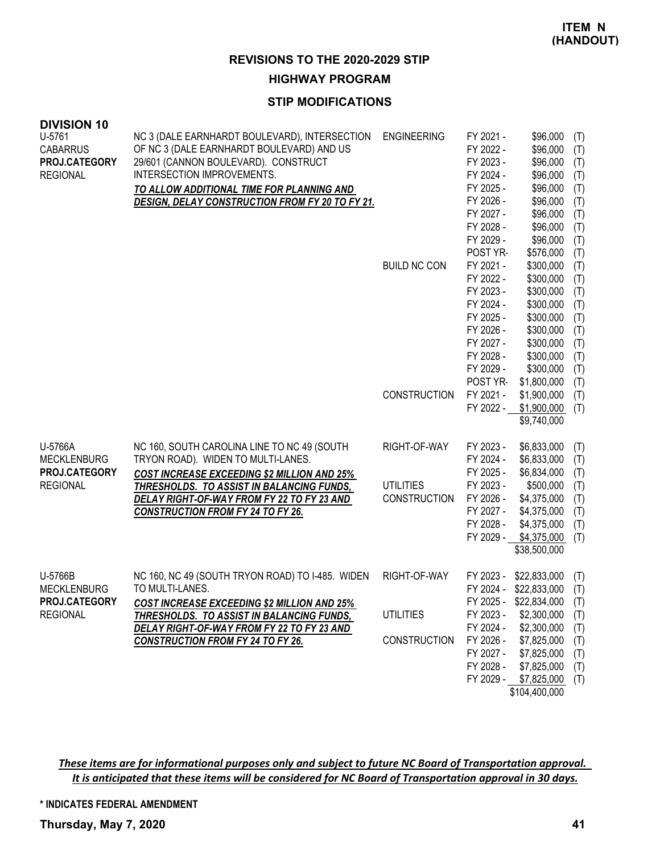**HIGHWAY PROGRAM**

## **STIP MODIFICATIONS**

| <b>DIVISION 10</b><br>U-5761<br><b>CABARRUS</b><br>PROJ.CATEGORY<br><b>REGIONAL</b> | NC 3 (DALE EARNHARDT BOULEVARD), INTERSECTION<br>OF NC 3 (DALE EARNHARDT BOULEVARD) AND US<br>29/601 (CANNON BOULEVARD). CONSTRUCT<br>INTERSECTION IMPROVEMENTS.<br>TO ALLOW ADDITIONAL TIME FOR PLANNING AND<br>DESIGN, DELAY CONSTRUCTION FROM FY 20 TO FY 21.               | <b>ENGINEERING</b><br><b>BUILD NC CON</b>               | FY 2021 -<br>FY 2022 -<br>FY 2023 -<br>FY 2024 -<br>FY 2025 -<br>FY 2026 -<br>FY 2027 -<br>FY 2028 -<br>FY 2029 -<br>POST YR-<br>FY 2021 -<br>FY 2022 -<br>FY 2023 -<br>FY 2024 -<br>FY 2025 -<br>FY 2026 -<br>FY 2027 -<br>FY 2028 - | \$96,000<br>\$96,000<br>\$96,000<br>\$96,000<br>\$96,000<br>\$96,000<br>\$96,000<br>\$96,000<br>\$96,000<br>\$576,000<br>\$300,000<br>\$300,000<br>\$300,000<br>\$300,000<br>\$300,000<br>\$300,000<br>\$300,000<br>\$300,000 | (T)<br>(T)<br>(T)<br>(T)<br>(T)<br>(T)<br>(T)<br>(T)<br>(T)<br>(T)<br>(T)<br>(T)<br>(T)<br>(T)<br>(T)<br>(T)<br>(T)<br>(T) |
|-------------------------------------------------------------------------------------|--------------------------------------------------------------------------------------------------------------------------------------------------------------------------------------------------------------------------------------------------------------------------------|---------------------------------------------------------|---------------------------------------------------------------------------------------------------------------------------------------------------------------------------------------------------------------------------------------|-------------------------------------------------------------------------------------------------------------------------------------------------------------------------------------------------------------------------------|----------------------------------------------------------------------------------------------------------------------------|
|                                                                                     |                                                                                                                                                                                                                                                                                | <b>CONSTRUCTION</b>                                     | FY 2029 -<br>POST YR-<br>FY 2021 -<br>FY 2022 -                                                                                                                                                                                       | \$300,000<br>\$1,800,000<br>\$1,900,000<br>\$1,900,000<br>\$9,740,000                                                                                                                                                         | (T)<br>(T)<br>(T)<br>(T)                                                                                                   |
| U-5766A<br><b>MECKLENBURG</b><br>PROJ.CATEGORY<br><b>REGIONAL</b>                   | NC 160, SOUTH CAROLINA LINE TO NC 49 (SOUTH<br>TRYON ROAD). WIDEN TO MULTI-LANES.<br>COST INCREASE EXCEEDING \$2 MILLION AND 25%<br><b>THRESHOLDS. TO ASSIST IN BALANCING FUNDS,</b><br>DELAY RIGHT-OF-WAY FROM FY 22 TO FY 23 AND<br><b>CONSTRUCTION FROM FY 24 TO FY 26.</b> | RIGHT-OF-WAY<br><b>UTILITIES</b><br><b>CONSTRUCTION</b> | FY 2023 -<br>FY 2024 -<br>FY 2025 -<br>FY 2023 -<br>FY 2026 -<br>FY 2027 -<br>FY 2028 -<br>FY 2029 -                                                                                                                                  | \$6,833,000<br>\$6,833,000<br>\$6,834,000<br>\$500,000<br>\$4,375,000<br>\$4,375,000<br>\$4,375,000<br>\$4,375,000<br>\$38,500,000                                                                                            | (T)<br>(T)<br>(T)<br>(T)<br>(T)<br>(T)<br>(T)<br>(T)                                                                       |
| U-5766B<br><b>MECKLENBURG</b><br>PROJ.CATEGORY<br><b>REGIONAL</b>                   | NC 160, NC 49 (SOUTH TRYON ROAD) TO I-485. WIDEN<br>TO MULTI-LANES.<br>COST INCREASE EXCEEDING \$2 MILLION AND 25%<br><b>THRESHOLDS. TO ASSIST IN BALANCING FUNDS,</b><br>DELAY RIGHT-OF-WAY FROM FY 22 TO FY 23 AND<br><b>CONSTRUCTION FROM FY 24 TO FY 26.</b>               | RIGHT-OF-WAY<br><b>UTILITIES</b><br><b>CONSTRUCTION</b> | FY 2023 -<br>FY 2024 -<br>FY 2023 -<br>FY 2024 -<br>FY 2026 -<br>FY 2027 -<br>FY 2028 -                                                                                                                                               | \$22,833,000<br>\$22,833,000<br>FY 2025 - \$22,834,000 (T)<br>\$2,300,000<br>\$2,300,000<br>\$7,825,000<br>\$7,825,000<br>\$7,825,000<br>FY 2029 - \$7,825,000<br>\$104,400,000                                               | (T)<br>(T)<br>(T)<br>(T)<br>(T)<br>(T)<br>(T)<br>(T)                                                                       |

These items are for informational purposes only and subject to future NC Board of Transportation approval. It is anticipated that these items will be considered for NC Board of Transportation approval in 30 days.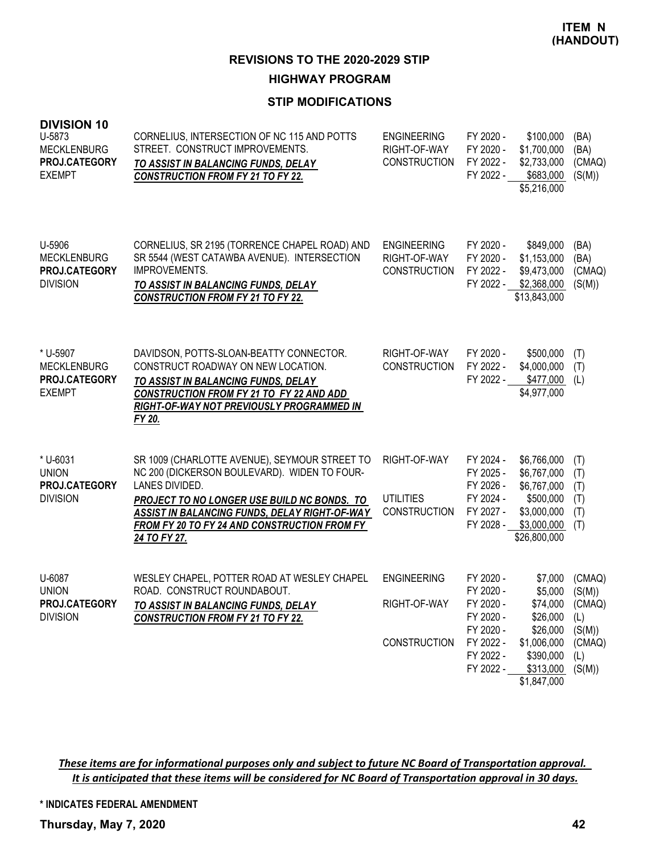**HIGHWAY PROGRAM**

# **STIP MODIFICATIONS**

| <b>DIVISION 10</b><br>U-5873<br><b>MECKLENBURG</b><br>PROJ.CATEGORY<br><b>EXEMPT</b> | CORNELIUS, INTERSECTION OF NC 115 AND POTTS<br>STREET. CONSTRUCT IMPROVEMENTS.<br>TO ASSIST IN BALANCING FUNDS, DELAY<br><b>CONSTRUCTION FROM FY 21 TO FY 22.</b>                                                                                                               | <b>ENGINEERING</b><br>RIGHT-OF-WAY<br><b>CONSTRUCTION</b> | FY 2020 -<br>FY 2020 -<br>FY 2022 -<br>FY 2022 -                                                     | \$100,000<br>\$1,700,000<br>\$2,733,000<br>\$683,000<br>\$5,216,000                                                   | (BA)<br>(BA)<br>(CMAQ)<br>(S(M))                             |
|--------------------------------------------------------------------------------------|---------------------------------------------------------------------------------------------------------------------------------------------------------------------------------------------------------------------------------------------------------------------------------|-----------------------------------------------------------|------------------------------------------------------------------------------------------------------|-----------------------------------------------------------------------------------------------------------------------|--------------------------------------------------------------|
| U-5906<br><b>MECKLENBURG</b><br>PROJ.CATEGORY<br><b>DIVISION</b>                     | CORNELIUS, SR 2195 (TORRENCE CHAPEL ROAD) AND<br>SR 5544 (WEST CATAWBA AVENUE). INTERSECTION<br>IMPROVEMENTS.<br>TO ASSIST IN BALANCING FUNDS, DELAY<br><b>CONSTRUCTION FROM FY 21 TO FY 22.</b>                                                                                | <b>ENGINEERING</b><br>RIGHT-OF-WAY<br><b>CONSTRUCTION</b> | FY 2020 -<br>FY 2020 -<br>FY 2022 -<br>FY 2022 -                                                     | \$849,000<br>\$1,153,000<br>\$9,473,000<br>\$2,368,000<br>\$13,843,000                                                | (BA)<br>(BA)<br>(CMAQ)<br>(S(M))                             |
| * U-5907<br><b>MECKLENBURG</b><br><b>PROJ.CATEGORY</b><br><b>EXEMPT</b>              | DAVIDSON, POTTS-SLOAN-BEATTY CONNECTOR.<br>CONSTRUCT ROADWAY ON NEW LOCATION.<br>TO ASSIST IN BALANCING FUNDS, DELAY<br>CONSTRUCTION FROM FY 21 TO FY 22 AND ADD<br>RIGHT-OF-WAY NOT PREVIOUSLY PROGRAMMED IN<br>FY 20.                                                         | RIGHT-OF-WAY<br><b>CONSTRUCTION</b>                       | FY 2020 -<br>FY 2022 -<br>FY 2022 -                                                                  | \$500,000<br>\$4,000,000<br>\$477,000<br>\$4,977,000                                                                  | (T)<br>(T)<br>(L)                                            |
| * U-6031<br><b>UNION</b><br>PROJ.CATEGORY<br><b>DIVISION</b>                         | SR 1009 (CHARLOTTE AVENUE), SEYMOUR STREET TO<br>NC 200 (DICKERSON BOULEVARD). WIDEN TO FOUR-<br>LANES DIVIDED.<br>PROJECT TO NO LONGER USE BUILD NC BONDS. TO<br>ASSIST IN BALANCING FUNDS, DELAY RIGHT-OF-WAY<br>FROM FY 20 TO FY 24 AND CONSTRUCTION FROM FY<br>24 TO FY 27. | RIGHT-OF-WAY<br><b>UTILITIES</b><br><b>CONSTRUCTION</b>   | FY 2024 -<br>FY 2025 -<br>FY 2026 -<br>FY 2024 -<br>FY 2027 -<br>FY 2028 -                           | \$6,766,000<br>\$6,767,000<br>\$6,767,000<br>\$500,000<br>\$3,000,000<br>\$3,000,000<br>\$26,800,000                  | (T)<br>(T)<br>(T)<br>(T)<br>(T)<br>(T)                       |
| U-6087<br><b>UNION</b><br>PROJ.CATEGORY<br><b>DIVISION</b>                           | WESLEY CHAPEL, POTTER ROAD AT WESLEY CHAPEL<br>ROAD. CONSTRUCT ROUNDABOUT.<br><u>TO ASSIST IN BALANCING FUNDS, DELAY</u><br><b>CONSTRUCTION FROM FY 21 TO FY 22.</b>                                                                                                            | <b>ENGINEERING</b><br>RIGHT-OF-WAY<br><b>CONSTRUCTION</b> | FY 2020 -<br>FY 2020 -<br>FY 2020 -<br>FY 2020 -<br>FY 2020 -<br>FY 2022 -<br>FY 2022 -<br>FY 2022 - | \$7,000<br>\$5,000<br>\$74,000 (CMAQ)<br>\$26,000<br>\$26,000<br>\$1,006,000<br>\$390,000<br>\$313,000<br>\$1,847,000 | (CMAQ)<br>(S(M))<br>(L)<br>(S(M))<br>(CMAQ)<br>(L)<br>(S(M)) |

These items are for informational purposes only and subject to future NC Board of Transportation approval. It is anticipated that these items will be considered for NC Board of Transportation approval in 30 days.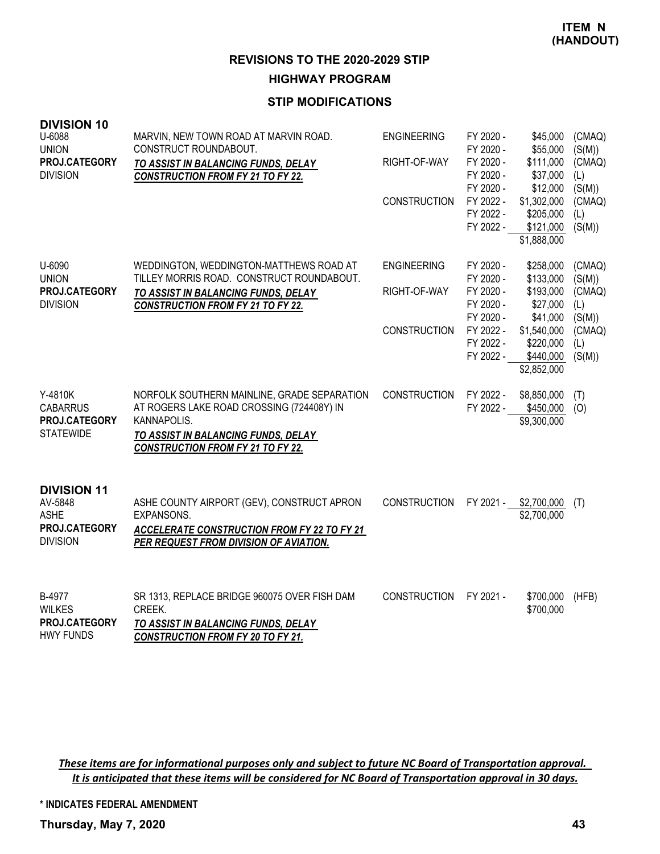**HIGHWAY PROGRAM**

# **STIP MODIFICATIONS**

| <b>DIVISION 10</b><br>U-6088<br><b>UNION</b><br>PROJ.CATEGORY<br><b>DIVISION</b> | MARVIN, NEW TOWN ROAD AT MARVIN ROAD.<br>CONSTRUCT ROUNDABOUT.<br>TO ASSIST IN BALANCING FUNDS, DELAY<br><b>CONSTRUCTION FROM FY 21 TO FY 22.</b>                                          | <b>ENGINEERING</b><br>RIGHT-OF-WAY<br><b>CONSTRUCTION</b> | FY 2020 -<br>FY 2020 -<br>FY 2020 -<br>FY 2020 -<br>FY 2020 -<br>FY 2022 -<br>FY 2022 -<br>FY 2022 - | \$45,000<br>\$55,000<br>\$111,000<br>\$37,000<br>\$12,000<br>\$1,302,000<br>\$205,000<br>\$121,000<br>\$1,888,000 | (CMAQ)<br>(S(M))<br>(CMAQ)<br>(L)<br>(S(M))<br>(CMAQ)<br>(L)<br>(S(M)) |
|----------------------------------------------------------------------------------|--------------------------------------------------------------------------------------------------------------------------------------------------------------------------------------------|-----------------------------------------------------------|------------------------------------------------------------------------------------------------------|-------------------------------------------------------------------------------------------------------------------|------------------------------------------------------------------------|
| U-6090<br><b>UNION</b>                                                           | WEDDINGTON, WEDDINGTON-MATTHEWS ROAD AT<br>TILLEY MORRIS ROAD. CONSTRUCT ROUNDABOUT.                                                                                                       | <b>ENGINEERING</b>                                        | FY 2020 -<br>FY 2020 -                                                                               | \$258,000<br>\$133,000                                                                                            | (CMAQ)<br>(S(M))                                                       |
| PROJ.CATEGORY<br><b>DIVISION</b>                                                 | TO ASSIST IN BALANCING FUNDS, DELAY<br><b>CONSTRUCTION FROM FY 21 TO FY 22.</b>                                                                                                            | RIGHT-OF-WAY                                              | FY 2020 -<br>FY 2020 -<br>FY 2020 -                                                                  | \$193,000<br>\$27,000<br>\$41,000                                                                                 | (CMAQ)<br>(L)<br>(S(M))                                                |
|                                                                                  |                                                                                                                                                                                            | <b>CONSTRUCTION</b>                                       | FY 2022 -<br>FY 2022 -<br>FY 2022 -                                                                  | \$1,540,000<br>\$220,000<br>\$440,000<br>\$2,852,000                                                              | (CMAQ)<br>(L)<br>(S(M))                                                |
| Y-4810K<br><b>CABARRUS</b><br>PROJ.CATEGORY<br><b>STATEWIDE</b>                  | NORFOLK SOUTHERN MAINLINE, GRADE SEPARATION<br>AT ROGERS LAKE ROAD CROSSING (724408Y) IN<br>KANNAPOLIS.<br>TO ASSIST IN BALANCING FUNDS, DELAY<br><b>CONSTRUCTION FROM FY 21 TO FY 22.</b> | CONSTRUCTION                                              | FY 2022 -<br>FY 2022 -                                                                               | \$8,850,000<br>\$450,000<br>\$9,300,000                                                                           | (T)<br>(O)                                                             |
| <b>DIVISION 11</b><br>AV-5848<br><b>ASHE</b><br>PROJ.CATEGORY<br><b>DIVISION</b> | ASHE COUNTY AIRPORT (GEV), CONSTRUCT APRON<br>EXPANSONS.<br><b>ACCELERATE CONSTRUCTION FROM FY 22 TO FY 21</b><br>PER REQUEST FROM DIVISION OF AVIATION.                                   | <b>CONSTRUCTION</b>                                       | FY 2021 -                                                                                            | \$2,700,000<br>\$2,700,000                                                                                        | (T)                                                                    |
| B-4977<br><b>WILKES</b><br>PROJ.CATEGORY<br><b>HWY FUNDS</b>                     | SR 1313, REPLACE BRIDGE 960075 OVER FISH DAM<br>CREEK.<br>TO ASSIST IN BALANCING FUNDS, DELAY<br><b>CONSTRUCTION FROM FY 20 TO FY 21.</b>                                                  | <b>CONSTRUCTION</b>                                       | FY 2021 -                                                                                            | \$700,000<br>\$700,000                                                                                            | (HFB)                                                                  |

These items are for informational purposes only and subject to future NC Board of Transportation approval. It is anticipated that these items will be considered for NC Board of Transportation approval in 30 days.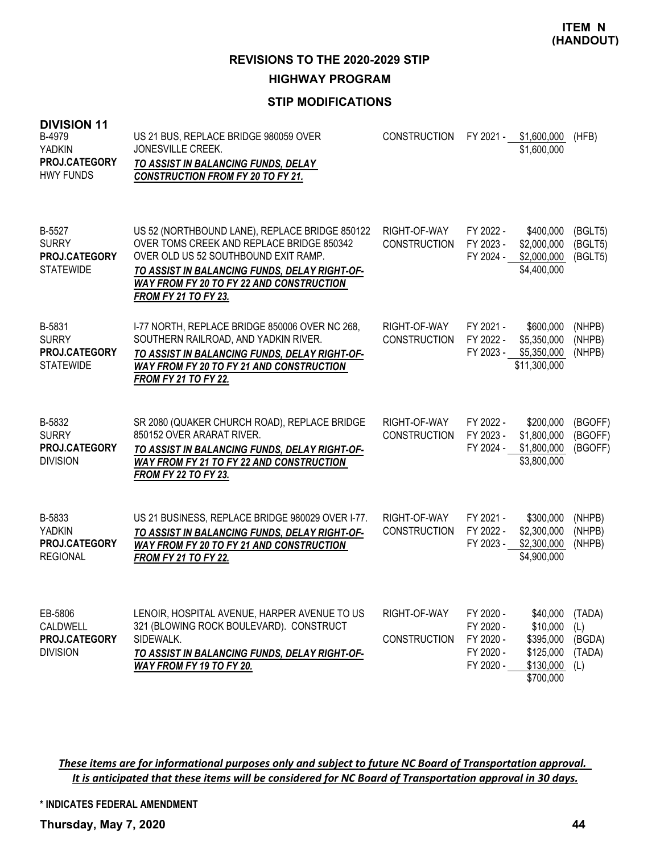**REVISIONS TO THE 2020-2029 STIP**

**HIGHWAY PROGRAM**

# **STIP MODIFICATIONS**

| <b>DIVISION 11</b><br>B-4979<br><b>YADKIN</b><br><b>PROJ.CATEGORY</b><br><b>HWY FUNDS</b> | US 21 BUS, REPLACE BRIDGE 980059 OVER<br>JONESVILLE CREEK.<br>TO ASSIST IN BALANCING FUNDS, DELAY<br><b>CONSTRUCTION FROM FY 20 TO FY 21.</b>                                                                                                                   | <b>CONSTRUCTION</b>                 | FY 2021 -                                                     | \$1,600,000<br>\$1,600,000                                               | (HFB)                                    |
|-------------------------------------------------------------------------------------------|-----------------------------------------------------------------------------------------------------------------------------------------------------------------------------------------------------------------------------------------------------------------|-------------------------------------|---------------------------------------------------------------|--------------------------------------------------------------------------|------------------------------------------|
| B-5527<br><b>SURRY</b><br>PROJ.CATEGORY<br><b>STATEWIDE</b>                               | US 52 (NORTHBOUND LANE), REPLACE BRIDGE 850122<br>OVER TOMS CREEK AND REPLACE BRIDGE 850342<br>OVER OLD US 52 SOUTHBOUND EXIT RAMP.<br>TO ASSIST IN BALANCING FUNDS, DELAY RIGHT-OF-<br>WAY FROM FY 20 TO FY 22 AND CONSTRUCTION<br><b>FROM FY 21 TO FY 23.</b> | RIGHT-OF-WAY<br><b>CONSTRUCTION</b> | FY 2022 -<br>FY 2023 -<br>FY 2024 -                           | \$400,000<br>\$2,000,000<br>\$2,000,000<br>\$4,400,000                   | (BGLT5)<br>(BGLT5)<br>(BGLT5)            |
| B-5831<br><b>SURRY</b><br>PROJ.CATEGORY<br><b>STATEWIDE</b>                               | I-77 NORTH, REPLACE BRIDGE 850006 OVER NC 268,<br>SOUTHERN RAILROAD, AND YADKIN RIVER.<br>TO ASSIST IN BALANCING FUNDS, DELAY RIGHT-OF-<br>WAY FROM FY 20 TO FY 21 AND CONSTRUCTION<br><b>FROM FY 21 TO FY 22.</b>                                              | RIGHT-OF-WAY<br><b>CONSTRUCTION</b> | FY 2021 -<br>FY 2022 -<br>FY 2023 -                           | \$600,000<br>\$5,350,000<br>\$5,350,000<br>\$11,300,000                  | (NHPB)<br>(NHPB)<br>(NHPB)               |
| B-5832<br><b>SURRY</b><br><b>PROJ.CATEGORY</b><br><b>DIVISION</b>                         | SR 2080 (QUAKER CHURCH ROAD), REPLACE BRIDGE<br>850152 OVER ARARAT RIVER.<br>TO ASSIST IN BALANCING FUNDS, DELAY RIGHT-OF-<br><b>WAY FROM FY 21 TO FY 22 AND CONSTRUCTION</b><br><b>FROM FY 22 TO FY 23.</b>                                                    | RIGHT-OF-WAY<br><b>CONSTRUCTION</b> | FY 2022 -<br>FY 2023 -<br>FY 2024 -                           | \$200,000<br>\$1,800,000<br>\$1,800,000<br>\$3,800,000                   | (BGOFF)<br>(BGOFF)<br>(BGOFF)            |
| B-5833<br><b>YADKIN</b><br>PROJ.CATEGORY<br><b>REGIONAL</b>                               | US 21 BUSINESS, REPLACE BRIDGE 980029 OVER I-77.<br>TO ASSIST IN BALANCING FUNDS, DELAY RIGHT-OF-<br>WAY FROM FY 20 TO FY 21 AND CONSTRUCTION<br><b>FROM FY 21 TO FY 22.</b>                                                                                    | RIGHT-OF-WAY<br><b>CONSTRUCTION</b> | FY 2021 -<br>FY 2022 -<br>FY 2023 -                           | \$300,000<br>\$2,300,000<br>\$2,300,000<br>\$4,900,000                   | (NHPB)<br>(NHPB)<br>(NHPB)               |
| EB-5806<br>CALDWELL<br>PROJ.CATEGORY<br><b>DIVISION</b>                                   | LENOIR, HOSPITAL AVENUE, HARPER AVENUE TO US<br>321 (BLOWING ROCK BOULEVARD). CONSTRUCT<br>SIDEWALK.<br>TO ASSIST IN BALANCING FUNDS, DELAY RIGHT-OF-<br>WAY FROM FY 19 TO FY 20.                                                                               | RIGHT-OF-WAY<br><b>CONSTRUCTION</b> | FY 2020 -<br>FY 2020 -<br>FY 2020 -<br>FY 2020 -<br>FY 2020 - | \$40,000<br>\$10,000<br>\$395,000<br>\$125,000<br>\$130,000<br>\$700,000 | (TADA)<br>(L)<br>(BGDA)<br>(TADA)<br>(L) |

These items are for informational purposes only and subject to future NC Board of Transportation approval. It is anticipated that these items will be considered for NC Board of Transportation approval in 30 days.

**\* INDICATES FEDERAL AMENDMENT**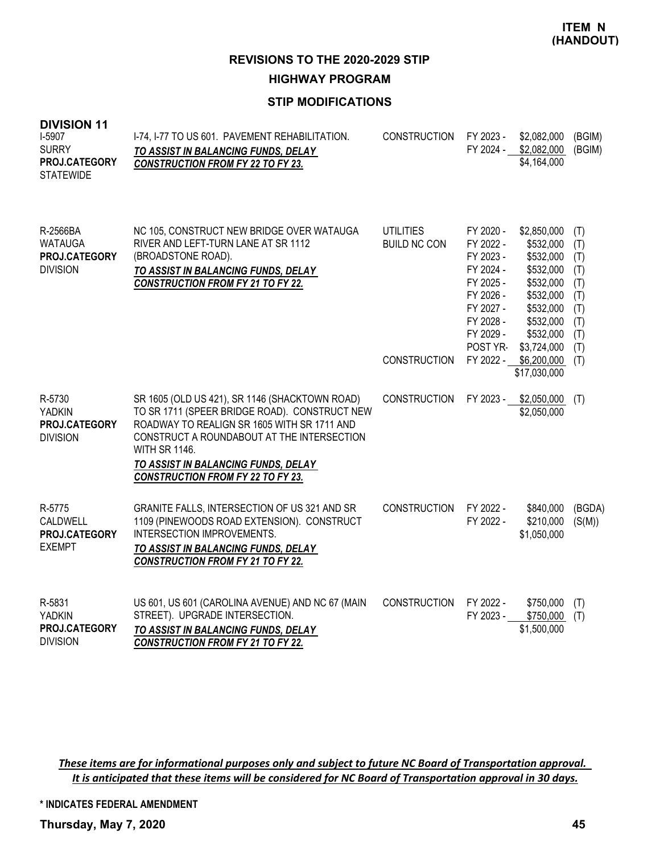**HIGHWAY PROGRAM**

# **STIP MODIFICATIONS**

| <b>DIVISION 11</b> |  |
|--------------------|--|
|--------------------|--|

| I-5907<br><b>SURRY</b><br>PROJ.CATEGORY<br><b>STATEWIDE</b>    | I-74, I-77 TO US 601. PAVEMENT REHABILITATION.<br>TO ASSIST IN BALANCING FUNDS, DELAY<br><b>CONSTRUCTION FROM FY 22 TO FY 23.</b>                                                                                                                                                                       | <b>CONSTRUCTION</b>                                            | FY 2023 -<br>FY 2024 -                                                                                                                     | \$2,082,000<br>\$2,082,000<br>\$4,164,000                                                                                                                         | (BGIM)<br>(BGIM)                                                          |
|----------------------------------------------------------------|---------------------------------------------------------------------------------------------------------------------------------------------------------------------------------------------------------------------------------------------------------------------------------------------------------|----------------------------------------------------------------|--------------------------------------------------------------------------------------------------------------------------------------------|-------------------------------------------------------------------------------------------------------------------------------------------------------------------|---------------------------------------------------------------------------|
| R-2566BA<br><b>WATAUGA</b><br>PROJ.CATEGORY<br><b>DIVISION</b> | NC 105, CONSTRUCT NEW BRIDGE OVER WATAUGA<br>RIVER AND LEFT-TURN LANE AT SR 1112<br>(BROADSTONE ROAD).<br>TO ASSIST IN BALANCING FUNDS, DELAY<br><b>CONSTRUCTION FROM FY 21 TO FY 22.</b>                                                                                                               | <b>UTILITIES</b><br><b>BUILD NC CON</b><br><b>CONSTRUCTION</b> | FY 2020 -<br>FY 2022 -<br>FY 2023 -<br>FY 2024 -<br>FY 2025 -<br>FY 2026 -<br>FY 2027 -<br>FY 2028 -<br>FY 2029 -<br>POST YR-<br>FY 2022 - | \$2,850,000<br>\$532,000<br>\$532,000<br>\$532,000<br>\$532,000<br>\$532,000<br>\$532,000<br>\$532,000<br>\$532,000<br>\$3,724,000<br>\$6,200,000<br>\$17,030,000 | (T)<br>(T)<br>(T)<br>(T)<br>(T)<br>(T)<br>(T)<br>(T)<br>(T)<br>(T)<br>(T) |
| R-5730<br><b>YADKIN</b><br>PROJ.CATEGORY<br><b>DIVISION</b>    | SR 1605 (OLD US 421), SR 1146 (SHACKTOWN ROAD)<br>TO SR 1711 (SPEER BRIDGE ROAD). CONSTRUCT NEW<br>ROADWAY TO REALIGN SR 1605 WITH SR 1711 AND<br>CONSTRUCT A ROUNDABOUT AT THE INTERSECTION<br><b>WITH SR 1146.</b><br>TO ASSIST IN BALANCING FUNDS, DELAY<br><b>CONSTRUCTION FROM FY 22 TO FY 23.</b> | <b>CONSTRUCTION</b>                                            | FY 2023 -                                                                                                                                  | \$2,050,000<br>\$2,050,000                                                                                                                                        | (T)                                                                       |
| R-5775<br>CALDWELL<br>PROJ.CATEGORY<br><b>EXEMPT</b>           | GRANITE FALLS, INTERSECTION OF US 321 AND SR<br>1109 (PINEWOODS ROAD EXTENSION). CONSTRUCT<br><b>INTERSECTION IMPROVEMENTS.</b><br>TO ASSIST IN BALANCING FUNDS, DELAY<br><b>CONSTRUCTION FROM FY 21 TO FY 22.</b>                                                                                      | <b>CONSTRUCTION</b>                                            | FY 2022 -<br>FY 2022 -                                                                                                                     | \$840,000<br>\$210,000<br>\$1,050,000                                                                                                                             | (BGDA)<br>(S(M))                                                          |
| R-5831<br><b>YADKIN</b><br>PROJ.CATEGORY<br><b>DIVISION</b>    | US 601, US 601 (CAROLINA AVENUE) AND NC 67 (MAIN<br>STREET). UPGRADE INTERSECTION.<br>TO ASSIST IN BALANCING FUNDS, DELAY<br><b>CONSTRUCTION FROM FY 21 TO FY 22.</b>                                                                                                                                   | <b>CONSTRUCTION</b>                                            | FY 2022 -<br>FY 2023 -                                                                                                                     | \$750,000<br>\$750,000<br>\$1,500,000                                                                                                                             | (T)<br>(T)                                                                |

These items are for informational purposes only and subject to future NC Board of Transportation approval. It is anticipated that these items will be considered for NC Board of Transportation approval in 30 days.

**\* INDICATES FEDERAL AMENDMENT**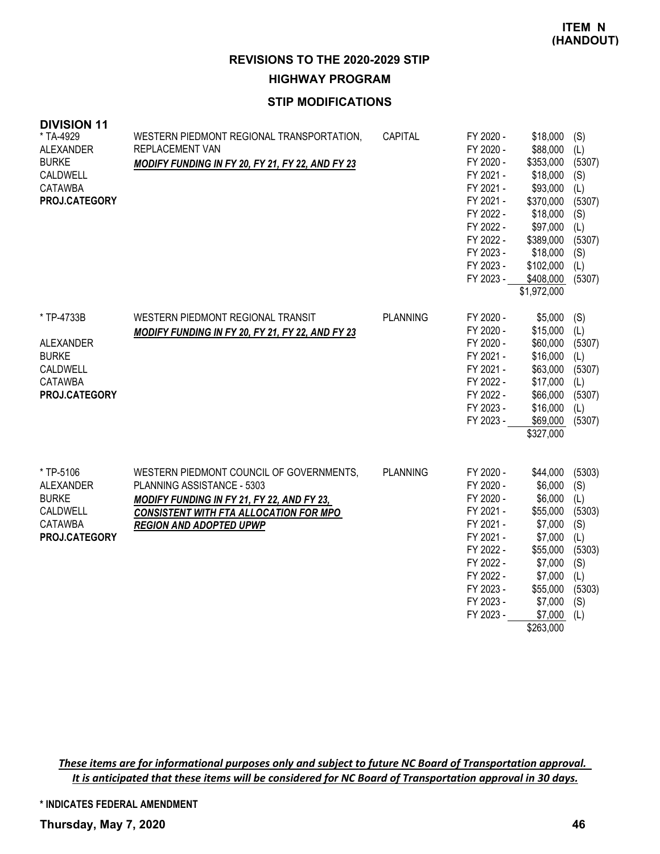**REVISIONS TO THE 2020-2029 STIP HIGHWAY PROGRAM**

### **STIP MODIFICATIONS**

| <b>DIVISION 11</b><br>* TA-4929<br><b>ALEXANDER</b><br><b>BURKE</b><br>CALDWELL<br><b>CATAWBA</b><br>PROJ.CATEGORY | WESTERN PIEDMONT REGIONAL TRANSPORTATION,<br><b>REPLACEMENT VAN</b><br>MODIFY FUNDING IN FY 20, FY 21, FY 22, AND FY 23                                                                                 | CAPITAL         | FY 2020 -<br>FY 2020 -<br>FY 2020 -<br>FY 2021 -<br>FY 2021 -<br>FY 2021 -<br>FY 2022 -<br>FY 2022 -<br>FY 2022 -<br>FY 2023 -<br>FY 2023 -<br>FY 2023 - | \$18,000<br>\$88,000<br>\$353,000<br>\$18,000<br>\$93,000<br>\$370,000<br>\$18,000<br>\$97,000<br>\$389,000<br>\$18,000<br>\$102,000<br>\$408,000<br>\$1,972,000 | (S)<br>(L)<br>(5307)<br>(S)<br>(L)<br>(5307)<br>(S)<br>(L)<br>(5307)<br>(S)<br>(L)<br>(5307) |
|--------------------------------------------------------------------------------------------------------------------|---------------------------------------------------------------------------------------------------------------------------------------------------------------------------------------------------------|-----------------|----------------------------------------------------------------------------------------------------------------------------------------------------------|------------------------------------------------------------------------------------------------------------------------------------------------------------------|----------------------------------------------------------------------------------------------|
| * TP-4733B<br><b>ALEXANDER</b><br><b>BURKE</b><br>CALDWELL<br><b>CATAWBA</b><br><b>PROJ.CATEGORY</b>               | WESTERN PIEDMONT REGIONAL TRANSIT<br><b>MODIFY FUNDING IN FY 20, FY 21, FY 22, AND FY 23</b>                                                                                                            | <b>PLANNING</b> | FY 2020 -<br>FY 2020 -<br>FY 2020 -<br>FY 2021 -<br>FY 2021 -<br>FY 2022 -<br>FY 2022 -<br>FY 2023 -<br>FY 2023 -                                        | \$5,000<br>\$15,000<br>\$60,000<br>\$16,000<br>\$63,000<br>\$17,000<br>\$66,000<br>\$16,000<br>\$69,000<br>\$327,000                                             | (S)<br>(L)<br>(5307)<br>(L)<br>(5307)<br>(L)<br>(5307)<br>(L)<br>(5307)                      |
| * TP-5106<br><b>ALEXANDER</b><br><b>BURKE</b><br>CALDWELL<br><b>CATAWBA</b><br>PROJ.CATEGORY                       | WESTERN PIEDMONT COUNCIL OF GOVERNMENTS,<br>PLANNING ASSISTANCE - 5303<br>MODIFY FUNDING IN FY 21, FY 22, AND FY 23,<br><b>CONSISTENT WITH FTA ALLOCATION FOR MPO</b><br><b>REGION AND ADOPTED UPWP</b> | <b>PLANNING</b> | FY 2020 -<br>FY 2020 -<br>FY 2020 -<br>FY 2021 -<br>FY 2021 -<br>FY 2021 -<br>FY 2022 -<br>FY 2022 -<br>FY 2022 -<br>FY 2023 -<br>FY 2023 -<br>FY 2023 - | \$44,000<br>\$6,000<br>\$6,000<br>\$55,000<br>\$7,000<br>\$7,000<br>\$55,000<br>\$7,000<br>\$7,000<br>\$55,000<br>\$7,000<br>\$7,000<br>\$263,000                | (5303)<br>(S)<br>(L)<br>(5303)<br>(S)<br>(L)<br>(5303)<br>(S)<br>(L)<br>(5303)<br>(S)<br>(L) |

These items are for informational purposes only and subject to future NC Board of Transportation approval. It is anticipated that these items will be considered for NC Board of Transportation approval in 30 days.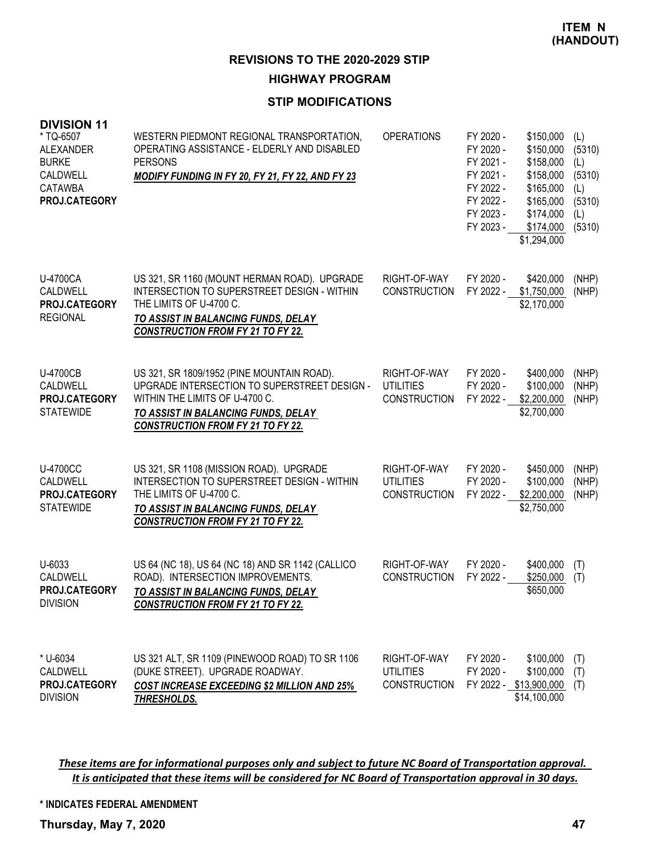## **HIGHWAY PROGRAM**

### **STIP MODIFICATIONS**

| <b>DIVISION 11</b><br>* TQ-6507<br><b>ALEXANDER</b><br><b>BURKE</b><br>CALDWELL<br><b>CATAWBA</b><br>PROJ.CATEGORY | WESTERN PIEDMONT REGIONAL TRANSPORTATION,<br>OPERATING ASSISTANCE - ELDERLY AND DISABLED<br><b>PERSONS</b><br>MODIFY FUNDING IN FY 20, FY 21, FY 22, AND FY 23                                                  | <b>OPERATIONS</b>                                       | FY 2020 -<br>FY 2020 -<br>FY 2021 -<br>FY 2021 -<br>FY 2022 -<br>FY 2022 -<br>FY 2023 -<br>FY 2023 - | \$150,000<br>\$150,000<br>\$158,000<br>\$158,000<br>\$165,000<br>\$165,000<br>\$174,000<br>\$174,000<br>\$1,294,000 | (L)<br>(5310)<br>(L)<br>(5310)<br>(L)<br>(5310)<br>(L)<br>(5310) |
|--------------------------------------------------------------------------------------------------------------------|-----------------------------------------------------------------------------------------------------------------------------------------------------------------------------------------------------------------|---------------------------------------------------------|------------------------------------------------------------------------------------------------------|---------------------------------------------------------------------------------------------------------------------|------------------------------------------------------------------|
| U-4700CA<br>CALDWELL<br><b>PROJ.CATEGORY</b><br><b>REGIONAL</b>                                                    | US 321, SR 1160 (MOUNT HERMAN ROAD). UPGRADE<br>INTERSECTION TO SUPERSTREET DESIGN - WITHIN<br>THE LIMITS OF U-4700 C.<br>TO ASSIST IN BALANCING FUNDS, DELAY<br><b>CONSTRUCTION FROM FY 21 TO FY 22.</b>       | RIGHT-OF-WAY<br><b>CONSTRUCTION</b>                     | FY 2020 -<br>FY 2022 -                                                                               | \$420,000<br>\$1,750,000<br>\$2,170,000                                                                             | (NHP)<br>(NHP)                                                   |
| <b>U-4700CB</b><br>CALDWELL<br>PROJ.CATEGORY<br><b>STATEWIDE</b>                                                   | US 321, SR 1809/1952 (PINE MOUNTAIN ROAD).<br>UPGRADE INTERSECTION TO SUPERSTREET DESIGN -<br>WITHIN THE LIMITS OF U-4700 C.<br>TO ASSIST IN BALANCING FUNDS, DELAY<br><b>CONSTRUCTION FROM FY 21 TO FY 22.</b> | RIGHT-OF-WAY<br><b>UTILITIES</b><br><b>CONSTRUCTION</b> | FY 2020 -<br>FY 2020 -<br>FY 2022 -                                                                  | \$400,000<br>\$100,000<br>\$2,200,000<br>\$2,700,000                                                                | (NHP)<br>(NHP)<br>(NHP)                                          |
| <b>U-4700CC</b><br>CALDWELL<br>PROJ.CATEGORY<br><b>STATEWIDE</b>                                                   | US 321, SR 1108 (MISSION ROAD). UPGRADE<br>INTERSECTION TO SUPERSTREET DESIGN - WITHIN<br>THE LIMITS OF U-4700 C.<br>TO ASSIST IN BALANCING FUNDS, DELAY<br><b>CONSTRUCTION FROM FY 21 TO FY 22.</b>            | RIGHT-OF-WAY<br><b>UTILITIES</b><br><b>CONSTRUCTION</b> | FY 2020 -<br>FY 2020 -<br>FY 2022 -                                                                  | \$450,000<br>\$100,000<br>\$2,200,000<br>\$2,750,000                                                                | (NHP)<br>(NHP)<br>(NHP)                                          |
| U-6033<br>CALDWELL<br><b>PROJ.CATEGORY</b><br><b>DIVISION</b>                                                      | US 64 (NC 18), US 64 (NC 18) AND SR 1142 (CALLICO<br>ROAD). INTERSECTION IMPROVEMENTS.<br>TO ASSIST IN BALANCING FUNDS, DELAY<br><b>CONSTRUCTION FROM FY 21 TO FY 22.</b>                                       | RIGHT-OF-WAY<br><b>CONSTRUCTION</b>                     | FY 2020 -<br>FY 2022 -                                                                               | \$400,000<br>\$250,000<br>\$650,000                                                                                 | (T)<br>(T)                                                       |
| * U-6034<br>CALDWELL<br>PROJ.CATEGORY<br><b>DIVISION</b>                                                           | US 321 ALT, SR 1109 (PINEWOOD ROAD) TO SR 1106<br>(DUKE STREET). UPGRADE ROADWAY.<br><b>COST INCREASE EXCEEDING \$2 MILLION AND 25%</b><br>THRESHOLDS.                                                          | RIGHT-OF-WAY<br><b>UTILITIES</b><br><b>CONSTRUCTION</b> | FY 2020 -<br>FY 2020 -                                                                               | \$100,000<br>\$100,000<br>FY 2022 - \$13,900,000<br>\$14,100,000                                                    | (T)<br>(T)<br>(T)                                                |

These items are for informational purposes only and subject to future NC Board of Transportation approval. It is anticipated that these items will be considered for NC Board of Transportation approval in 30 days.

**\* INDICATES FEDERAL AMENDMENT**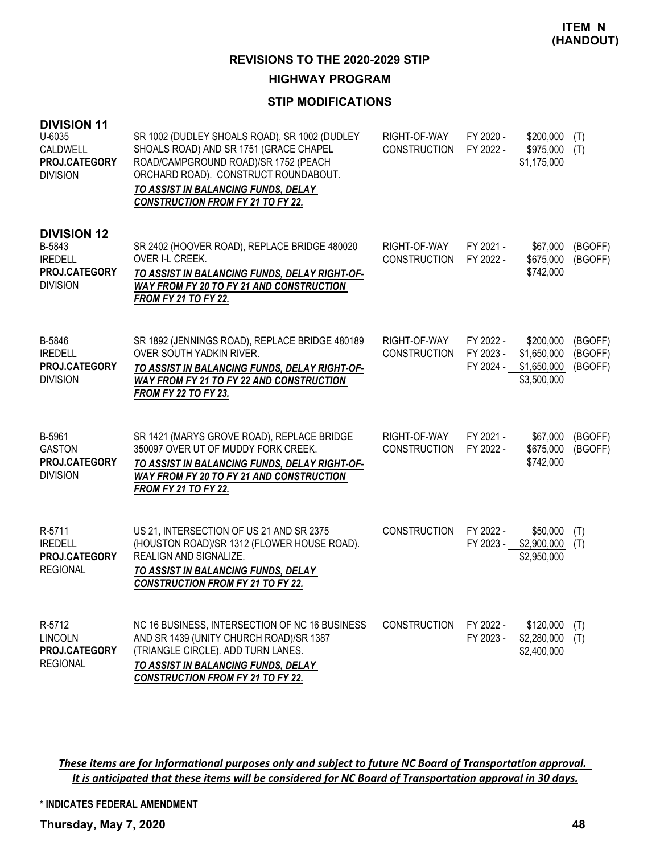### **HIGHWAY PROGRAM**

## **STIP MODIFICATIONS**

| <b>DIVISION 11</b><br>U-6035<br>CALDWELL<br>PROJ.CATEGORY<br><b>DIVISION</b>       | SR 1002 (DUDLEY SHOALS ROAD), SR 1002 (DUDLEY<br>SHOALS ROAD) AND SR 1751 (GRACE CHAPEL<br>ROAD/CAMPGROUND ROAD)/SR 1752 (PEACH<br>ORCHARD ROAD). CONSTRUCT ROUNDABOUT.<br>TO ASSIST IN BALANCING FUNDS, DELAY<br><b>CONSTRUCTION FROM FY 21 TO FY 22.</b> | RIGHT-OF-WAY<br><b>CONSTRUCTION</b> | FY 2020 -<br>FY 2022 -              | \$200,000<br>\$975,000<br>\$1,175,000                  | (T)<br>(T)                    |
|------------------------------------------------------------------------------------|------------------------------------------------------------------------------------------------------------------------------------------------------------------------------------------------------------------------------------------------------------|-------------------------------------|-------------------------------------|--------------------------------------------------------|-------------------------------|
| <b>DIVISION 12</b><br>B-5843<br><b>IREDELL</b><br>PROJ.CATEGORY<br><b>DIVISION</b> | SR 2402 (HOOVER ROAD), REPLACE BRIDGE 480020<br>OVER I-L CREEK.<br>TO ASSIST IN BALANCING FUNDS, DELAY RIGHT-OF-<br>WAY FROM FY 20 TO FY 21 AND CONSTRUCTION<br><b>FROM FY 21 TO FY 22.</b>                                                                | RIGHT-OF-WAY<br><b>CONSTRUCTION</b> | FY 2021 -<br>FY 2022 -              | \$67,000<br>\$675,000<br>\$742,000                     | (BGOFF)<br>(BGOFF)            |
| B-5846<br><b>IREDELL</b><br>PROJ.CATEGORY<br><b>DIVISION</b>                       | SR 1892 (JENNINGS ROAD), REPLACE BRIDGE 480189<br><b>OVER SOUTH YADKIN RIVER.</b><br>TO ASSIST IN BALANCING FUNDS, DELAY RIGHT-OF-<br>WAY FROM FY 21 TO FY 22 AND CONSTRUCTION<br><b>FROM FY 22 TO FY 23.</b>                                              | RIGHT-OF-WAY<br><b>CONSTRUCTION</b> | FY 2022 -<br>FY 2023 -<br>FY 2024 - | \$200,000<br>\$1,650,000<br>\$1,650,000<br>\$3,500,000 | (BGOFF)<br>(BGOFF)<br>(BGOFF) |
| B-5961<br><b>GASTON</b><br>PROJ.CATEGORY<br><b>DIVISION</b>                        | SR 1421 (MARYS GROVE ROAD), REPLACE BRIDGE<br>350097 OVER UT OF MUDDY FORK CREEK.<br>TO ASSIST IN BALANCING FUNDS, DELAY RIGHT-OF-<br>WAY FROM FY 20 TO FY 21 AND CONSTRUCTION<br><b>FROM FY 21 TO FY 22.</b>                                              | RIGHT-OF-WAY<br><b>CONSTRUCTION</b> | FY 2021 -<br>FY 2022 -              | \$67,000<br>\$675,000<br>\$742,000                     | (BGOFF)<br>(BGOFF)            |
| R-5711<br><b>IREDELL</b><br>PROJ.CATEGORY<br><b>REGIONAL</b>                       | US 21, INTERSECTION OF US 21 AND SR 2375<br>(HOUSTON ROAD)/SR 1312 (FLOWER HOUSE ROAD).<br>REALIGN AND SIGNALIZE.<br>TO ASSIST IN BALANCING FUNDS, DELAY<br><b>CONSTRUCTION FROM FY 21 TO FY 22.</b>                                                       | <b>CONSTRUCTION</b>                 | FY 2022 -<br>FY 2023 -              | \$50,000<br>\$2,900,000<br>\$2,950,000                 | (T)<br>(T)                    |
| R-5712<br><b>LINCOLN</b><br>PROJ.CATEGORY<br><b>REGIONAL</b>                       | NC 16 BUSINESS, INTERSECTION OF NC 16 BUSINESS<br>AND SR 1439 (UNITY CHURCH ROAD)/SR 1387<br>(TRIANGLE CIRCLE). ADD TURN LANES.<br>TO ASSIST IN BALANCING FUNDS, DELAY<br><b>CONSTRUCTION FROM FY 21 TO FY 22.</b>                                         | <b>CONSTRUCTION</b>                 | FY 2022 -<br>FY 2023 -              | \$120,000<br>\$2,280,000<br>\$2,400,000                | (T)<br>(T)                    |

These items are for informational purposes only and subject to future NC Board of Transportation approval. It is anticipated that these items will be considered for NC Board of Transportation approval in 30 days.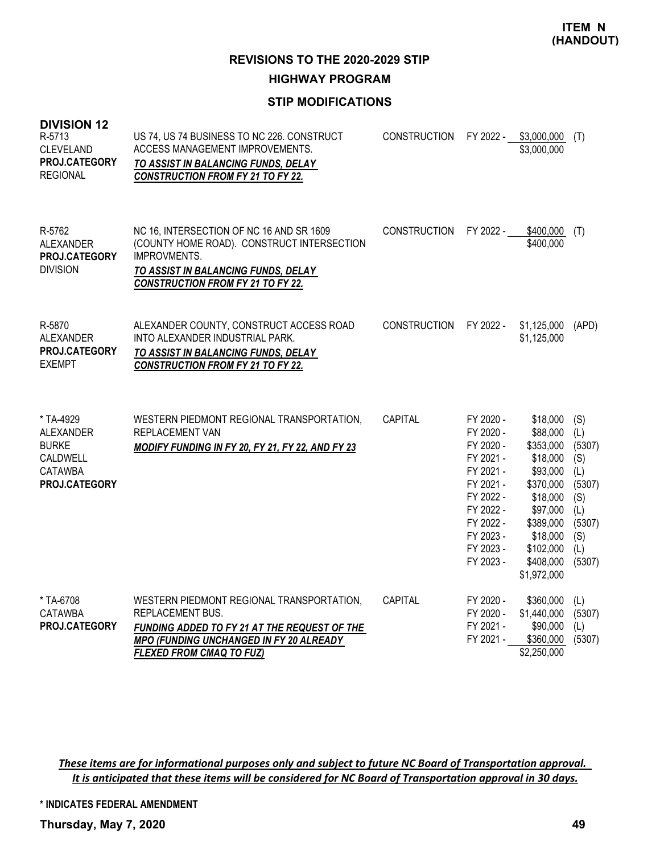**REVISIONS TO THE 2020-2029 STIP**

**HIGHWAY PROGRAM**

# **STIP MODIFICATIONS**

| <b>DIVISION 12</b><br>R-5713<br><b>CLEVELAND</b><br>PROJ.CATEGORY<br><b>REGIONAL</b> | US 74, US 74 BUSINESS TO NC 226. CONSTRUCT<br>ACCESS MANAGEMENT IMPROVEMENTS.<br>TO ASSIST IN BALANCING FUNDS, DELAY<br><b>CONSTRUCTION FROM FY 21 TO FY 22.</b>                                 | <b>CONSTRUCTION</b> | FY 2022 -                                                                                                                                                | \$3,000,000<br>\$3,000,000                                                                                                                                       | (T)                                                                                          |
|--------------------------------------------------------------------------------------|--------------------------------------------------------------------------------------------------------------------------------------------------------------------------------------------------|---------------------|----------------------------------------------------------------------------------------------------------------------------------------------------------|------------------------------------------------------------------------------------------------------------------------------------------------------------------|----------------------------------------------------------------------------------------------|
| R-5762<br>ALEXANDER<br>PROJ.CATEGORY<br><b>DIVISION</b>                              | NC 16, INTERSECTION OF NC 16 AND SR 1609<br>(COUNTY HOME ROAD). CONSTRUCT INTERSECTION<br><b>IMPROVMENTS.</b><br>TO ASSIST IN BALANCING FUNDS, DELAY<br><b>CONSTRUCTION FROM FY 21 TO FY 22.</b> | <b>CONSTRUCTION</b> | FY 2022 -                                                                                                                                                | \$400,000<br>\$400,000                                                                                                                                           | (T)                                                                                          |
| R-5870<br>ALEXANDER<br>PROJ.CATEGORY<br><b>EXEMPT</b>                                | ALEXANDER COUNTY, CONSTRUCT ACCESS ROAD<br>INTO ALEXANDER INDUSTRIAL PARK.<br>TO ASSIST IN BALANCING FUNDS, DELAY<br><b>CONSTRUCTION FROM FY 21 TO FY 22.</b>                                    | <b>CONSTRUCTION</b> | FY 2022 -                                                                                                                                                | \$1,125,000<br>\$1,125,000                                                                                                                                       | (APD)                                                                                        |
| * TA-4929<br>ALEXANDER<br><b>BURKE</b><br>CALDWELL<br>CATAWBA<br>PROJ.CATEGORY       | WESTERN PIEDMONT REGIONAL TRANSPORTATION,<br>REPLACEMENT VAN<br>MODIFY FUNDING IN FY 20, FY 21, FY 22, AND FY 23                                                                                 | <b>CAPITAL</b>      | FY 2020 -<br>FY 2020 -<br>FY 2020 -<br>FY 2021 -<br>FY 2021 -<br>FY 2021 -<br>FY 2022 -<br>FY 2022 -<br>FY 2022 -<br>FY 2023 -<br>FY 2023 -<br>FY 2023 - | \$18,000<br>\$88,000<br>\$353,000<br>\$18,000<br>\$93,000<br>\$370,000<br>\$18,000<br>\$97,000<br>\$389,000<br>\$18,000<br>\$102,000<br>\$408,000<br>\$1,972,000 | (S)<br>(L)<br>(5307)<br>(S)<br>(L)<br>(5307)<br>(S)<br>(L)<br>(5307)<br>(S)<br>(L)<br>(5307) |
| * TA-6708<br><b>CATAWBA</b><br>PROJ.CATEGORY                                         | WESTERN PIEDMONT REGIONAL TRANSPORTATION,<br>REPLACEMENT BUS.<br>FUNDING ADDED TO FY 21 AT THE REQUEST OF THE<br>MPO (FUNDING UNCHANGED IN FY 20 ALREADY<br><b>FLEXED FROM CMAQ TO FUZ)</b>      | CAPITAL             | FY 2020 -<br>FY 2020 -<br>FY 2021 -<br>FY 2021 -                                                                                                         | \$360,000<br>\$1,440,000<br>\$90,000<br>\$360,000<br>\$2,250,000                                                                                                 | (L)<br>(5307)<br>(L)<br>(5307)                                                               |

These items are for informational purposes only and subject to future NC Board of Transportation approval. It is anticipated that these items will be considered for NC Board of Transportation approval in 30 days.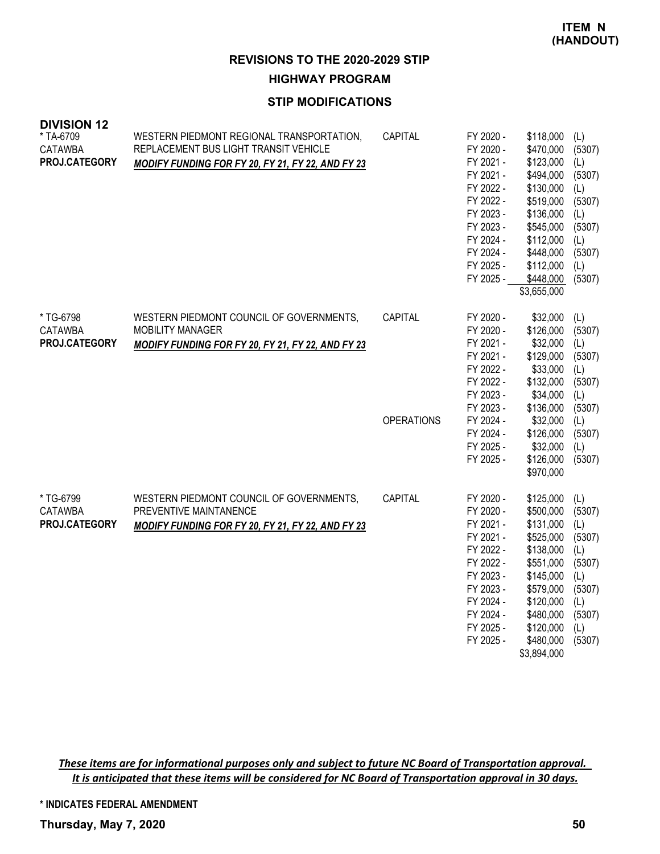**HIGHWAY PROGRAM**

## **STIP MODIFICATIONS**

| <b>DIVISION 12</b><br>* TA-6709<br><b>CATAWBA</b><br>PROJ.CATEGORY | WESTERN PIEDMONT REGIONAL TRANSPORTATION,<br>REPLACEMENT BUS LIGHT TRANSIT VEHICLE<br>MODIFY FUNDING FOR FY 20, FY 21, FY 22, AND FY 23 | CAPITAL                      | FY 2020 -<br>FY 2020 -<br>FY 2021 -<br>FY 2021 -<br>FY 2022 -<br>FY 2022 -<br>FY 2023 -<br>FY 2023 -<br>FY 2024 -<br>FY 2024 -<br>FY 2025 -<br>FY 2025 - | \$118,000<br>\$470,000<br>\$123,000<br>\$494,000<br>\$130,000<br>\$519,000<br>\$136,000<br>\$545,000<br>\$112,000<br>\$448,000<br>\$112,000<br>\$448,000<br>\$3,655,000 | (L)<br>(5307)<br>(L)<br>(5307)<br>(L)<br>(5307)<br>(L)<br>(5307)<br>(L)<br>(5307)<br>(L)<br>(5307) |
|--------------------------------------------------------------------|-----------------------------------------------------------------------------------------------------------------------------------------|------------------------------|----------------------------------------------------------------------------------------------------------------------------------------------------------|-------------------------------------------------------------------------------------------------------------------------------------------------------------------------|----------------------------------------------------------------------------------------------------|
| * TG-6798<br><b>CATAWBA</b><br><b>PROJ.CATEGORY</b>                | WESTERN PIEDMONT COUNCIL OF GOVERNMENTS,<br><b>MOBILITY MANAGER</b><br>MODIFY FUNDING FOR FY 20, FY 21, FY 22, AND FY 23                | CAPITAL<br><b>OPERATIONS</b> | FY 2020 -<br>FY 2020 -<br>FY 2021 -<br>FY 2021 -<br>FY 2022 -<br>FY 2022 -<br>FY 2023 -<br>FY 2023 -<br>FY 2024 -<br>FY 2024 -<br>FY 2025 -<br>FY 2025 - | \$32,000<br>\$126,000<br>\$32,000<br>\$129,000<br>\$33,000<br>\$132,000<br>\$34,000<br>\$136,000<br>\$32,000<br>\$126,000<br>\$32,000<br>\$126,000<br>\$970,000         | (L)<br>(5307)<br>(L)<br>(5307)<br>(L)<br>(5307)<br>(L)<br>(5307)<br>(L)<br>(5307)<br>(L)<br>(5307) |
| * TG-6799<br><b>CATAWBA</b><br>PROJ.CATEGORY                       | WESTERN PIEDMONT COUNCIL OF GOVERNMENTS,<br>PREVENTIVE MAINTANENCE<br>MODIFY FUNDING FOR FY 20, FY 21, FY 22, AND FY 23                 | CAPITAL                      | FY 2020 -<br>FY 2020 -<br>FY 2021 -<br>FY 2021 -<br>FY 2022 -<br>FY 2022 -<br>FY 2023 -<br>FY 2023 -<br>FY 2024 -<br>FY 2024 -<br>FY 2025 -<br>FY 2025 - | \$125,000<br>\$500,000<br>\$131,000<br>\$525,000<br>\$138,000<br>\$551,000<br>\$145,000<br>\$579,000<br>\$120,000<br>\$480,000<br>\$120,000<br>\$480,000<br>\$3,894,000 | (L)<br>(5307)<br>(L)<br>(5307)<br>(L)<br>(5307)<br>(L)<br>(5307)<br>(L)<br>(5307)<br>(L)<br>(5307) |

These items are for informational purposes only and subject to future NC Board of Transportation approval. It is anticipated that these items will be considered for NC Board of Transportation approval in 30 days.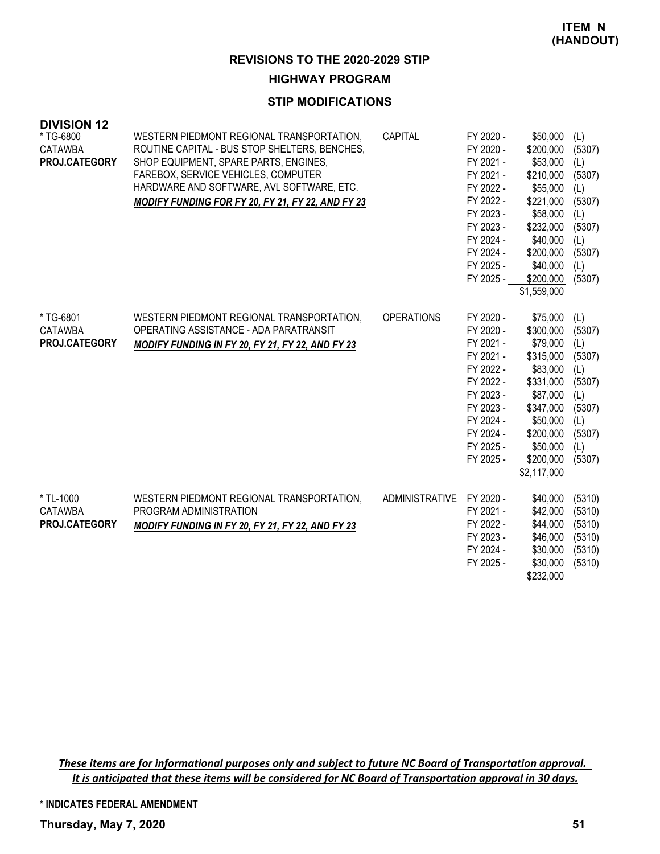## **HIGHWAY PROGRAM**

#### **STIP MODIFICATIONS**

| <b>DIVISION 12</b><br>* TG-6800<br><b>CATAWBA</b><br>PROJ.CATEGORY | WESTERN PIEDMONT REGIONAL TRANSPORTATION,<br>ROUTINE CAPITAL - BUS STOP SHELTERS, BENCHES,<br>SHOP EQUIPMENT, SPARE PARTS, ENGINES,<br>FAREBOX, SERVICE VEHICLES, COMPUTER<br>HARDWARE AND SOFTWARE, AVL SOFTWARE, ETC.<br>MODIFY FUNDING FOR FY 20, FY 21, FY 22, AND FY 23 | CAPITAL           | FY 2020 -<br>FY 2020 -<br>FY 2021 -<br>FY 2021 -<br>FY 2022 -<br>FY 2022 -<br>FY 2023 -<br>FY 2023 -<br>FY 2024 -<br>FY 2024 -<br>FY 2025 -<br>FY 2025 - | \$50,000<br>\$200,000<br>\$53,000<br>\$210,000<br>\$55,000<br>\$221,000<br>\$58,000<br>\$232,000<br>\$40,000<br>\$200,000<br>\$40,000<br>\$200,000<br>\$1,559,000 | (L)<br>(5307)<br>(L)<br>(5307)<br>(L)<br>(5307)<br>(L)<br>(5307)<br>(L)<br>(5307)<br>(L)<br>(5307) |
|--------------------------------------------------------------------|------------------------------------------------------------------------------------------------------------------------------------------------------------------------------------------------------------------------------------------------------------------------------|-------------------|----------------------------------------------------------------------------------------------------------------------------------------------------------|-------------------------------------------------------------------------------------------------------------------------------------------------------------------|----------------------------------------------------------------------------------------------------|
| * TG-6801<br><b>CATAWBA</b><br>PROJ.CATEGORY                       | WESTERN PIEDMONT REGIONAL TRANSPORTATION,<br>OPERATING ASSISTANCE - ADA PARATRANSIT<br>MODIFY FUNDING IN FY 20, FY 21, FY 22, AND FY 23                                                                                                                                      | <b>OPERATIONS</b> | FY 2020 -<br>FY 2020 -<br>FY 2021 -<br>FY 2021 -<br>FY 2022 -<br>FY 2022 -<br>FY 2023 -<br>FY 2023 -<br>FY 2024 -<br>FY 2024 -<br>FY 2025 -<br>FY 2025 - | \$75,000<br>\$300,000<br>\$79,000<br>\$315,000<br>\$83,000<br>\$331,000<br>\$87,000<br>\$347,000<br>\$50,000<br>\$200,000<br>\$50,000<br>\$200,000<br>\$2,117,000 | (L)<br>(5307)<br>(L)<br>(5307)<br>(L)<br>(5307)<br>(L)<br>(5307)<br>(L)<br>(5307)<br>(L)<br>(5307) |
| * TL-1000<br><b>CATAWBA</b><br><b>PROJ.CATEGORY</b>                | WESTERN PIEDMONT REGIONAL TRANSPORTATION,<br>PROGRAM ADMINISTRATION<br><b>MODIFY FUNDING IN FY 20, FY 21, FY 22, AND FY 23</b>                                                                                                                                               | ADMINISTRATIVE    | FY 2020 -<br>FY 2021 -<br>FY 2022 -<br>FY 2023 -<br>FY 2024 -<br>FY 2025 -                                                                               | \$40,000<br>\$42,000<br>\$44,000<br>\$46,000<br>\$30,000<br>\$30,000<br>\$232,000                                                                                 | (5310)<br>(5310)<br>(5310)<br>(5310)<br>(5310)<br>(5310)                                           |

These items are for informational purposes only and subject to future NC Board of Transportation approval. It is anticipated that these items will be considered for NC Board of Transportation approval in 30 days.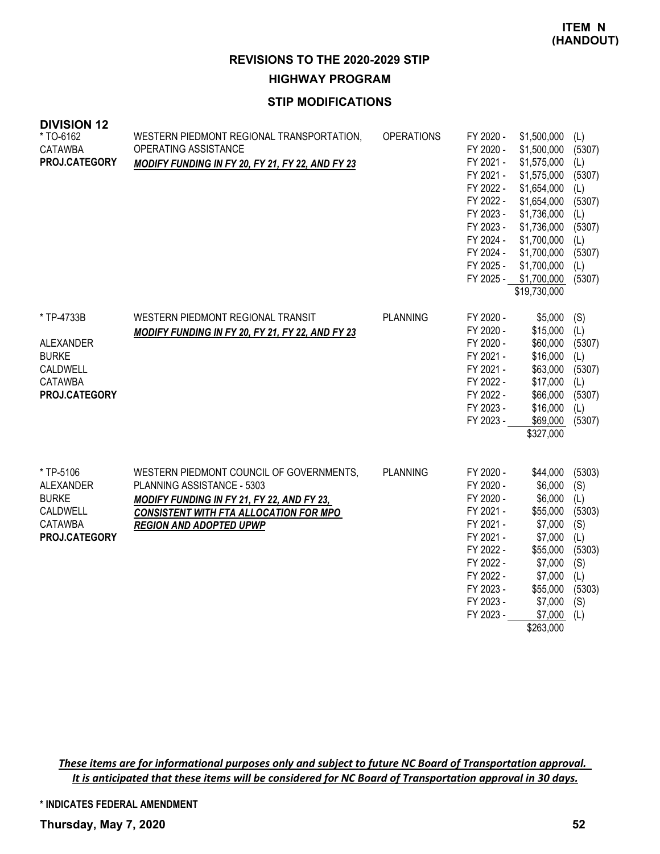**REVISIONS TO THE 2020-2029 STIP HIGHWAY PROGRAM**

#### **STIP MODIFICATIONS**

| <b>DIVISION 12</b><br>* TO-6162<br><b>CATAWBA</b><br>PROJ.CATEGORY                           | WESTERN PIEDMONT REGIONAL TRANSPORTATION,<br>OPERATING ASSISTANCE<br>MODIFY FUNDING IN FY 20, FY 21, FY 22, AND FY 23                                                                                   | <b>OPERATIONS</b> | FY 2020 -<br>FY 2020 -<br>FY 2021 -<br>FY 2021 -<br>FY 2022 -<br>FY 2022 -<br>FY 2023 -<br>FY 2023 -<br>FY 2024 -<br>FY 2024 -<br>FY 2025 -              | \$1,500,000<br>\$1,500,000<br>\$1,575,000<br>\$1,575,000<br>\$1,654,000<br>\$1,654,000<br>\$1,736,000<br>\$1,736,000<br>\$1,700,000<br>\$1,700,000<br>\$1,700,000<br>FY 2025 - \$1,700,000<br>\$19,730,000 | (L)<br>(5307)<br>(L)<br>(5307)<br>(L)<br>(5307)<br>(L)<br>(5307)<br>(L)<br>(5307)<br>(L)<br>(5307) |
|----------------------------------------------------------------------------------------------|---------------------------------------------------------------------------------------------------------------------------------------------------------------------------------------------------------|-------------------|----------------------------------------------------------------------------------------------------------------------------------------------------------|------------------------------------------------------------------------------------------------------------------------------------------------------------------------------------------------------------|----------------------------------------------------------------------------------------------------|
| * TP-4733B<br>ALEXANDER<br><b>BURKE</b><br>CALDWELL<br><b>CATAWBA</b><br>PROJ.CATEGORY       | WESTERN PIEDMONT REGIONAL TRANSIT<br><b>MODIFY FUNDING IN FY 20, FY 21, FY 22, AND FY 23</b>                                                                                                            | <b>PLANNING</b>   | FY 2020 -<br>FY 2020 -<br>FY 2020 -<br>FY 2021 -<br>FY 2021 -<br>FY 2022 -<br>FY 2022 -<br>FY 2023 -<br>FY 2023 -                                        | \$5,000<br>\$15,000<br>\$60,000<br>\$16,000<br>\$63,000<br>\$17,000<br>\$66,000<br>\$16,000<br>\$69,000<br>\$327,000                                                                                       | (S)<br>(L)<br>(5307)<br>(L)<br>(5307)<br>(L)<br>(5307)<br>(L)<br>(5307)                            |
| * TP-5106<br><b>ALEXANDER</b><br><b>BURKE</b><br>CALDWELL<br><b>CATAWBA</b><br>PROJ.CATEGORY | WESTERN PIEDMONT COUNCIL OF GOVERNMENTS,<br>PLANNING ASSISTANCE - 5303<br>MODIFY FUNDING IN FY 21, FY 22, AND FY 23,<br><b>CONSISTENT WITH FTA ALLOCATION FOR MPO</b><br><b>REGION AND ADOPTED UPWP</b> | <b>PLANNING</b>   | FY 2020 -<br>FY 2020 -<br>FY 2020 -<br>FY 2021 -<br>FY 2021 -<br>FY 2021 -<br>FY 2022 -<br>FY 2022 -<br>FY 2022 -<br>FY 2023 -<br>FY 2023 -<br>FY 2023 - | \$44,000<br>\$6,000<br>\$6,000<br>\$55,000<br>\$7,000<br>\$7,000<br>\$55,000<br>\$7,000<br>\$7,000<br>\$55,000<br>\$7,000<br>\$7,000<br>\$263,000                                                          | (5303)<br>(S)<br>(L)<br>(5303)<br>(S)<br>(L)<br>(5303)<br>(S)<br>(L)<br>(5303)<br>(S)<br>(L)       |

These items are for informational purposes only and subject to future NC Board of Transportation approval. It is anticipated that these items will be considered for NC Board of Transportation approval in 30 days.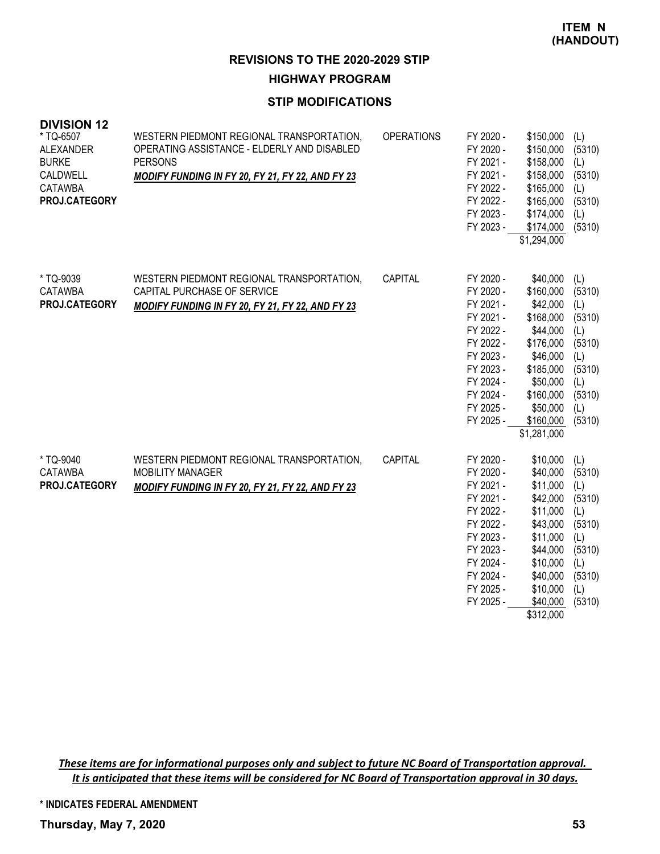#### **HIGHWAY PROGRAM**

### **STIP MODIFICATIONS**

| <b>DIVISION 12</b><br>* TQ-6507<br>ALEXANDER<br><b>BURKE</b><br>CALDWELL<br><b>CATAWBA</b><br>PROJ.CATEGORY | WESTERN PIEDMONT REGIONAL TRANSPORTATION,<br>OPERATING ASSISTANCE - ELDERLY AND DISABLED<br><b>PERSONS</b><br>MODIFY FUNDING IN FY 20, FY 21, FY 22, AND FY 23 | <b>OPERATIONS</b> | FY 2020 -<br>FY 2020 -<br>FY 2021 -<br>FY 2021 -<br>FY 2022 -<br>FY 2022 -<br>FY 2023 -<br>FY 2023 -                                                     | \$150,000<br>\$150,000<br>\$158,000<br>\$158,000<br>\$165,000<br>\$165,000<br>\$174,000<br>\$174,000<br>\$1,294,000                                               | (L)<br>(5310)<br>(L)<br>(5310)<br>(L)<br>(5310)<br>(L)<br>(5310)                                   |
|-------------------------------------------------------------------------------------------------------------|----------------------------------------------------------------------------------------------------------------------------------------------------------------|-------------------|----------------------------------------------------------------------------------------------------------------------------------------------------------|-------------------------------------------------------------------------------------------------------------------------------------------------------------------|----------------------------------------------------------------------------------------------------|
| * TQ-9039<br><b>CATAWBA</b><br>PROJ.CATEGORY                                                                | WESTERN PIEDMONT REGIONAL TRANSPORTATION,<br>CAPITAL PURCHASE OF SERVICE<br>MODIFY FUNDING IN FY 20, FY 21, FY 22, AND FY 23                                   | CAPITAL           | FY 2020 -<br>FY 2020 -<br>FY 2021 -<br>FY 2021 -<br>FY 2022 -<br>FY 2022 -<br>FY 2023 -<br>FY 2023 -<br>FY 2024 -<br>FY 2024 -<br>FY 2025 -<br>FY 2025 - | \$40,000<br>\$160,000<br>\$42,000<br>\$168,000<br>\$44,000<br>\$176,000<br>\$46,000<br>\$185,000<br>\$50,000<br>\$160,000<br>\$50,000<br>\$160,000<br>\$1,281,000 | (L)<br>(5310)<br>(L)<br>(5310)<br>(L)<br>(5310)<br>(L)<br>(5310)<br>(L)<br>(5310)<br>(L)<br>(5310) |
| * TQ-9040<br><b>CATAWBA</b><br>PROJ.CATEGORY                                                                | WESTERN PIEDMONT REGIONAL TRANSPORTATION,<br><b>MOBILITY MANAGER</b><br>MODIFY FUNDING IN FY 20, FY 21, FY 22, AND FY 23                                       | CAPITAL           | FY 2020 -<br>FY 2020 -<br>FY 2021 -<br>FY 2021 -<br>FY 2022 -<br>FY 2022 -<br>FY 2023 -<br>FY 2023 -<br>FY 2024 -<br>FY 2024 -<br>FY 2025 -<br>FY 2025 - | \$10,000<br>\$40,000<br>\$11,000<br>\$42,000<br>\$11,000<br>\$43,000<br>\$11,000<br>\$44,000<br>\$10,000<br>\$40,000<br>\$10,000<br>\$40,000<br>\$312,000         | (L)<br>(5310)<br>(L)<br>(5310)<br>(L)<br>(5310)<br>(L)<br>(5310)<br>(L)<br>(5310)<br>(L)<br>(5310) |

These items are for informational purposes only and subject to future NC Board of Transportation approval. It is anticipated that these items will be considered for NC Board of Transportation approval in 30 days.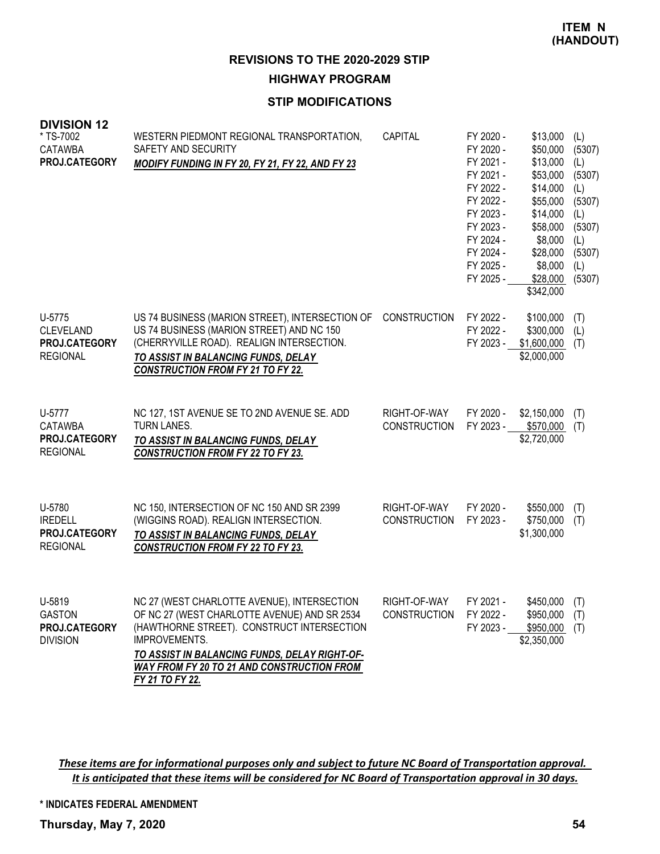**REVISIONS TO THE 2020-2029 STIP HIGHWAY PROGRAM**

#### **STIP MODIFICATIONS**

| <b>DIVISION 12</b><br>* TS-7002<br><b>CATAWBA</b><br>PROJ.CATEGORY | WESTERN PIEDMONT REGIONAL TRANSPORTATION,<br>SAFETY AND SECURITY<br>MODIFY FUNDING IN FY 20, FY 21, FY 22, AND FY 23                                                                                                                                                                | <b>CAPITAL</b>                      | FY 2020 -<br>FY 2020 -<br>FY 2021 -<br>FY 2021 -<br>FY 2022 -<br>FY 2022 -<br>FY 2023 -<br>FY 2023 -<br>FY 2024 -<br>FY 2024 -<br>FY 2025 -<br>FY 2025 - | \$13,000<br>\$50,000<br>\$13,000<br>\$53,000<br>\$14,000<br>\$55,000<br>\$14,000<br>\$58,000<br>\$8,000<br>\$28,000<br>\$8,000<br>\$28,000<br>\$342,000 | (L)<br>(5307)<br>(L)<br>(5307)<br>(L)<br>(5307)<br>(L)<br>(5307)<br>(L)<br>(5307)<br>(L)<br>(5307) |
|--------------------------------------------------------------------|-------------------------------------------------------------------------------------------------------------------------------------------------------------------------------------------------------------------------------------------------------------------------------------|-------------------------------------|----------------------------------------------------------------------------------------------------------------------------------------------------------|---------------------------------------------------------------------------------------------------------------------------------------------------------|----------------------------------------------------------------------------------------------------|
| U-5775<br><b>CLEVELAND</b><br>PROJ.CATEGORY<br><b>REGIONAL</b>     | US 74 BUSINESS (MARION STREET), INTERSECTION OF<br>US 74 BUSINESS (MARION STREET) AND NC 150<br>(CHERRYVILLE ROAD). REALIGN INTERSECTION.<br>TO ASSIST IN BALANCING FUNDS, DELAY<br><b>CONSTRUCTION FROM FY 21 TO FY 22.</b>                                                        | <b>CONSTRUCTION</b>                 | FY 2022 -<br>FY 2022 -<br>FY 2023 -                                                                                                                      | \$100,000<br>\$300,000<br>\$1,600,000<br>\$2,000,000                                                                                                    | (T)<br>(L)<br>(T)                                                                                  |
| U-5777<br><b>CATAWBA</b><br>PROJ.CATEGORY<br><b>REGIONAL</b>       | NC 127, 1ST AVENUE SE TO 2ND AVENUE SE. ADD<br>TURN LANES.<br>TO ASSIST IN BALANCING FUNDS, DELAY<br><b>CONSTRUCTION FROM FY 22 TO FY 23.</b>                                                                                                                                       | RIGHT-OF-WAY<br><b>CONSTRUCTION</b> | FY 2020 -<br>FY 2023 -                                                                                                                                   | \$2,150,000<br>\$570,000<br>\$2,720,000                                                                                                                 | (T)<br>(T)                                                                                         |
| U-5780<br><b>IREDELL</b><br>PROJ.CATEGORY<br><b>REGIONAL</b>       | NC 150, INTERSECTION OF NC 150 AND SR 2399<br>(WIGGINS ROAD). REALIGN INTERSECTION.<br>TO ASSIST IN BALANCING FUNDS, DELAY<br><b>CONSTRUCTION FROM FY 22 TO FY 23.</b>                                                                                                              | RIGHT-OF-WAY<br><b>CONSTRUCTION</b> | FY 2020 -<br>FY 2023 -                                                                                                                                   | \$550,000<br>\$750,000<br>\$1,300,000                                                                                                                   | (T)<br>(T)                                                                                         |
| U-5819<br><b>GASTON</b><br>PROJ.CATEGORY<br><b>DIVISION</b>        | NC 27 (WEST CHARLOTTE AVENUE), INTERSECTION<br>OF NC 27 (WEST CHARLOTTE AVENUE) AND SR 2534<br>(HAWTHORNE STREET). CONSTRUCT INTERSECTION<br>IMPROVEMENTS.<br>TO ASSIST IN BALANCING FUNDS, DELAY RIGHT-OF-<br><b>WAY FROM FY 20 TO 21 AND CONSTRUCTION FROM</b><br>FY 21 TO FY 22. | RIGHT-OF-WAY<br><b>CONSTRUCTION</b> | FY 2021 -<br>FY 2022 -<br>FY 2023 -                                                                                                                      | $$450,000$ (T)<br>\$950,000<br>\$950,000<br>\$2,350,000                                                                                                 | (T)<br>(T)                                                                                         |

These items are for informational purposes only and subject to future NC Board of Transportation approval. It is anticipated that these items will be considered for NC Board of Transportation approval in 30 days.

**\* INDICATES FEDERAL AMENDMENT**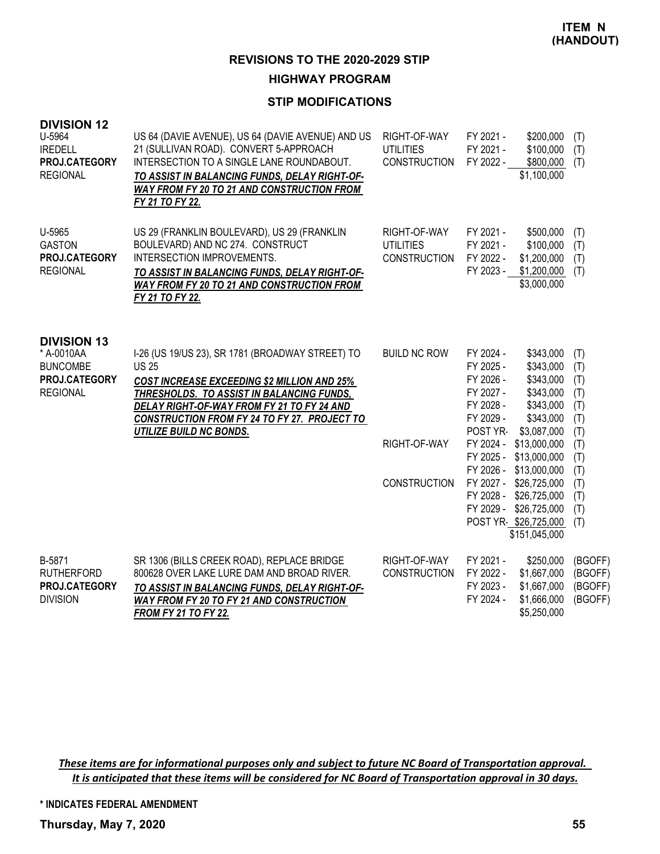**HIGHWAY PROGRAM**

## **STIP MODIFICATIONS**

| <b>DIVISION 12</b><br>U-5964<br><b>IREDELL</b><br>PROJ.CATEGORY<br><b>REGIONAL</b>      | US 64 (DAVIE AVENUE), US 64 (DAVIE AVENUE) AND US<br>21 (SULLIVAN ROAD). CONVERT 5-APPROACH<br>INTERSECTION TO A SINGLE LANE ROUNDABOUT.<br>TO ASSIST IN BALANCING FUNDS, DELAY RIGHT-OF-<br><b>WAY FROM FY 20 TO 21 AND CONSTRUCTION FROM</b><br>FY 21 TO FY 22.                            | RIGHT-OF-WAY<br><b>UTILITIES</b><br><b>CONSTRUCTION</b> | FY 2021 -<br>FY 2021 -<br>FY 2022 -                                                                              | \$200,000<br>\$100,000<br>\$800,000<br>\$1,100,000                                                                        | (T)<br>(T)<br>(T)                                    |
|-----------------------------------------------------------------------------------------|----------------------------------------------------------------------------------------------------------------------------------------------------------------------------------------------------------------------------------------------------------------------------------------------|---------------------------------------------------------|------------------------------------------------------------------------------------------------------------------|---------------------------------------------------------------------------------------------------------------------------|------------------------------------------------------|
| U-5965<br><b>GASTON</b><br>PROJ.CATEGORY<br><b>REGIONAL</b>                             | US 29 (FRANKLIN BOULEVARD), US 29 (FRANKLIN<br>BOULEVARD) AND NC 274. CONSTRUCT<br>INTERSECTION IMPROVEMENTS.<br>TO ASSIST IN BALANCING FUNDS, DELAY RIGHT-OF-<br>WAY FROM FY 20 TO 21 AND CONSTRUCTION FROM<br>FY 21 TO FY 22.                                                              | RIGHT-OF-WAY<br><b>UTILITIES</b><br><b>CONSTRUCTION</b> | FY 2021 -<br>FY 2021 -<br>FY 2022 -<br>FY 2023 -                                                                 | \$500,000<br>\$100,000<br>\$1,200,000<br>\$1,200,000<br>\$3,000,000                                                       | (T)<br>(T)<br>(T)<br>(T)                             |
| <b>DIVISION 13</b><br>* A-0010AA<br><b>BUNCOMBE</b><br>PROJ.CATEGORY<br><b>REGIONAL</b> | I-26 (US 19/US 23), SR 1781 (BROADWAY STREET) TO<br><b>US 25</b><br>COST INCREASE EXCEEDING \$2 MILLION AND 25%<br>THRESHOLDS. TO ASSIST IN BALANCING FUNDS,<br>DELAY RIGHT-OF-WAY FROM FY 21 TO FY 24 AND<br>CONSTRUCTION FROM FY 24 TO FY 27. PROJECT TO<br><b>UTILIZE BUILD NC BONDS.</b> | <b>BUILD NC ROW</b><br>RIGHT-OF-WAY                     | FY 2024 -<br>FY 2025 -<br>FY 2026 -<br>FY 2027 -<br>FY 2028 -<br>FY 2029 -<br>POST YR-<br>FY 2024 -<br>FY 2025 - | \$343,000<br>\$343,000<br>\$343,000<br>\$343,000<br>\$343,000<br>\$343,000<br>\$3,087,000<br>\$13,000,000<br>\$13,000,000 | (T)<br>(T)<br>(T)<br>(T)<br>(T)<br>(T)<br>(T)<br>(T) |
|                                                                                         |                                                                                                                                                                                                                                                                                              | <b>CONSTRUCTION</b>                                     | FY 2026 -<br>FY 2027 -<br>FY 2028 -<br>FY 2029 -                                                                 | \$13,000,000<br>\$26,725,000<br>\$26,725,000<br>\$26,725,000<br>POST YR-\$26,725,000<br>\$151,045,000                     | (T)<br>(T)<br>(T)<br>(T)<br>(T)<br>(T)               |
| B-5871<br><b>RUTHERFORD</b><br>PROJ.CATEGORY<br><b>DIVISION</b>                         | SR 1306 (BILLS CREEK ROAD), REPLACE BRIDGE<br>800628 OVER LAKE LURE DAM AND BROAD RIVER.<br>TO ASSIST IN BALANCING FUNDS, DELAY RIGHT-OF-<br><b>WAY FROM FY 20 TO FY 21 AND CONSTRUCTION</b><br><b>FROM FY 21 TO FY 22.</b>                                                                  | RIGHT-OF-WAY<br><b>CONSTRUCTION</b>                     | FY 2021 -<br>FY 2022 -<br>FY 2023 -<br>FY 2024 -                                                                 | \$250,000<br>\$1,667,000<br>\$1,667,000<br>\$1,666,000<br>\$5,250,000                                                     | (BGOFF)<br>(BGOFF)<br>(BGOFF)<br>(BGOFF)             |

These items are for informational purposes only and subject to future NC Board of Transportation approval. It is anticipated that these items will be considered for NC Board of Transportation approval in 30 days.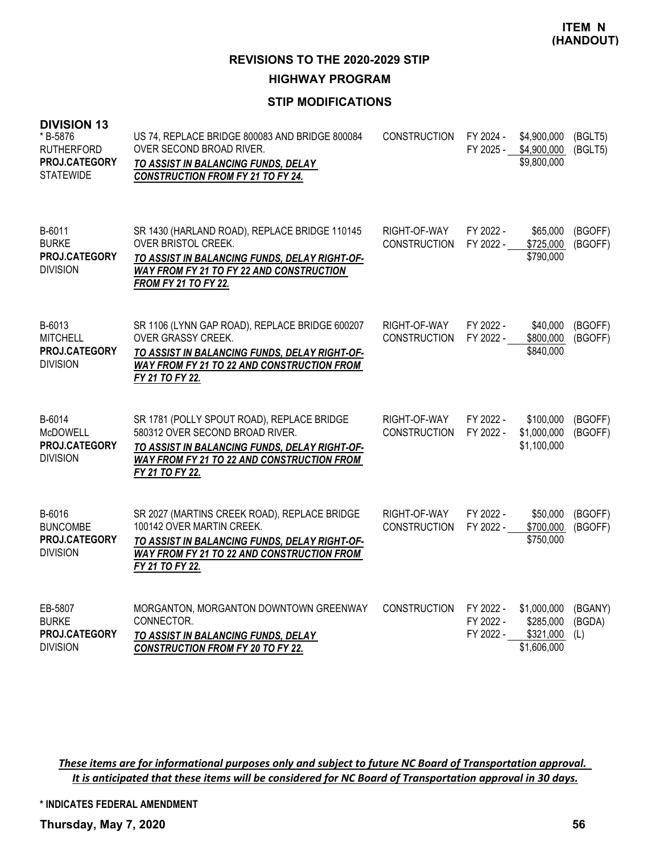**HIGHWAY PROGRAM**

## **STIP MODIFICATIONS**

| <b>DIVISION 13</b><br>* B-5876<br><b>RUTHERFORD</b><br>PROJ.CATEGORY<br><b>STATEWIDE</b> | US 74, REPLACE BRIDGE 800083 AND BRIDGE 800084<br>OVER SECOND BROAD RIVER.<br>TO ASSIST IN BALANCING FUNDS, DELAY<br><b>CONSTRUCTION FROM FY 21 TO FY 24.</b>                                           | <b>CONSTRUCTION</b>                 | FY 2024 -<br>FY 2025 -              | \$4,900,000<br>\$4,900,000<br>\$9,800,000            | (BGLT5)<br>(BGLT5)       |
|------------------------------------------------------------------------------------------|---------------------------------------------------------------------------------------------------------------------------------------------------------------------------------------------------------|-------------------------------------|-------------------------------------|------------------------------------------------------|--------------------------|
| B-6011<br><b>BURKE</b><br>PROJ.CATEGORY<br><b>DIVISION</b>                               | SR 1430 (HARLAND ROAD), REPLACE BRIDGE 110145<br>OVER BRISTOL CREEK.<br>TO ASSIST IN BALANCING FUNDS, DELAY RIGHT-OF-<br><b>WAY FROM FY 21 TO FY 22 AND CONSTRUCTION</b><br><b>FROM FY 21 TO FY 22.</b> | RIGHT-OF-WAY<br><b>CONSTRUCTION</b> | FY 2022 -<br>FY 2022 -              | \$65,000<br>\$725,000<br>\$790,000                   | (BGOFF)<br>(BGOFF)       |
| B-6013<br><b>MITCHELL</b><br>PROJ.CATEGORY<br><b>DIVISION</b>                            | SR 1106 (LYNN GAP ROAD), REPLACE BRIDGE 600207<br>OVER GRASSY CREEK.<br>TO ASSIST IN BALANCING FUNDS, DELAY RIGHT-OF-<br>WAY FROM FY 21 TO 22 AND CONSTRUCTION FROM<br>FY 21 TO FY 22.                  | RIGHT-OF-WAY<br><b>CONSTRUCTION</b> | FY 2022 -<br>FY 2022 -              | \$40,000<br>\$800,000<br>\$840,000                   | (BGOFF)<br>(BGOFF)       |
| B-6014<br><b>McDOWELL</b><br>PROJ.CATEGORY<br><b>DIVISION</b>                            | SR 1781 (POLLY SPOUT ROAD), REPLACE BRIDGE<br>580312 OVER SECOND BROAD RIVER.<br>TO ASSIST IN BALANCING FUNDS, DELAY RIGHT-OF-<br>WAY FROM FY 21 TO 22 AND CONSTRUCTION FROM<br>FY 21 TO FY 22.         | RIGHT-OF-WAY<br><b>CONSTRUCTION</b> | FY 2022 -<br>FY 2022 -              | \$100,000<br>\$1,000,000<br>\$1,100,000              | (BGOFF)<br>(BGOFF)       |
| B-6016<br><b>BUNCOMBE</b><br>PROJ.CATEGORY<br><b>DIVISION</b>                            | SR 2027 (MARTINS CREEK ROAD), REPLACE BRIDGE<br>100142 OVER MARTIN CREEK.<br>TO ASSIST IN BALANCING FUNDS, DELAY RIGHT-OF-<br><b>WAY FROM FY 21 TO 22 AND CONSTRUCTION FROM</b><br>FY 21 TO FY 22.      | RIGHT-OF-WAY<br><b>CONSTRUCTION</b> | FY 2022 -<br>FY 2022 -              | \$50,000<br>\$700,000<br>\$750,000                   | (BGOFF)<br>(BGOFF)       |
| EB-5807<br><b>BURKE</b><br>PROJ.CATEGORY<br><b>DIVISION</b>                              | MORGANTON, MORGANTON DOWNTOWN GREENWAY<br>CONNECTOR.<br>TO ASSIST IN BALANCING FUNDS, DELAY<br><b>CONSTRUCTION FROM FY 20 TO FY 22.</b>                                                                 | <b>CONSTRUCTION</b>                 | FY 2022 -<br>FY 2022 -<br>FY 2022 - | \$1,000,000<br>\$285,000<br>\$321,000<br>\$1,606,000 | (BGANY)<br>(BGDA)<br>(L) |

These items are for informational purposes only and subject to future NC Board of Transportation approval. It is anticipated that these items will be considered for NC Board of Transportation approval in 30 days.

**\* INDICATES FEDERAL AMENDMENT**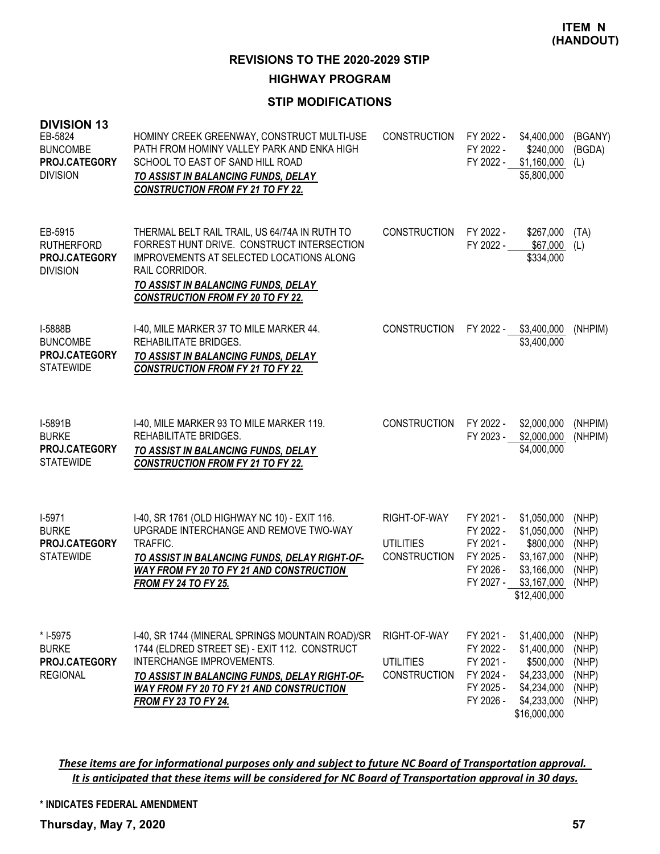**HIGHWAY PROGRAM**

## **STIP MODIFICATIONS**

| <b>DIVISION 13</b><br>EB-5824<br><b>BUNCOMBE</b><br>PROJ.CATEGORY<br><b>DIVISION</b> | HOMINY CREEK GREENWAY, CONSTRUCT MULTI-USE<br>PATH FROM HOMINY VALLEY PARK AND ENKA HIGH<br>SCHOOL TO EAST OF SAND HILL ROAD<br>TO ASSIST IN BALANCING FUNDS, DELAY<br><b>CONSTRUCTION FROM FY 21 TO FY 22.</b>                                            | <b>CONSTRUCTION</b>                                     | FY 2022 -<br>FY 2022 -<br>FY 2022 -                                        | \$4,400,000<br>\$240,000<br>\$1,160,000<br>\$5,800,000                                               | (BGANY)<br>(BGDA)<br>(L)                           |
|--------------------------------------------------------------------------------------|------------------------------------------------------------------------------------------------------------------------------------------------------------------------------------------------------------------------------------------------------------|---------------------------------------------------------|----------------------------------------------------------------------------|------------------------------------------------------------------------------------------------------|----------------------------------------------------|
| EB-5915<br><b>RUTHERFORD</b><br>PROJ.CATEGORY<br><b>DIVISION</b>                     | THERMAL BELT RAIL TRAIL, US 64/74A IN RUTH TO<br>FORREST HUNT DRIVE. CONSTRUCT INTERSECTION<br>IMPROVEMENTS AT SELECTED LOCATIONS ALONG<br>RAIL CORRIDOR.<br>TO ASSIST IN BALANCING FUNDS, DELAY<br><b>CONSTRUCTION FROM FY 20 TO FY 22.</b>               | <b>CONSTRUCTION</b>                                     | FY 2022 -<br>FY 2022 -                                                     | \$267,000<br>\$67,000<br>\$334,000                                                                   | (TA)<br>(L)                                        |
| I-5888B<br><b>BUNCOMBE</b><br>PROJ.CATEGORY<br><b>STATEWIDE</b>                      | I-40, MILE MARKER 37 TO MILE MARKER 44.<br>REHABILITATE BRIDGES.<br>TO ASSIST IN BALANCING FUNDS, DELAY<br><b>CONSTRUCTION FROM FY 21 TO FY 22.</b>                                                                                                        | <b>CONSTRUCTION</b>                                     | FY 2022 -                                                                  | \$3,400,000<br>\$3,400,000                                                                           | (NHPIM)                                            |
| I-5891B<br><b>BURKE</b><br>PROJ.CATEGORY<br><b>STATEWIDE</b>                         | I-40, MILE MARKER 93 TO MILE MARKER 119.<br>REHABILITATE BRIDGES.<br>TO ASSIST IN BALANCING FUNDS, DELAY<br><b>CONSTRUCTION FROM FY 21 TO FY 22.</b>                                                                                                       | <b>CONSTRUCTION</b>                                     | FY 2022 -<br>FY 2023 -                                                     | \$2,000,000<br>\$2,000,000<br>\$4,000,000                                                            | (NHPIM)<br>(NHPIM)                                 |
| $I-5971$<br><b>BURKE</b><br>PROJ.CATEGORY<br><b>STATEWIDE</b>                        | I-40, SR 1761 (OLD HIGHWAY NC 10) - EXIT 116.<br>UPGRADE INTERCHANGE AND REMOVE TWO-WAY<br>TRAFFIC.<br>TO ASSIST IN BALANCING FUNDS, DELAY RIGHT-OF-<br><b>WAY FROM FY 20 TO FY 21 AND CONSTRUCTION</b><br><b>FROM FY 24 TO FY 25.</b>                     | RIGHT-OF-WAY<br><b>UTILITIES</b><br><b>CONSTRUCTION</b> | FY 2021 -<br>FY 2022 -<br>FY 2021 -<br>FY 2025 -<br>FY 2026 -<br>FY 2027 - | \$1,050,000<br>\$1,050,000<br>\$800,000<br>\$3,167,000<br>\$3,166,000<br>\$3,167,000<br>\$12,400,000 | (NHP)<br>(NHP)<br>(NHP)<br>(NHP)<br>(NHP)<br>(NHP) |
| * I-5975<br><b>BURKE</b><br>PROJ.CATEGORY<br><b>REGIONAL</b>                         | I-40, SR 1744 (MINERAL SPRINGS MOUNTAIN ROAD)/SR<br>1744 (ELDRED STREET SE) - EXIT 112. CONSTRUCT<br>INTERCHANGE IMPROVEMENTS.<br>TO ASSIST IN BALANCING FUNDS, DELAY RIGHT-OF-<br>WAY FROM FY 20 TO FY 21 AND CONSTRUCTION<br><b>FROM FY 23 TO FY 24.</b> | RIGHT-OF-WAY<br><b>UTILITIES</b><br><b>CONSTRUCTION</b> | FY 2021 -<br>FY 2022 -<br>FY 2021 -<br>FY 2024 -<br>FY 2025 -<br>FY 2026 - | \$1,400,000<br>\$1,400,000<br>\$500,000<br>\$4,233,000<br>\$4,234,000<br>\$4,233,000<br>\$16,000,000 | (NHP)<br>(NHP)<br>(NHP)<br>(NHP)<br>(NHP)<br>(NHP) |

These items are for informational purposes only and subject to future NC Board of Transportation approval. It is anticipated that these items will be considered for NC Board of Transportation approval in 30 days.

**\* INDICATES FEDERAL AMENDMENT**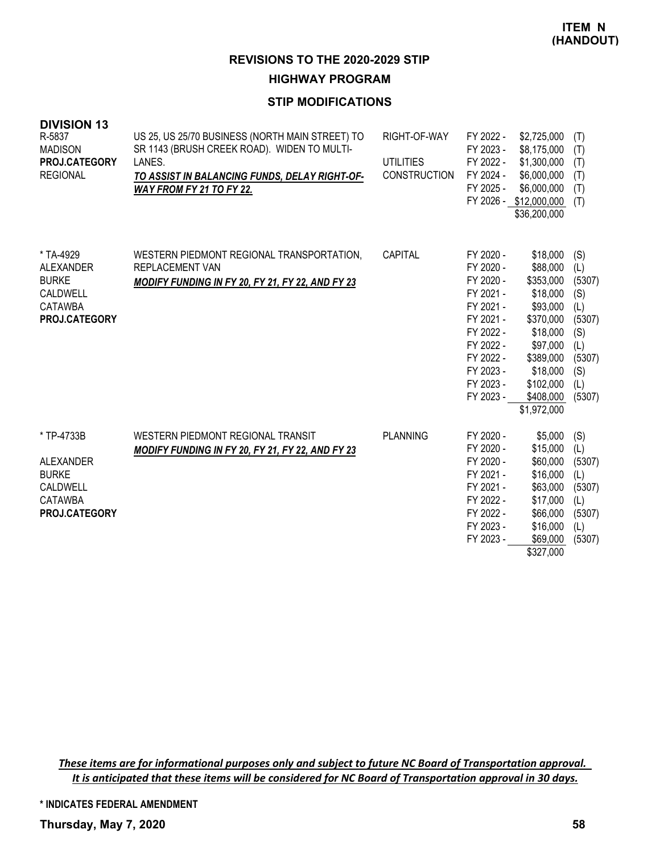**HIGHWAY PROGRAM**

## **STIP MODIFICATIONS**

| <b>DIVISION 13</b><br>R-5837<br><b>MADISON</b><br>PROJ.CATEGORY<br><b>REGIONAL</b>            | US 25, US 25/70 BUSINESS (NORTH MAIN STREET) TO<br>SR 1143 (BRUSH CREEK ROAD). WIDEN TO MULTI-<br>LANES.<br>TO ASSIST IN BALANCING FUNDS, DELAY RIGHT-OF-<br>WAY FROM FY 21 TO FY 22. | RIGHT-OF-WAY<br><b>UTILITIES</b><br><b>CONSTRUCTION</b> | FY 2022 -<br>FY 2023 -<br>FY 2022 -<br>FY 2024 -<br>FY 2025 -                                                                                            | \$2,725,000<br>\$8,175,000<br>\$1,300,000<br>\$6,000,000<br>\$6,000,000<br>FY 2026 - \$12,000,000<br>\$36,200,000                                                | (T)<br>(T)<br>(T)<br>(T)<br>(T)<br>(T)                                                       |
|-----------------------------------------------------------------------------------------------|---------------------------------------------------------------------------------------------------------------------------------------------------------------------------------------|---------------------------------------------------------|----------------------------------------------------------------------------------------------------------------------------------------------------------|------------------------------------------------------------------------------------------------------------------------------------------------------------------|----------------------------------------------------------------------------------------------|
| * TA-4929<br>ALEXANDER<br><b>BURKE</b><br><b>CALDWELL</b><br><b>CATAWBA</b><br>PROJ.CATEGORY  | WESTERN PIEDMONT REGIONAL TRANSPORTATION,<br>REPLACEMENT VAN<br>MODIFY FUNDING IN FY 20, FY 21, FY 22, AND FY 23                                                                      | CAPITAL                                                 | FY 2020 -<br>FY 2020 -<br>FY 2020 -<br>FY 2021 -<br>FY 2021 -<br>FY 2021 -<br>FY 2022 -<br>FY 2022 -<br>FY 2022 -<br>FY 2023 -<br>FY 2023 -<br>FY 2023 - | \$18,000<br>\$88,000<br>\$353,000<br>\$18,000<br>\$93,000<br>\$370,000<br>\$18,000<br>\$97,000<br>\$389,000<br>\$18,000<br>\$102,000<br>\$408,000<br>\$1,972,000 | (S)<br>(L)<br>(5307)<br>(S)<br>(L)<br>(5307)<br>(S)<br>(L)<br>(5307)<br>(S)<br>(L)<br>(5307) |
| * TP-4733B<br><b>ALEXANDER</b><br><b>BURKE</b><br>CALDWELL<br><b>CATAWBA</b><br>PROJ.CATEGORY | WESTERN PIEDMONT REGIONAL TRANSIT<br>MODIFY FUNDING IN FY 20, FY 21, FY 22, AND FY 23                                                                                                 | <b>PLANNING</b>                                         | FY 2020 -<br>FY 2020 -<br>FY 2020 -<br>FY 2021 -<br>FY 2021 -<br>FY 2022 -<br>FY 2022 -<br>FY 2023 -<br>FY 2023 -                                        | \$5,000<br>\$15,000<br>\$60,000<br>\$16,000<br>\$63,000<br>\$17,000<br>\$66,000<br>\$16,000<br>\$69,000<br>\$327,000                                             | (S)<br>(L)<br>(5307)<br>(L)<br>(5307)<br>(L)<br>(5307)<br>(L)<br>(5307)                      |

These items are for informational purposes only and subject to future NC Board of Transportation approval. It is anticipated that these items will be considered for NC Board of Transportation approval in 30 days.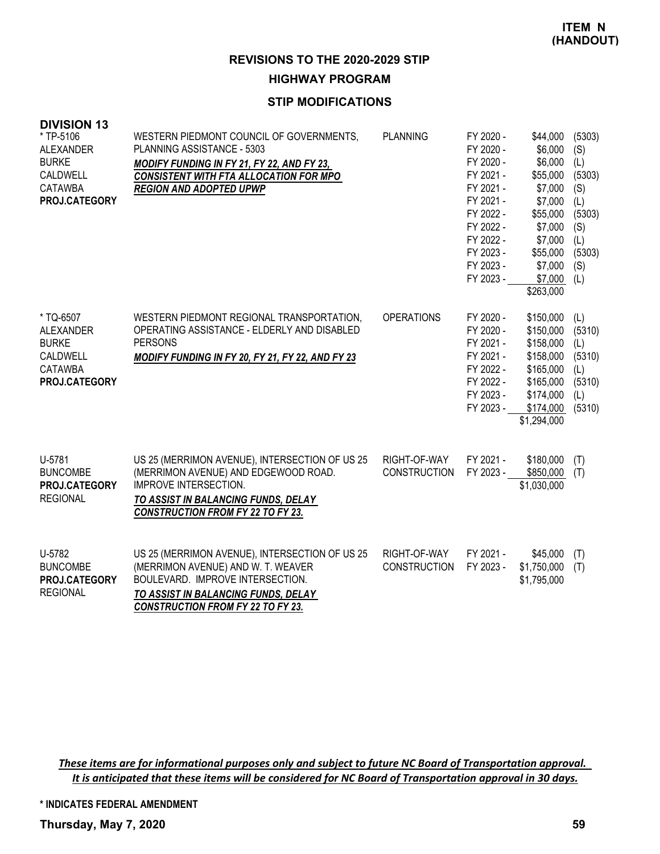**HIGHWAY PROGRAM**

## **STIP MODIFICATIONS**

| <b>DIVISION 13</b><br>* TP-5106<br><b>ALEXANDER</b><br><b>BURKE</b><br>CALDWELL<br><b>CATAWBA</b><br>PROJ.CATEGORY | WESTERN PIEDMONT COUNCIL OF GOVERNMENTS,<br>PLANNING ASSISTANCE - 5303<br><b>MODIFY FUNDING IN FY 21, FY 22, AND FY 23,</b><br><b>CONSISTENT WITH FTA ALLOCATION FOR MPO</b><br><b>REGION AND ADOPTED UPWP</b> | <b>PLANNING</b>                     | FY 2020 -<br>FY 2020 -<br>FY 2020 -<br>FY 2021 -<br>FY 2021 -<br>FY 2021 -<br>FY 2022 -<br>FY 2022 -<br>FY 2022 -<br>FY 2023 -<br>FY 2023 -<br>FY 2023 - | \$44,000<br>\$6,000<br>\$6,000<br>\$55,000<br>\$7,000<br>\$7,000<br>\$55,000<br>\$7,000<br>\$7,000<br>\$55,000<br>\$7,000<br>\$7,000<br>\$263,000 | (5303)<br>(S)<br>(L)<br>(5303)<br>(S)<br>(L)<br>(5303)<br>(S)<br>(L)<br>(5303)<br>(S)<br>(L) |
|--------------------------------------------------------------------------------------------------------------------|----------------------------------------------------------------------------------------------------------------------------------------------------------------------------------------------------------------|-------------------------------------|----------------------------------------------------------------------------------------------------------------------------------------------------------|---------------------------------------------------------------------------------------------------------------------------------------------------|----------------------------------------------------------------------------------------------|
| * TQ-6507<br><b>ALEXANDER</b><br><b>BURKE</b><br>CALDWELL<br>CATAWBA<br>PROJ.CATEGORY                              | WESTERN PIEDMONT REGIONAL TRANSPORTATION,<br>OPERATING ASSISTANCE - ELDERLY AND DISABLED<br><b>PERSONS</b><br>MODIFY FUNDING IN FY 20, FY 21, FY 22, AND FY 23                                                 | <b>OPERATIONS</b>                   | FY 2020 -<br>FY 2020 -<br>FY 2021 -<br>FY 2021 -<br>FY 2022 -<br>FY 2022 -<br>FY 2023 -<br>FY 2023 -                                                     | \$150,000<br>\$150,000<br>\$158,000<br>\$158,000<br>\$165,000<br>\$165,000<br>\$174,000<br>\$174,000<br>\$1,294,000                               | (L)<br>(5310)<br>(L)<br>(5310)<br>(L)<br>(5310)<br>(L)<br>(5310)                             |
| U-5781<br><b>BUNCOMBE</b><br>PROJ.CATEGORY<br><b>REGIONAL</b>                                                      | US 25 (MERRIMON AVENUE), INTERSECTION OF US 25<br>(MERRIMON AVENUE) AND EDGEWOOD ROAD.<br><b>IMPROVE INTERSECTION.</b><br>TO ASSIST IN BALANCING FUNDS, DELAY<br><b>CONSTRUCTION FROM FY 22 TO FY 23.</b>      | RIGHT-OF-WAY<br><b>CONSTRUCTION</b> | FY 2021 -<br>FY 2023 -                                                                                                                                   | \$180,000<br>\$850,000<br>\$1,030,000                                                                                                             | (T)<br>(T)                                                                                   |
| U-5782<br><b>BUNCOMBE</b><br>PROJ.CATEGORY<br><b>REGIONAL</b>                                                      | US 25 (MERRIMON AVENUE), INTERSECTION OF US 25<br>(MERRIMON AVENUE) AND W. T. WEAVER<br>BOULEVARD. IMPROVE INTERSECTION.<br>TO ASSIST IN BALANCING FUNDS, DELAY                                                | RIGHT-OF-WAY<br><b>CONSTRUCTION</b> | FY 2021 -<br>FY 2023 -                                                                                                                                   | \$45,000<br>\$1,750,000<br>\$1,795,000                                                                                                            | (T)<br>(T)                                                                                   |

*CONSTRUCTION FROM FY 22 TO FY 23.*

These items are for informational purposes only and subject to future NC Board of Transportation approval. It is anticipated that these items will be considered for NC Board of Transportation approval in 30 days.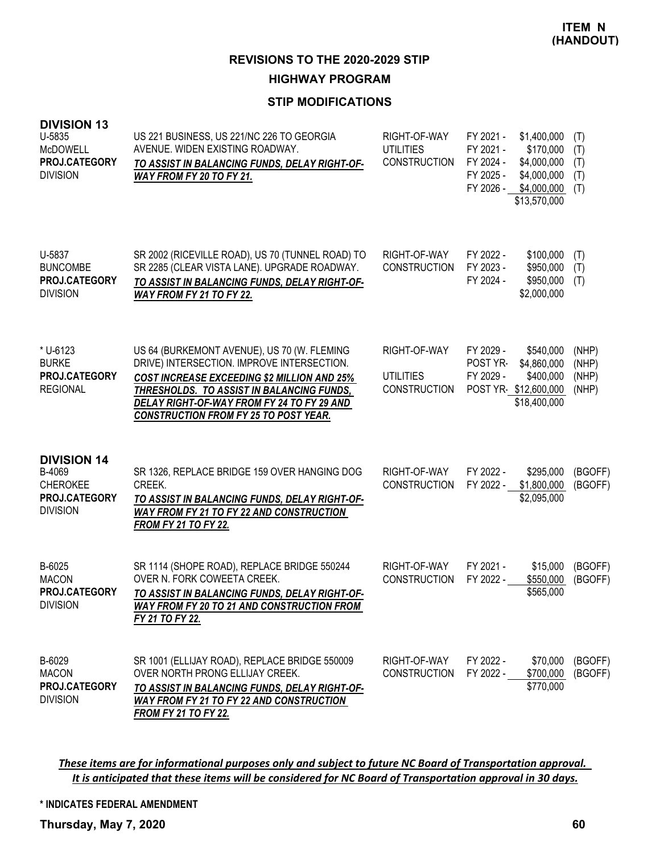# **HIGHWAY PROGRAM**

## **STIP MODIFICATIONS**

| <b>DIVISION 13</b><br>U-5835<br><b>McDOWELL</b><br>PROJ.CATEGORY<br><b>DIVISION</b> | US 221 BUSINESS, US 221/NC 226 TO GEORGIA<br>AVENUE. WIDEN EXISTING ROADWAY.<br>TO ASSIST IN BALANCING FUNDS, DELAY RIGHT-OF-<br>WAY FROM FY 20 TO FY 21.                                                                                                                                  | RIGHT-OF-WAY<br><b>UTILITIES</b><br><b>CONSTRUCTION</b> | FY 2021 -<br>\$1,400,000<br>FY 2021 -<br>\$170,000<br>FY 2024 -<br>\$4,000,000<br>FY 2025 -<br>\$4,000,000<br>FY 2026 -<br>\$4,000,000<br>\$13,570,000 | (T)<br>(T)<br>(T)<br>(T)<br>(T)  |
|-------------------------------------------------------------------------------------|--------------------------------------------------------------------------------------------------------------------------------------------------------------------------------------------------------------------------------------------------------------------------------------------|---------------------------------------------------------|--------------------------------------------------------------------------------------------------------------------------------------------------------|----------------------------------|
| U-5837<br><b>BUNCOMBE</b><br>PROJ.CATEGORY<br><b>DIVISION</b>                       | SR 2002 (RICEVILLE ROAD), US 70 (TUNNEL ROAD) TO<br>SR 2285 (CLEAR VISTA LANE). UPGRADE ROADWAY.<br>TO ASSIST IN BALANCING FUNDS, DELAY RIGHT-OF-<br><b>WAY FROM FY 21 TO FY 22.</b>                                                                                                       | RIGHT-OF-WAY<br><b>CONSTRUCTION</b>                     | FY 2022 -<br>\$100,000<br>FY 2023 -<br>\$950,000<br>FY 2024 -<br>\$950,000<br>\$2,000,000                                                              | (T)<br>(T)<br>(T)                |
| * U-6123<br><b>BURKE</b><br><b>PROJ.CATEGORY</b><br><b>REGIONAL</b>                 | US 64 (BURKEMONT AVENUE), US 70 (W. FLEMING<br>DRIVE) INTERSECTION. IMPROVE INTERSECTION.<br><b>COST INCREASE EXCEEDING \$2 MILLION AND 25%</b><br>THRESHOLDS. TO ASSIST IN BALANCING FUNDS,<br>DELAY RIGHT-OF-WAY FROM FY 24 TO FY 29 AND<br><b>CONSTRUCTION FROM FY 25 TO POST YEAR.</b> | RIGHT-OF-WAY<br><b>UTILITIES</b><br><b>CONSTRUCTION</b> | FY 2029 -<br>\$540,000<br>\$4,860,000<br>POST YR-<br>FY 2029 -<br>\$400,000<br>POST YR-\$12,600,000<br>\$18,400,000                                    | (NHP)<br>(NHP)<br>(NHP)<br>(NHP) |
| <b>DIVISION 14</b><br>B-4069<br><b>CHEROKEE</b><br>PROJ.CATEGORY<br><b>DIVISION</b> | SR 1326, REPLACE BRIDGE 159 OVER HANGING DOG<br>CREEK.<br>TO ASSIST IN BALANCING FUNDS, DELAY RIGHT-OF-<br><b>WAY FROM FY 21 TO FY 22 AND CONSTRUCTION</b><br><b>FROM FY 21 TO FY 22.</b>                                                                                                  | RIGHT-OF-WAY<br><b>CONSTRUCTION</b>                     | FY 2022 -<br>\$295,000<br>FY 2022 -<br>\$1,800,000<br>\$2,095,000                                                                                      | (BGOFF)<br>(BGOFF)               |
| B-6025<br><b>MACON</b><br>PROJ.CATEGORY<br><b>DIVISION</b>                          | SR 1114 (SHOPE ROAD), REPLACE BRIDGE 550244<br>OVER N. FORK COWEETA CREEK.<br>TO ASSIST IN BALANCING FUNDS, DELAY RIGHT-OF-<br><b>WAY FROM FY 20 TO 21 AND CONSTRUCTION FROM</b><br>FY 21 TO FY 22.                                                                                        | RIGHT-OF-WAY<br><b>CONSTRUCTION</b>                     | FY 2021 -<br>\$15,000<br>FY 2022 -<br>\$550,000<br>\$565,000                                                                                           | (BGOFF)<br>(BGOFF)               |
| B-6029<br><b>MACON</b><br>PROJ.CATEGORY<br><b>DIVISION</b>                          | SR 1001 (ELLIJAY ROAD), REPLACE BRIDGE 550009<br>OVER NORTH PRONG ELLIJAY CREEK.<br>TO ASSIST IN BALANCING FUNDS, DELAY RIGHT-OF-<br><b>WAY FROM FY 21 TO FY 22 AND CONSTRUCTION</b><br><b>FROM FY 21 TO FY 22.</b>                                                                        | RIGHT-OF-WAY<br><b>CONSTRUCTION</b>                     | FY 2022 -<br>\$70,000<br>FY 2022 -<br>\$700,000<br>\$770,000                                                                                           | (BGOFF)<br>(BGOFF)               |

These items are for informational purposes only and subject to future NC Board of Transportation approval. It is anticipated that these items will be considered for NC Board of Transportation approval in 30 days.

**\* INDICATES FEDERAL AMENDMENT**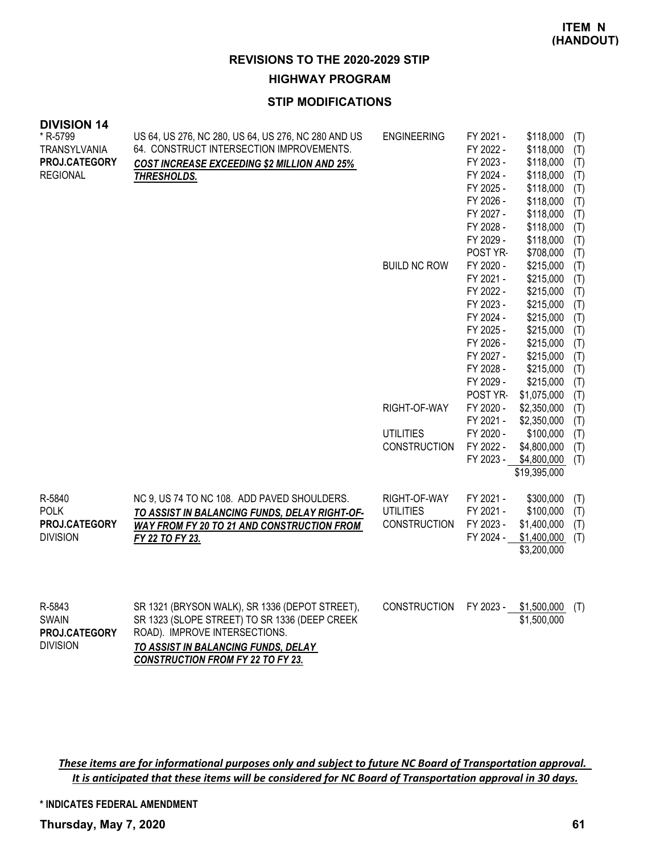**HIGHWAY PROGRAM**

## **STIP MODIFICATIONS**

| <b>DIVISION 14</b><br>* R-5799<br><b>TRANSYLVANIA</b><br>PROJ.CATEGORY<br><b>REGIONAL</b> | US 64, US 276, NC 280, US 64, US 276, NC 280 AND US<br>64. CONSTRUCT INTERSECTION IMPROVEMENTS.<br><b>COST INCREASE EXCEEDING \$2 MILLION AND 25%</b><br>THRESHOLDS. | <b>ENGINEERING</b><br><b>BUILD NC ROW</b> | FY 2021 -<br>FY 2022 -<br>FY 2023 -<br>FY 2024 -<br>FY 2025 -<br>FY 2026 -<br>FY 2027 -<br>FY 2028 -<br>FY 2029 -<br>POST YR-<br>FY 2020 -<br>FY 2021 -<br>FY 2022 -<br>FY 2023 -<br>FY 2024 -<br>FY 2025 -<br>FY 2026 -<br>FY 2027 - | \$118,000<br>\$118,000<br>\$118,000<br>\$118,000<br>\$118,000<br>\$118,000<br>\$118,000<br>\$118,000<br>\$118,000<br>\$708,000<br>\$215,000<br>\$215,000<br>\$215,000<br>\$215,000<br>\$215,000<br>\$215,000<br>\$215,000<br>\$215,000 | (T)<br>(T)<br>(T)<br>(T)<br>(T)<br>(T)<br>(T)<br>(T)<br>(T)<br>(T)<br>(T)<br>(T)<br>(T)<br>(T)<br>(T)<br>(T)<br>(T) |
|-------------------------------------------------------------------------------------------|----------------------------------------------------------------------------------------------------------------------------------------------------------------------|-------------------------------------------|---------------------------------------------------------------------------------------------------------------------------------------------------------------------------------------------------------------------------------------|----------------------------------------------------------------------------------------------------------------------------------------------------------------------------------------------------------------------------------------|---------------------------------------------------------------------------------------------------------------------|
|                                                                                           |                                                                                                                                                                      |                                           | FY 2028 -                                                                                                                                                                                                                             | \$215,000                                                                                                                                                                                                                              | (T)                                                                                                                 |
|                                                                                           |                                                                                                                                                                      |                                           | FY 2029 -                                                                                                                                                                                                                             | \$215,000                                                                                                                                                                                                                              | (T)<br>(T)                                                                                                          |
|                                                                                           |                                                                                                                                                                      |                                           | POST YR-                                                                                                                                                                                                                              | \$1,075,000                                                                                                                                                                                                                            | (T)                                                                                                                 |
|                                                                                           |                                                                                                                                                                      | RIGHT-OF-WAY                              | FY 2020 -                                                                                                                                                                                                                             | \$2,350,000                                                                                                                                                                                                                            | (T)                                                                                                                 |
|                                                                                           |                                                                                                                                                                      |                                           | FY 2021 -                                                                                                                                                                                                                             | \$2,350,000                                                                                                                                                                                                                            | (T)                                                                                                                 |
|                                                                                           |                                                                                                                                                                      | <b>UTILITIES</b>                          | FY 2020 -                                                                                                                                                                                                                             | \$100,000                                                                                                                                                                                                                              | (T)                                                                                                                 |
|                                                                                           |                                                                                                                                                                      | <b>CONSTRUCTION</b>                       | FY 2022 -                                                                                                                                                                                                                             | \$4,800,000                                                                                                                                                                                                                            | (T)                                                                                                                 |
|                                                                                           |                                                                                                                                                                      |                                           | FY 2023 -                                                                                                                                                                                                                             | \$4,800,000                                                                                                                                                                                                                            | (T)                                                                                                                 |
|                                                                                           |                                                                                                                                                                      |                                           |                                                                                                                                                                                                                                       | \$19,395,000                                                                                                                                                                                                                           |                                                                                                                     |
| R-5840                                                                                    | NC 9, US 74 TO NC 108. ADD PAVED SHOULDERS.                                                                                                                          | RIGHT-OF-WAY                              | FY 2021 -                                                                                                                                                                                                                             | \$300,000                                                                                                                                                                                                                              | (T)                                                                                                                 |
| <b>POLK</b>                                                                               | TO ASSIST IN BALANCING FUNDS, DELAY RIGHT-OF-                                                                                                                        | <b>UTILITIES</b>                          | FY 2021 -                                                                                                                                                                                                                             | \$100,000                                                                                                                                                                                                                              | (T)                                                                                                                 |
| PROJ.CATEGORY                                                                             | <b>WAY FROM FY 20 TO 21 AND CONSTRUCTION FROM</b>                                                                                                                    | <b>CONSTRUCTION</b>                       | FY 2023 -                                                                                                                                                                                                                             | \$1,400,000                                                                                                                                                                                                                            | (T)                                                                                                                 |
| <b>DIVISION</b>                                                                           | FY 22 TO FY 23.                                                                                                                                                      |                                           | FY 2024 -                                                                                                                                                                                                                             | \$1,400,000<br>\$3,200,000                                                                                                                                                                                                             | (T)                                                                                                                 |
|                                                                                           |                                                                                                                                                                      |                                           |                                                                                                                                                                                                                                       |                                                                                                                                                                                                                                        |                                                                                                                     |
| R-5843                                                                                    | SR 1321 (BRYSON WALK), SR 1336 (DEPOT STREET),                                                                                                                       | <b>CONSTRUCTION</b>                       | FY 2023 -                                                                                                                                                                                                                             | \$1,500,000                                                                                                                                                                                                                            | (T)                                                                                                                 |

| R-5843               | SR 1321 (BRYSON WALK), SR 1336 (DEPOT STREET), | CONSTRUCTION FY 2023 - \$1,500,000 (1) |             |  |
|----------------------|------------------------------------------------|----------------------------------------|-------------|--|
| <b>SWAIN</b>         | SR 1323 (SLOPE STREET) TO SR 1336 (DEEP CREEK  |                                        | \$1,500,000 |  |
| <b>PROJ.CATEGORY</b> | ROAD). IMPROVE INTERSECTIONS.                  |                                        |             |  |
| <b>DIVISION</b>      | TO ASSIST IN BALANCING FUNDS. DELAY            |                                        |             |  |
|                      | <b>CONSTRUCTION FROM FY 22 TO FY 23.</b>       |                                        |             |  |

These items are for informational purposes only and subject to future NC Board of Transportation approval. It is anticipated that these items will be considered for NC Board of Transportation approval in 30 days.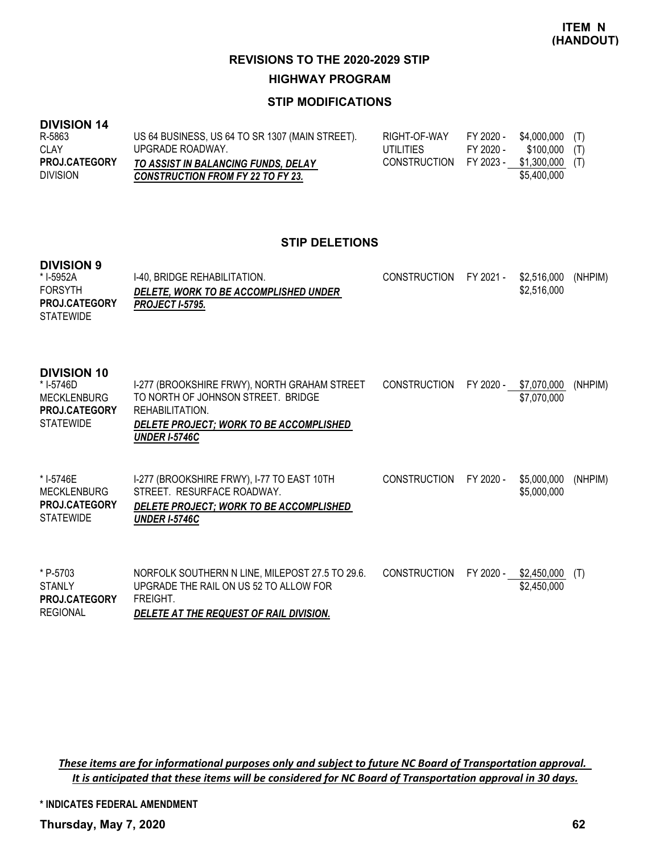**HIGHWAY PROGRAM**

# **STIP MODIFICATIONS**

#### **DIVISION 14**

| R-5863               | US 64 BUSINESS, US 64 TO SR 1307 (MAIN STREET). | RIGHT-OF-WAY | FY 2020 - | \$4.000.000    | (T) |
|----------------------|-------------------------------------------------|--------------|-----------|----------------|-----|
| CLAY                 | UPGRADE ROADWAY.                                | UTILITIES    | FY 2020 - | $$100,000$ (T) |     |
| <b>PROJ.CATEGORY</b> | TO ASSIST IN BALANCING FUNDS, DELAY             | CONSTRUCTION | FY 2023 - | \$1.300.000    | (T) |
| <b>DIVISION</b>      | <b>CONSTRUCTION FROM FY 22 TO FY 23.</b>        |              |           | \$5,400,000    |     |

#### **STIP DELETIONS**

#### **DIVISION 9**

| DIVIJIUN J<br>* I-5952A<br><b>FORSYTH</b><br><b>PROJ.CATEGORY</b><br><b>STATEWIDE</b>      | I-40, BRIDGE REHABILITATION.<br>DELETE, WORK TO BE ACCOMPLISHED UNDER<br><b>PROJECT I-5795.</b>                                                                          | <b>CONSTRUCTION</b> | FY 2021 - | \$2,516,000<br>\$2,516,000 | (NHPIM) |
|--------------------------------------------------------------------------------------------|--------------------------------------------------------------------------------------------------------------------------------------------------------------------------|---------------------|-----------|----------------------------|---------|
| <b>DIVISION 10</b><br>* I-5746D<br><b>MECKLENBURG</b><br>PROJ.CATEGORY<br><b>STATEWIDE</b> | I-277 (BROOKSHIRE FRWY), NORTH GRAHAM STREET<br>TO NORTH OF JOHNSON STREET. BRIDGE<br>REHABILITATION.<br>DELETE PROJECT; WORK TO BE ACCOMPLISHED<br><b>UNDER I-5746C</b> | <b>CONSTRUCTION</b> | FY 2020 - | \$7,070,000<br>\$7,070,000 | (NHPIM) |
| * I-5746E<br><b>MECKLENBURG</b><br><b>PROJ.CATEGORY</b><br><b>STATEWIDE</b>                | I-277 (BROOKSHIRE FRWY), I-77 TO EAST 10TH<br>STREET. RESURFACE ROADWAY.<br>DELETE PROJECT; WORK TO BE ACCOMPLISHED<br><b>UNDER I-5746C</b>                              | <b>CONSTRUCTION</b> | FY 2020 - | \$5,000,000<br>\$5,000,000 | (NHPIM) |
| * P-5703<br><b>STANLY</b><br><b>PROJ.CATEGORY</b><br><b>REGIONAL</b>                       | NORFOLK SOUTHERN N LINE, MILEPOST 27.5 TO 29.6.<br>UPGRADE THE RAIL ON US 52 TO ALLOW FOR<br>FREIGHT.<br>DELETE AT THE REQUEST OF RAIL DIVISION.                         | CONSTRUCTION        | FY 2020 - | \$2,450,000<br>\$2,450,000 | (T)     |

These items are for informational purposes only and subject to future NC Board of Transportation approval. It is anticipated that these items will be considered for NC Board of Transportation approval in 30 days.

**\* INDICATES FEDERAL AMENDMENT**